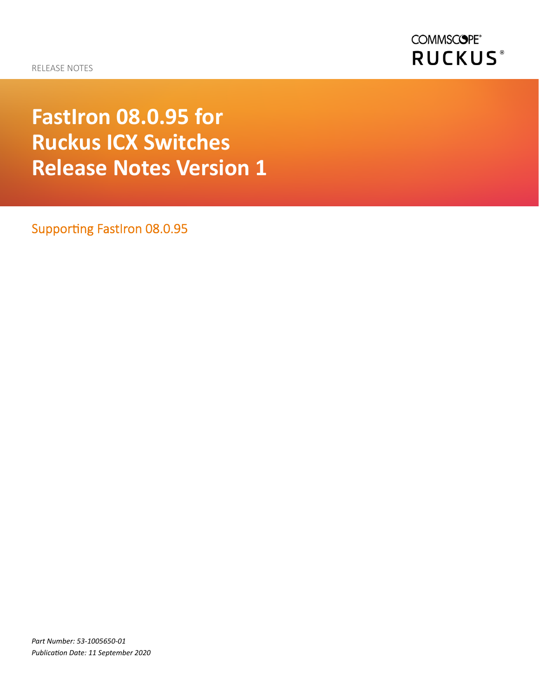**COMMSCOPE® RUCKUS**<sup>®</sup>

RELEASE NOTES

**FastIron 08.0.95 for Ruckus ICX Switches Release Notes Version 1**

Supporting FastIron 08.0.95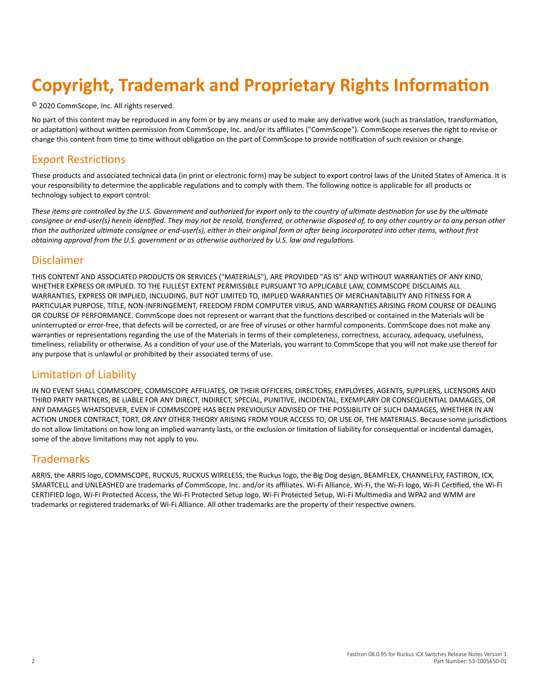## **Copyright, Trademark and Proprietary Rights Information**

© 2020 CommScope, Inc. All rights reserved.

No part of this content may be reproduced in any form or by any means or used to make any derivative work (such as translation, transformation, or adaptation) without written permission from CommScope, Inc. and/or its affiliates ("CommScope"). CommScope reserves the right to revise or change this content from time to time without obligation on the part of CommScope to provide notification of such revision or change.

#### Export Restrictions

These products and associated technical data (in print or electronic form) may be subject to export control laws of the United States of America. It is your responsibility to determine the applicable regulations and to comply with them. The following notice is applicable for all products or technology subject to export control:

These items are controlled by the U.S. Government and authorized for export only to the country of ultimate destination for use by the ultimate consignee or end-user(s) herein identified. They may not be resold, transferred, or otherwise disposed of, to any other country or to any person other than the authorized ultimate consignee or end-user(s), either in their original form or after being incorporated into other items, without first *obtaining approval from the U.S. government or as otherwise authorized by U.S. law and regulations.* 

#### Disclaimer

THIS CONTENT AND ASSOCIATED PRODUCTS OR SERVICES ("MATERIALS"), ARE PROVIDED "AS IS" AND WITHOUT WARRANTIES OF ANY KIND, WHETHER EXPRESS OR IMPLIED. TO THE FULLEST EXTENT PERMISSIBLE PURSUANT TO APPLICABLE LAW, COMMSCOPE DISCLAIMS ALL WARRANTIES, EXPRESS OR IMPLIED, INCLUDING, BUT NOT LIMITED TO, IMPLIED WARRANTIES OF MERCHANTABILITY AND FITNESS FOR A PARTICULAR PURPOSE, TITLE, NON-INFRINGEMENT, FREEDOM FROM COMPUTER VIRUS, AND WARRANTIES ARISING FROM COURSE OF DEALING OR COURSE OF PERFORMANCE. CommScope does not represent or warrant that the functions described or contained in the Materials will be uninterrupted or error-free, that defects will be corrected, or are free of viruses or other harmful components. CommScope does not make any warranties or representations regarding the use of the Materials in terms of their completeness, correctness, accuracy, adequacy, usefulness, timeliness, reliability or otherwise. As a condition of your use of the Materials, you warrant to CommScope that you will not make use thereof for any purpose that is unlawful or prohibited by their associated terms of use.

#### Limitation of Liability

IN NO EVENT SHALL COMMSCOPE, COMMSCOPE AFFILIATES, OR THEIR OFFICERS, DIRECTORS, EMPLOYEES, AGENTS, SUPPLIERS, LICENSORS AND THIRD PARTY PARTNERS, BE LIABLE FOR ANY DIRECT, INDIRECT, SPECIAL, PUNITIVE, INCIDENTAL, EXEMPLARY OR CONSEQUENTIAL DAMAGES, OR ANY DAMAGES WHATSOEVER, EVEN IF COMMSCOPE HAS BEEN PREVIOUSLY ADVISED OF THE POSSIBILITY OF SUCH DAMAGES, WHETHER IN AN ACTION UNDER CONTRACT, TORT, OR ANY OTHER THEORY ARISING FROM YOUR ACCESS TO, OR USE OF, THE MATERIALS. Because some jurisdictions do not allow limitations on how long an implied warranty lasts, or the exclusion or limitation of liability for consequential or incidental damages, some of the above limitations may not apply to you.

#### **Trademarks**

ARRIS, the ARRIS logo, COMMSCOPE, RUCKUS, RUCKUS WIRELESS, the Ruckus logo, the Big Dog design, BEAMFLEX, CHANNELFLY, FASTIRON, ICX, SMARTCELL and UNLEASHED are trademarks of CommScope, Inc. and/or its affiliates. Wi-Fi Alliance, Wi-Fi, the Wi-Fi logo, Wi-Fi Certified, the Wi-Fi CERTIFIED logo, Wi-Fi Protected Access, the Wi-Fi Protected Setup logo, Wi-Fi Protected Setup, Wi-Fi Multimedia and WPA2 and WMM are trademarks or registered trademarks of Wi-Fi Alliance. All other trademarks are the property of their respective owners.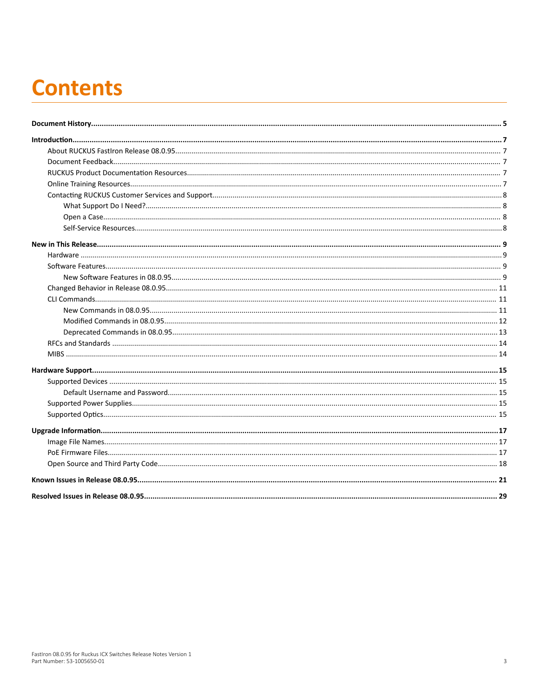# **Contents**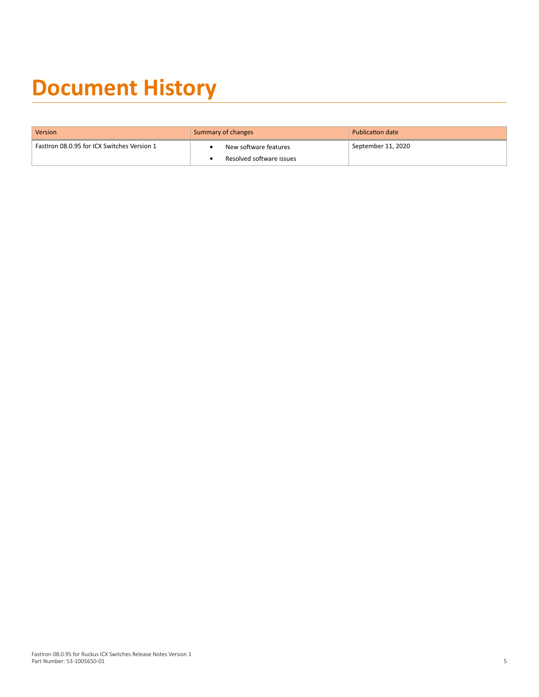# <span id="page-4-0"></span>**Document History**

| Version                                     | Summary of changes       | <b>Publication date</b> |
|---------------------------------------------|--------------------------|-------------------------|
| Fastlron 08.0.95 for ICX Switches Version 1 | New software features    | September 11, 2020      |
|                                             | Resolved software issues |                         |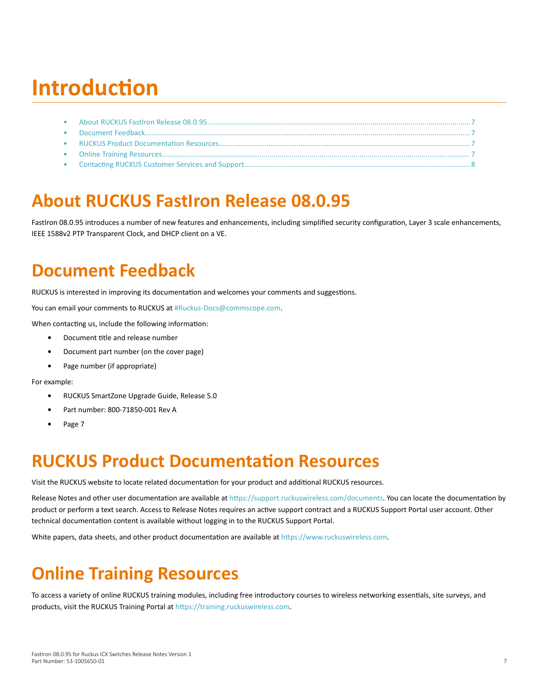# <span id="page-6-0"></span>**Introduction**

| $\bullet$ |  |
|-----------|--|
|           |  |
|           |  |

## **About RUCKUS FastIron Release 08.0.95**

FastIron 08.0.95 introduces a number of new features and enhancements, including simplified security configuration, Layer 3 scale enhancements, IEEE 1588v2 PTP Transparent Clock, and DHCP client on a VE.

## **Document Feedback**

RUCKUS is interested in improving its documentation and welcomes your comments and suggestions.

You can email your comments to RUCKUS at [#Ruckus-Docs@commscope.com.](mailto:%20mailto:%20#Ruckus-Docs@commscope.com)

When contacting us, include the following information:

- **Document title and release number**
- **•** Document part number (on the cover page)
- **•** Page number (if appropriate)

For example:

- **•** RUCKUS SmartZone Upgrade Guide, Release 5.0
- **•** Part number: 800-71850-001 Rev A
- **•** Page 7

### **RUCKUS Product Documentation Resources**

Visit the RUCKUS website to locate related documentation for your product and additional RUCKUS resources.

Release Notes and other user documentation are available at https://support.ruckuswireless.com/documents. You can locate the documentation by product or perform a text search. Access to Release Notes requires an active support contract and a RUCKUS Support Portal user account. Other technical documentation content is available without logging in to the RUCKUS Support Portal.

White papers, data sheets, and other product documentation are available at https://www.ruckuswireless.com.

## **Online Training Resources**

To access a variety of online RUCKUS training modules, including free introductory courses to wireless networking essentials, site surveys, and products, visit the RUCKUS Training Portal at https://training.ruckuswireless.com.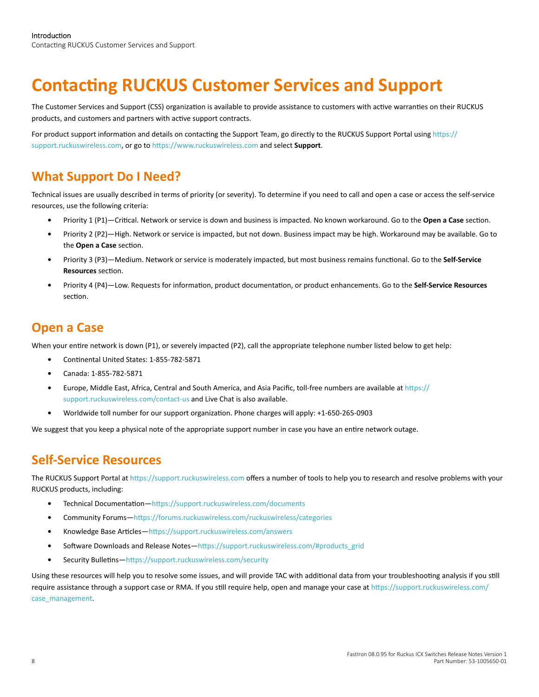## <span id="page-7-0"></span>**Contacting RUCKUS Customer Services and Support**

The Customer Services and Support (CSS) organization is available to provide assistance to customers with active warranties on their RUCKUS products, and customers and partners with active support contracts.

For product support information and details on contacting the Support Team, go directly to the RUCKUS Support Portal using https:// support.ruckuswireless.com, or go to https://www.ruckuswireless.com and select Support.

### **What Support Do I Need?**

Technical issues are usually described in terms of priority (or severity). To determine if you need to call and open a case or access the self-service resources, use the following criteria:

- Priority 1 (P1)-Critical. Network or service is down and business is impacted. No known workaround. Go to the Open a Case section.
- Priority 2 (P2)—High. Network or service is impacted, but not down. Business impact may be high. Workaround may be available. Go to the Open a Case section.
- Priority 3 (P3)-Medium. Network or service is moderately impacted, but most business remains functional. Go to the Self-Service Resources section.
- Priority 4 (P4)-Low. Requests for information, product documentation, or product enhancements. Go to the Self-Service Resources section.

### **Open a Case**

When your entire network is down (P1), or severely impacted (P2), call the appropriate telephone number listed below to get help:

- Continental United States: 1-855-782-5871  $\bullet$
- Canada: 1-855-782-5871
- Europe, Middle East, Africa, Central and South America, and Asia Pacific, toll-free numbers are available at https:// support.ruckuswireless.com/contact-us and Live Chat is also available.
- Worldwide toll number for our support organization. Phone charges will apply: +1-650-265-0903

We suggest that you keep a physical note of the appropriate support number in case you have an entire network outage.

#### **Self-Service Resources**

The RUCKUS Support Portal at https://support.ruckuswireless.com offers a number of tools to help you to research and resolve problems with your RUCKUS products, including:

- Technical Documentation-https://support.ruckuswireless.com/documents
- Community Forums-https://forums.ruckuswireless.com/ruckuswireless/categories  $\bullet$
- Knowledge Base Articles-https://support.ruckuswireless.com/answers
- Software Downloads and Release Notes-https://support.ruckuswireless.com/#products\_grid
- Security Bulletins-https://support.ruckuswireless.com/security

Using these resources will help you to resolve some issues, and will provide TAC with additional data from your troubleshooting analysis if you still require assistance through a support case or RMA. If you still require help, open and manage your case at https://support.ruckuswireless.com/ case management.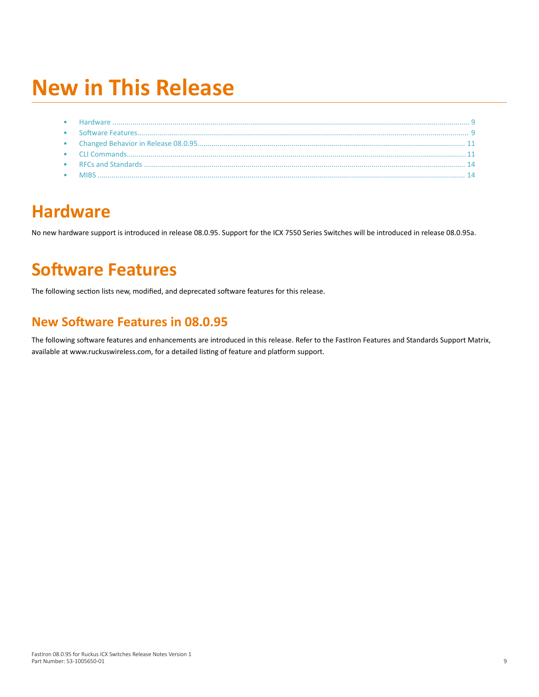# <span id="page-8-0"></span>**New in This Release**

## **Hardware**

No new hardware support is introduced in release 08.0.95. Support for the ICX 7550 Series Switches will be introduced in release 08.0.95a.

## **Software Features**

The following section lists new, modified, and deprecated software features for this release.

### **New Software Features in 08.0.95**

The following software features and enhancements are introduced in this release. Refer to the FastIron Features and Standards Support Matrix, available at www.ruckuswireless.com, for a detailed listing of feature and platform support.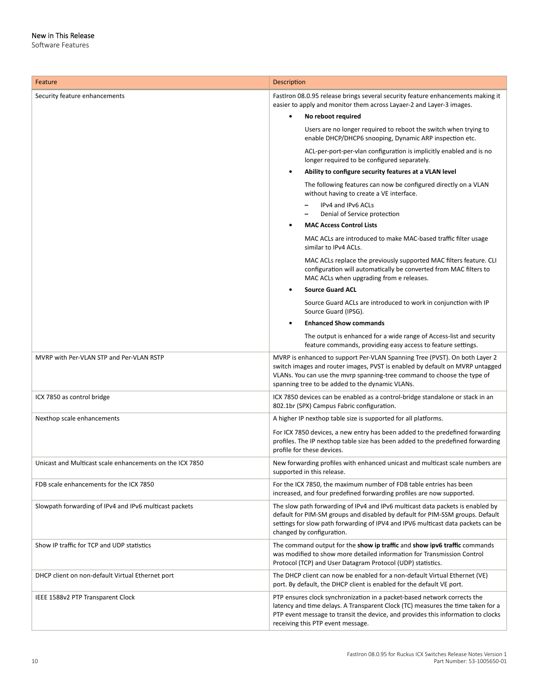#### New in This Release

Software Features

| Feature                                                  | Description                                                                                                                                                                                                                                                                              |
|----------------------------------------------------------|------------------------------------------------------------------------------------------------------------------------------------------------------------------------------------------------------------------------------------------------------------------------------------------|
| Security feature enhancements                            | FastIron 08.0.95 release brings several security feature enhancements making it<br>easier to apply and monitor them across Layaer-2 and Layer-3 images.                                                                                                                                  |
|                                                          | No reboot required                                                                                                                                                                                                                                                                       |
|                                                          | Users are no longer required to reboot the switch when trying to<br>enable DHCP/DHCP6 snooping, Dynamic ARP inspection etc.                                                                                                                                                              |
|                                                          | ACL-per-port-per-vlan configuration is implicitly enabled and is no<br>longer required to be configured separately.                                                                                                                                                                      |
|                                                          | Ability to configure security features at a VLAN level<br>$\bullet$                                                                                                                                                                                                                      |
|                                                          | The following features can now be configured directly on a VLAN<br>without having to create a VE interface.                                                                                                                                                                              |
|                                                          | IPv4 and IPv6 ACLs<br>Denial of Service protection                                                                                                                                                                                                                                       |
|                                                          | <b>MAC Access Control Lists</b><br>٠                                                                                                                                                                                                                                                     |
|                                                          | MAC ACLs are introduced to make MAC-based traffic filter usage<br>similar to IPv4 ACLs.                                                                                                                                                                                                  |
|                                                          | MAC ACLs replace the previously supported MAC filters feature. CLI<br>configuration will automatically be converted from MAC filters to<br>MAC ACLs when upgrading from e releases.                                                                                                      |
|                                                          | <b>Source Guard ACL</b><br>$\bullet$                                                                                                                                                                                                                                                     |
|                                                          | Source Guard ACLs are introduced to work in conjunction with IP<br>Source Guard (IPSG).                                                                                                                                                                                                  |
|                                                          | <b>Enhanced Show commands</b><br>$\bullet$                                                                                                                                                                                                                                               |
|                                                          | The output is enhanced for a wide range of Access-list and security<br>feature commands, providing easy access to feature settings.                                                                                                                                                      |
| MVRP with Per-VLAN STP and Per-VLAN RSTP                 | MVRP is enhanced to support Per-VLAN Spanning Tree (PVST). On both Layer 2<br>switch images and router images, PVST is enabled by default on MVRP untagged<br>VLANs. You can use the mvrp spanning-tree command to choose the type of<br>spanning tree to be added to the dynamic VLANs. |
| ICX 7850 as control bridge                               | ICX 7850 devices can be enabled as a control-bridge standalone or stack in an<br>802.1br (SPX) Campus Fabric configuration.                                                                                                                                                              |
| Nexthop scale enhancements                               | A higher IP nexthop table size is supported for all platforms.                                                                                                                                                                                                                           |
|                                                          | For ICX 7850 devices, a new entry has been added to the predefined forwarding<br>profiles. The IP nexthop table size has been added to the predefined forwarding<br>profile for these devices.                                                                                           |
| Unicast and Multicast scale enhancements on the ICX 7850 | New forwarding profiles with enhanced unicast and multicast scale numbers are<br>supported in this release.                                                                                                                                                                              |
| FDB scale enhancements for the ICX 7850                  | For the ICX 7850, the maximum number of FDB table entries has been<br>increased, and four predefined forwarding profiles are now supported.                                                                                                                                              |
| Slowpath forwarding of IPv4 and IPv6 multicast packets   | The slow path forwarding of IPv4 and IPv6 multicast data packets is enabled by<br>default for PIM-SM groups and disabled by default for PIM-SSM groups. Default<br>settings for slow path forwarding of IPV4 and IPV6 multicast data packets can be<br>changed by configuration.         |
| Show IP traffic for TCP and UDP statistics               | The command output for the show ip traffic and show ipv6 traffic commands<br>was modified to show more detailed information for Transmission Control<br>Protocol (TCP) and User Datagram Protocol (UDP) statistics.                                                                      |
| DHCP client on non-default Virtual Ethernet port         | The DHCP client can now be enabled for a non-default Virtual Ethernet (VE)<br>port. By default, the DHCP client is enabled for the default VE port.                                                                                                                                      |
| IEEE 1588v2 PTP Transparent Clock                        | PTP ensures clock synchronization in a packet-based network corrects the<br>latency and time delays. A Transparent Clock (TC) measures the time taken for a<br>PTP event message to transit the device, and provides this information to clocks<br>receiving this PTP event message.     |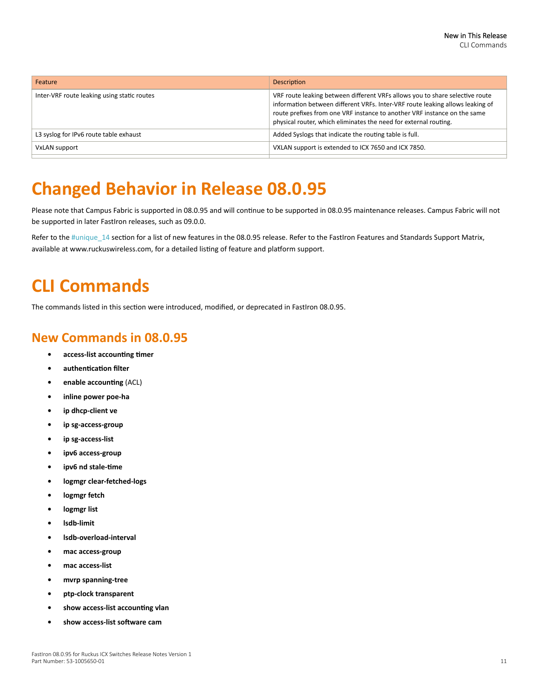<span id="page-10-0"></span>

| Feature                                     | Description                                                                                                                                                                                                                                                                                                   |
|---------------------------------------------|---------------------------------------------------------------------------------------------------------------------------------------------------------------------------------------------------------------------------------------------------------------------------------------------------------------|
| Inter-VRF route leaking using static routes | VRF route leaking between different VRFs allows you to share selective route<br>information between different VRFs. Inter-VRF route leaking allows leaking of<br>route prefixes from one VRF instance to another VRF instance on the same<br>physical router, which eliminates the need for external routing. |
| L3 syslog for IPv6 route table exhaust      | Added Syslogs that indicate the routing table is full.                                                                                                                                                                                                                                                        |
| VxLAN support                               | VXLAN support is extended to ICX 7650 and ICX 7850.                                                                                                                                                                                                                                                           |
|                                             |                                                                                                                                                                                                                                                                                                               |

## **Changed Behavior in Release 08.0.95**

Please note that Campus Fabric is supported in 08.0.95 and will continue to be supported in 08.0.95 maintenance releases. Campus Fabric will not be supported in later FastIron releases, such as 09.0.0.

Refer to the #unique\_14 section for a list of new features in the 08.0.95 release. Refer to the FastIron Features and Standards Support Matrix, available at www.ruckuswireless.com, for a detailed listing of feature and platform support.

## **CLI Commands**

The commands listed in this section were introduced, modified, or deprecated in FastIron 08.0.95.

### **New Commands in 08.0.95**

- **access-list accounting timer**
- $\alpha$  **authentication filter**
- **enable accounting (ACL)**
- **inline power poe-ha**
- **ip dhcp-client ve**
- **ip sg-access-group**
- **ip sg-access-list**
- **ipv6 access-group**
- ipv6 nd stale-time
- **logmgr clear-fetched-logs**
- **logmgr fetch**
- **logmgr list**
- **lsdb-limit**
- **lsdb-overload-interval**
- **mac access-group**
- **mac access-list**
- **mvrp spanning-tree**
- **ptp-clock transparent**
- show access-list accounting vlan
- show access-list software cam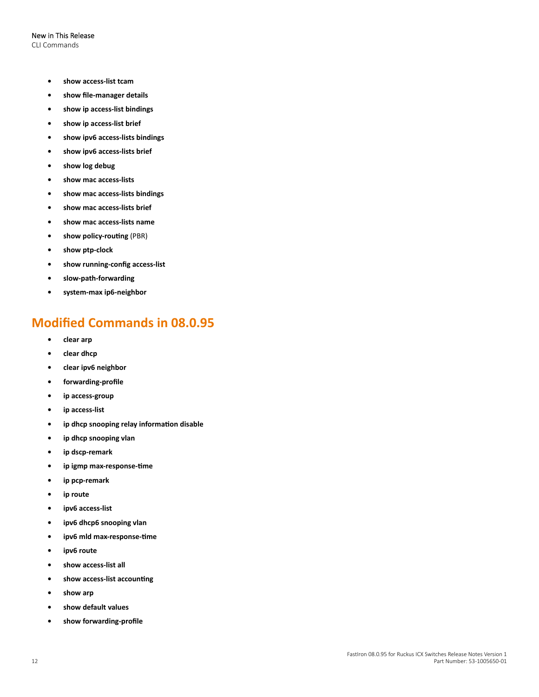- <span id="page-11-0"></span>**• show access-list tcam**
- **show file-manager details**
- **show ip access-list bindings**
- **show ip access-list brief**
- **show ipv6 access-lists bindings**
- **show ipv6 access-lists brief**
- **show log debug**
- **show mac access-lists**
- **show mac access-lists bindings**
- **show mac access-lists brief**
- **show mac access-lists name**
- **show policy-routing (PBR)**
- **show ptp-clock**
- **•** show running-config access-list
- **slow-path-forwarding**
- **system-max ip6-neighbor**

### **Modified Commands in 08.0.95**

- **clear arp**
- **clear dhcp**
- **clear ipv6 neighbor**
- $forwarding-profile$
- **ip access-group**
- **ip access-list**
- **•** ip dhcp snooping relay information disable
- **ip dhcp snooping vlan**
- **ip dscp-remark**
- **•** ip igmp max-response-time
- **ip pcp-remark**
- **ip route**
- **ipv6 access-list**
- **ipv6 dhcp6 snooping vlan**
- ipv6 mld max-response-time
- **ipv6 route**
- **show access-list all**
- show access-list accounting
- **show arp**
- **show default values**
- **show forwarding-profile**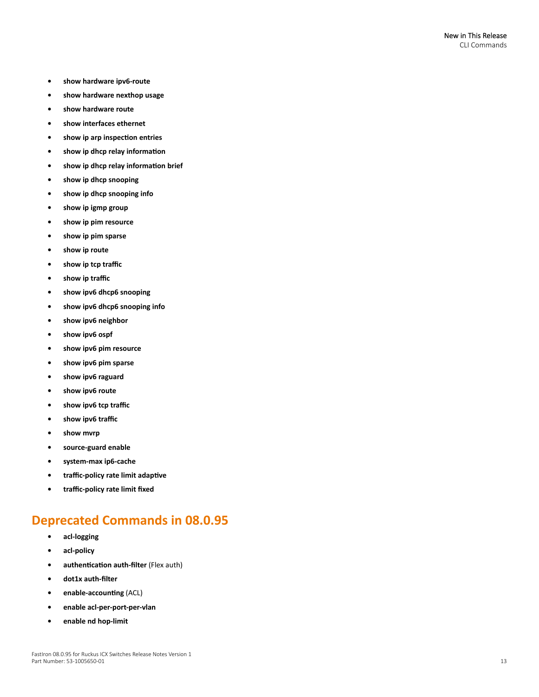- <span id="page-12-0"></span>**• show hardware ipv6-route**
- **show hardware nexthop usage**
- **show hardware route**
- **show interfaces ethernet**
- show ip arp inspection entries
- show ip dhcp relay information
- show ip dhcp relay information brief
- **show ip dhcp snooping**
- **show ip dhcp snooping info**
- **show ip igmp group**
- **show ip pim resource**
- **show ip pim sparse**
- **show ip route**
- show ip tcp traffic
- show ip traffic
- **show ipv6 dhcp6 snooping**
- **show ipv6 dhcp6 snooping info**
- **show ipv6 neighbor**
- **show ipv6 ospf**
- **show ipv6 pim resource**
- **show ipv6 pim sparse**
- **show ipv6 raguard**
- **show ipv6 route**
- show ipv6 tcp traffic
- show ipv6 traffic
- **show mvrp**
- **source-guard enable**
- **system-max ip6-cache**
- **•** traffic-policy rate limit adaptive
- *traffic-policy rate limit fixed*

### **Deprecated Commands in 08.0.95**

- **acl-logging**
- **acl-policy**
- **authentication auth-filter (Flex auth)**
- **dot1x auth-filter**
- *enable-accounting (ACL)*
- **enable acl-per-port-per-vlan**
- **enable nd hop-limit**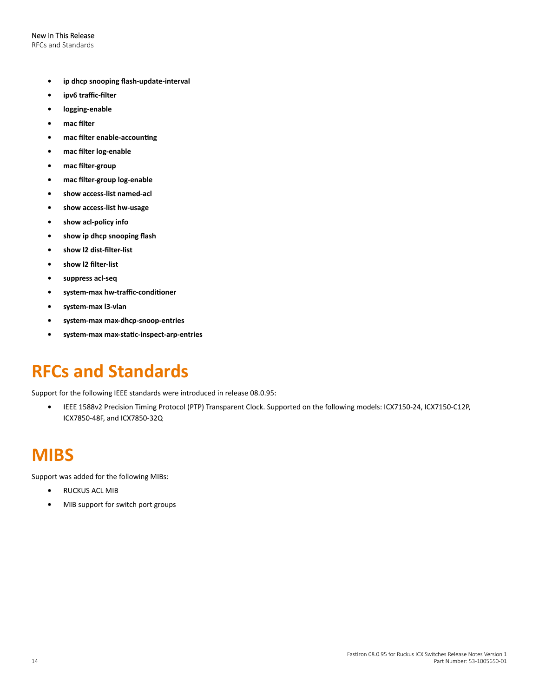- <span id="page-13-0"></span>**•** ip dhcp snooping flash-update-interval
- ipv6 traffic-filter
- **logging-enable**
- mac filter
- **mac filter enable-accounting**
- mac filter log-enable
- mac filter-group
- **mac filter-group log-enable**
- **show access-list named-acl**
- **show access-list hw-usage**
- **show acl-policy info**
- show ip dhcp snooping flash
- **show I2 dist-filter-list**
- **show I2 filter-list**
- **suppress acl-seq**
- **system-max hw-traffic-conditioner**
- **system-max l3-vlan**
- **system-max max-dhcp-snoop-entries**
- system-max max-static-inspect-arp-entries

## **RFCs and Standards**

Support for the following IEEE standards were introduced in release 08.0.95:

**•** IEEE 1588v2 Precision Timing Protocol (PTP) Transparent Clock. Supported on the following models: ICX7150-24, ICX7150-C12P, ICX7850-48F, and ICX7850-32Q

## **MIBS**

Support was added for the following MIBs:

- **•** RUCKUS ACL MIB
- **•** MIB support for switch port groups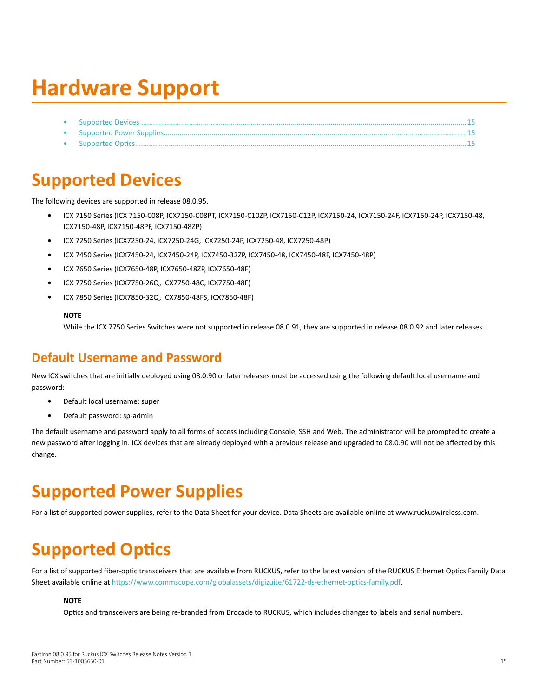## <span id="page-14-0"></span>**Hardware Support**

## **Supported Devices**

The following devices are supported in release 08.0.95.

- **•** ICX 7150 Series (ICX 7150-C08P, ICX7150-C08PT, ICX7150-C10ZP, ICX7150-C12P, ICX7150-24, ICX7150-24F, ICX7150-24P, ICX7150-48, ICX7150‑48P, ICX7150-48PF, ICX7150-48ZP)
- **•** ICX 7250 Series (ICX7250-24, ICX7250-24G, ICX7250-24P, ICX7250-48, ICX7250-48P)
- **•** ICX 7450 Series (ICX7450-24, ICX7450-24P, ICX7450-32ZP, ICX7450-48, ICX7450-48F, ICX7450-48P)
- **•** ICX 7650 Series (ICX7650-48P, ICX7650-48ZP, ICX7650-48F)
- **•** ICX 7750 Series (ICX7750-26Q, ICX7750-48C, ICX7750-48F)
- **•** ICX 7850 Series (ICX7850-32Q, ICX7850-48FS, ICX7850-48F)

#### **NOTE**

While the ICX 7750 Series Switches were not supported in release 08.0.91, they are supported in release 08.0.92 and later releases.

#### **Default Username and Password**

New ICX switches that are initially deployed using 08.0.90 or later releases must be accessed using the following default local username and password:

- **•** Default local username: super
- **•** Default password: sp-admin

The default username and password apply to all forms of access including Console, SSH and Web. The administrator will be prompted to create a new password after logging in. ICX devices that are already deployed with a previous release and upgraded to 08.0.90 will not be affected by this change.

## **Supported Power Supplies**

For a list of supported power supplies, refer to the Data Sheet for your device. Data Sheets are available online at www.ruckuswireless.com.

## **Supported Optics**

For a list of supported fiber-optic transceivers that are available from RUCKUS, refer to the latest version of the RUCKUS Ethernet Optics Family Data Sheet available online at https://www.commscope.com/globalassets/digizuite/61722-ds-ethernet-optics-family.pdf.

#### **NOTE**

Optics and transceivers are being re-branded from Brocade to RUCKUS, which includes changes to labels and serial numbers.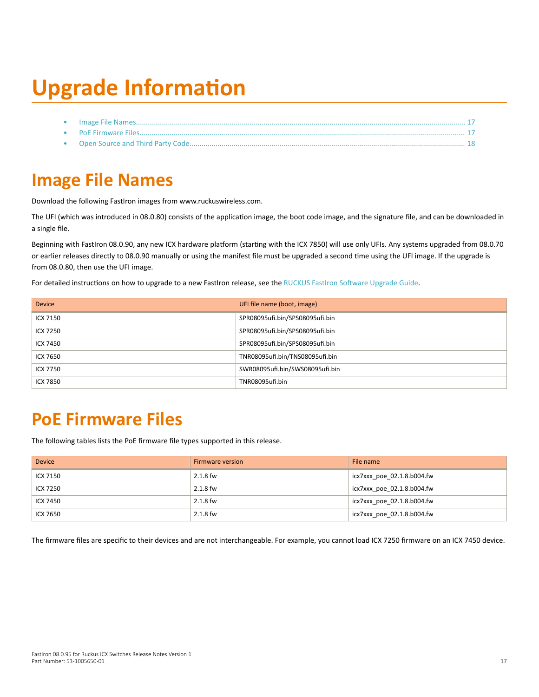# <span id="page-16-0"></span>**Upgrade Information**

## **Image File Names**

Download the following FastIron images from www.ruckuswireless.com.

The UFI (which was introduced in 08.0.80) consists of the application image, the boot code image, and the signature file, and can be downloaded in a single file.

Beginning with FastIron 08.0.90, any new ICX hardware platform (starting with the ICX 7850) will use only UFIs. Any systems upgraded from 08.0.70 or earlier releases directly to 08.0.90 manually or using the manifest file must be upgraded a second time using the UFI image. If the upgrade is from 08.0.80, then use the UFI image.

For detailed instructions on how to upgrade to a new FastIron release, see the RUCKUS FastIron Software Upgrade Guide.

| <b>Device</b> | UFI file name (boot, image)     |
|---------------|---------------------------------|
| ICX 7150      | SPR08095ufi.bin/SPS08095ufi.bin |
| ICX 7250      | SPR08095ufi.bin/SPS08095ufi.bin |
| ICX 7450      | SPR08095ufi.bin/SPS08095ufi.bin |
| ICX 7650      | TNR08095ufi.bin/TNS08095ufi.bin |
| ICX 7750      | SWR08095ufi.bin/SWS08095ufi.bin |
| ICX 7850      | TNR08095ufi.bin                 |

## **PoE Firmware Files**

The following tables lists the PoE firmware file types supported in this release.

| <b>Device</b> | Firmware version | File name                  |
|---------------|------------------|----------------------------|
| ICX 7150      | $2.1.8$ fw       | icx7xxx poe 02.1.8.b004.fw |
| ICX 7250      | $2.1.8$ fw       | icx7xxx poe 02.1.8.b004.fw |
| ICX 7450      | $2.1.8$ fw       | icx7xxx_poe_02.1.8.b004.fw |
| ICX 7650      | $2.1.8$ fw       | icx7xxx poe 02.1.8.b004.fw |

The firmware files are specific to their devices and are not interchangeable. For example, you cannot load ICX 7250 firmware on an ICX 7450 device.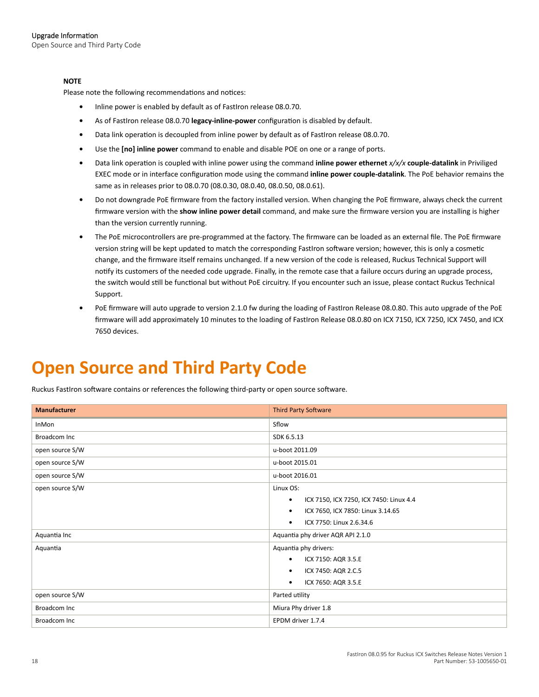#### <span id="page-17-0"></span>**NOTE**

Please note the following recommendations and notices:

- **•** Inline power is enabled by default as of FastIron release 08.0.70.
- As of FastIron release 08.0.70 legacy-inline-power configuration is disabled by default.
- Data link operation is decoupled from inline power by default as of FastIron release 08.0.70.
- **•** Use the **[no] inline power** command to enable and disable POE on one or a range of ports.
- Data link operation is coupled with inline power using the command **inline power ethernet** *x/x/x* couple-datalink in Priviliged EXEC mode or in interface configuration mode using the command inline power couple-datalink. The PoE behavior remains the same as in releases prior to 08.0.70 (08.0.30, 08.0.40, 08.0.50, 08.0.61).
- Do not downgrade PoE firmware from the factory installed version. When changing the PoE firmware, always check the current firmware version with the **show inline power detail** command, and make sure the firmware version you are installing is higher than the version currently running.
- The PoE microcontrollers are pre-programmed at the factory. The firmware can be loaded as an external file. The PoE firmware version string will be kept updated to match the corresponding FastIron software version; however, this is only a cosmetic change, and the firmware itself remains unchanged. If a new version of the code is released, Ruckus Technical Support will notify its customers of the needed code upgrade. Finally, in the remote case that a failure occurs during an upgrade process, the switch would still be functional but without PoE circuitry. If you encounter such an issue, please contact Ruckus Technical Support.
- PoE firmware will auto upgrade to version 2.1.0 fw during the loading of FastIron Release 08.0.80. This auto upgrade of the PoE firmware will add approximately 10 minutes to the loading of FastIron Release 08.0.80 on ICX 7150, ICX 7250, ICX 7450, and ICX 7650 devices.

## **Open Source and Third Party Code**

Ruckus FastIron software contains or references the following third-party or open source software.

| <b>Manufacturer</b> | <b>Third Party Software</b>                  |
|---------------------|----------------------------------------------|
| InMon               | Sflow                                        |
| Broadcom Inc        | SDK 6.5.13                                   |
| open source S/W     | u-boot 2011.09                               |
| open source S/W     | u-boot 2015.01                               |
| open source S/W     | u-boot 2016.01                               |
| open source S/W     | Linux OS:                                    |
|                     | ICX 7150, ICX 7250, ICX 7450: Linux 4.4<br>٠ |
|                     | ICX 7650, ICX 7850: Linux 3.14.65<br>٠       |
|                     | ICX 7750: Linux 2.6.34.6<br>٠                |
| Aquantia Inc        | Aquantia phy driver AQR API 2.1.0            |
| Aquantia            | Aquantia phy drivers:                        |
|                     | ICX 7150: AQR 3.5.E<br>٠                     |
|                     | ICX 7450: AQR 2.C.5<br>٠                     |
|                     | ICX 7650: AQR 3.5.E<br>$\bullet$             |
| open source S/W     | Parted utility                               |
| Broadcom Inc        | Miura Phy driver 1.8                         |
| Broadcom Inc        | EPDM driver 1.7.4                            |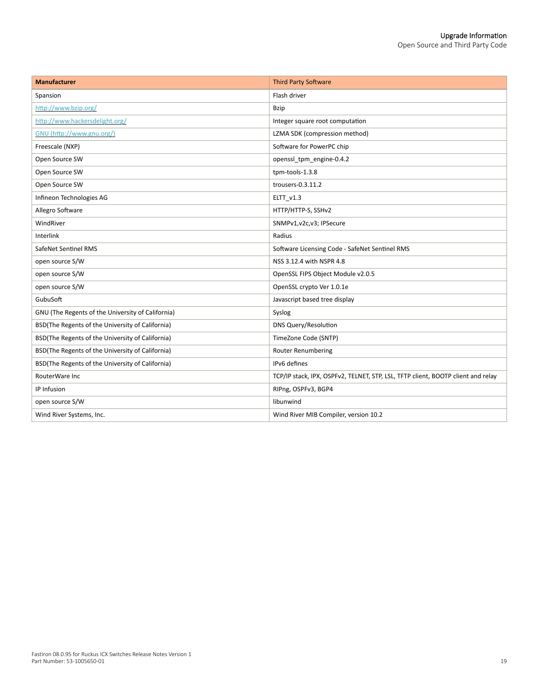| <b>Manufacturer</b>                               | <b>Third Party Software</b>                                                      |
|---------------------------------------------------|----------------------------------------------------------------------------------|
| Spansion                                          | Flash driver                                                                     |
| http://www.bzip.org/                              | <b>Bzip</b>                                                                      |
| http://www.hackersdelight.org/                    | Integer square root computation                                                  |
| GNU (http://www.gnu.org/)                         | LZMA SDK (compression method)                                                    |
| Freescale (NXP)                                   | Software for PowerPC chip                                                        |
| Open Source SW                                    | openssl_tpm_engine-0.4.2                                                         |
| Open Source SW                                    | tpm-tools-1.3.8                                                                  |
| Open Source SW                                    | trousers-0.3.11.2                                                                |
| Infineon Technologies AG                          | ELTT v1.3                                                                        |
| Allegro Software                                  | HTTP/HTTP-S, SSHv2                                                               |
| WindRiver                                         | SNMPv1, v2c, v3; IPSecure                                                        |
| Interlink                                         | Radius                                                                           |
| SafeNet Sentinel RMS                              | Software Licensing Code - SafeNet Sentinel RMS                                   |
| open source S/W                                   | NSS 3.12.4 with NSPR 4.8                                                         |
| open source S/W                                   | OpenSSL FIPS Object Module v2.0.5                                                |
| open source S/W                                   | OpenSSL crypto Ver 1.0.1e                                                        |
| GubuSoft                                          | Javascript based tree display                                                    |
| GNU (The Regents of the University of California) | Syslog                                                                           |
| BSD(The Regents of the University of California)  | <b>DNS Query/Resolution</b>                                                      |
| BSD(The Regents of the University of California)  | TimeZone Code (SNTP)                                                             |
| BSD(The Regents of the University of California)  | Router Renumbering                                                               |
| BSD(The Regents of the University of California)  | IPv6 defines                                                                     |
| RouterWare Inc                                    | TCP/IP stack, IPX, OSPFv2, TELNET, STP, LSL, TFTP client, BOOTP client and relay |
| IP Infusion                                       | RIPng, OSPFv3, BGP4                                                              |
| open source S/W                                   | libunwind                                                                        |
| Wind River Systems, Inc.                          | Wind River MIB Compiler, version 10.2                                            |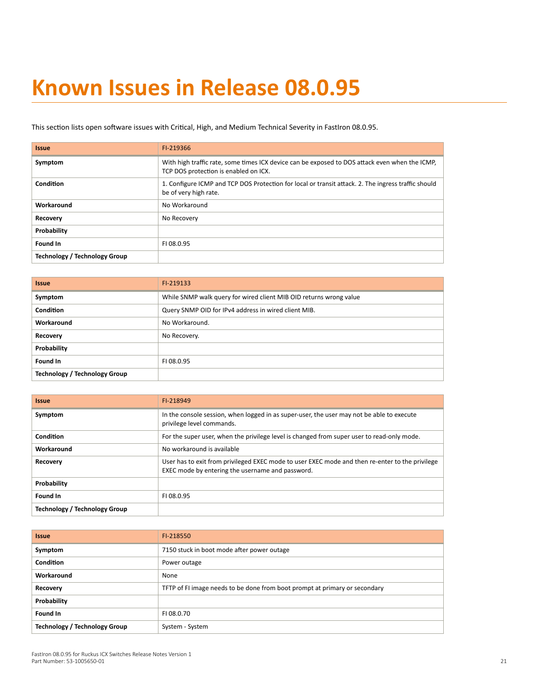# <span id="page-20-0"></span>**Known Issues in Release 08.0.95**

This section lists open software issues with Critical, High, and Medium Technical Severity in FastIron 08.0.95.

| <b>Issue</b>                         | FI-219366                                                                                                                               |
|--------------------------------------|-----------------------------------------------------------------------------------------------------------------------------------------|
| Symptom                              | With high traffic rate, some times ICX device can be exposed to DOS attack even when the ICMP,<br>TCP DOS protection is enabled on ICX. |
| Condition                            | 1. Configure ICMP and TCP DOS Protection for local or transit attack. 2. The ingress traffic should<br>be of very high rate.            |
| Workaround                           | No Workaround                                                                                                                           |
| Recovery                             | No Recovery                                                                                                                             |
| Probability                          |                                                                                                                                         |
| Found In                             | FI 08.0.95                                                                                                                              |
| <b>Technology / Technology Group</b> |                                                                                                                                         |

| <b>Issue</b>                         | FI-219133                                                          |
|--------------------------------------|--------------------------------------------------------------------|
| Symptom                              | While SNMP walk query for wired client MIB OID returns wrong value |
| <b>Condition</b>                     | Query SNMP OID for IPv4 address in wired client MIB.               |
| Workaround                           | No Workaround.                                                     |
| Recovery                             | No Recovery.                                                       |
| Probability                          |                                                                    |
| Found In                             | FI 08.0.95                                                         |
| <b>Technology / Technology Group</b> |                                                                    |

| <b>Issue</b>                  | FI-218949                                                                                                                                           |
|-------------------------------|-----------------------------------------------------------------------------------------------------------------------------------------------------|
| Symptom                       | In the console session, when logged in as super-user, the user may not be able to execute<br>privilege level commands.                              |
| Condition                     | For the super user, when the privilege level is changed from super user to read-only mode.                                                          |
| Workaround                    | No workaround is available                                                                                                                          |
| Recovery                      | User has to exit from privileged EXEC mode to user EXEC mode and then re-enter to the privilege<br>EXEC mode by entering the username and password. |
| Probability                   |                                                                                                                                                     |
| Found In                      | FI 08.0.95                                                                                                                                          |
| Technology / Technology Group |                                                                                                                                                     |

| <b>Issue</b>                         | FI-218550                                                                  |
|--------------------------------------|----------------------------------------------------------------------------|
| Symptom                              | 7150 stuck in boot mode after power outage                                 |
| <b>Condition</b>                     | Power outage                                                               |
| Workaround                           | None                                                                       |
| Recovery                             | TFTP of FI image needs to be done from boot prompt at primary or secondary |
| Probability                          |                                                                            |
| Found In                             | FI 08.0.70                                                                 |
| <b>Technology / Technology Group</b> | System - System                                                            |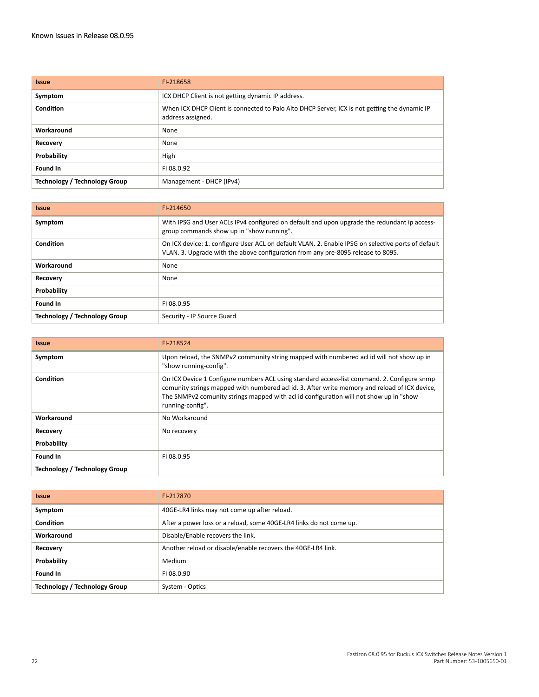| <b>Issue</b>                         | FI-218658                                                                                                          |
|--------------------------------------|--------------------------------------------------------------------------------------------------------------------|
| Symptom                              | ICX DHCP Client is not getting dynamic IP address.                                                                 |
| Condition                            | When ICX DHCP Client is connected to Palo Alto DHCP Server, ICX is not getting the dynamic IP<br>address assigned. |
| Workaround                           | None                                                                                                               |
| Recovery                             | None                                                                                                               |
| Probability                          | High                                                                                                               |
| Found In                             | FI 08.0.92                                                                                                         |
| <b>Technology / Technology Group</b> | Management - DHCP (IPv4)                                                                                           |

| <b>Issue</b>                         | FI-214650                                                                                                                                                                              |
|--------------------------------------|----------------------------------------------------------------------------------------------------------------------------------------------------------------------------------------|
| Symptom                              | With IPSG and User ACLs IPv4 configured on default and upon upgrade the redundant ip access-<br>group commands show up in "show running".                                              |
| Condition                            | On ICX device: 1. configure User ACL on default VLAN. 2. Enable IPSG on selective ports of default<br>VLAN. 3. Upgrade with the above configuration from any pre-8095 release to 8095. |
| Workaround                           | None                                                                                                                                                                                   |
| Recovery                             | None                                                                                                                                                                                   |
| Probability                          |                                                                                                                                                                                        |
| Found In                             | FI 08.0.95                                                                                                                                                                             |
| <b>Technology / Technology Group</b> | Security - IP Source Guard                                                                                                                                                             |

| <b>Issue</b>                  | FI-218524                                                                                                                                                                                                                                                                                                  |
|-------------------------------|------------------------------------------------------------------------------------------------------------------------------------------------------------------------------------------------------------------------------------------------------------------------------------------------------------|
| Symptom                       | Upon reload, the SNMPv2 community string mapped with numbered acl id will not show up in<br>"show running-config".                                                                                                                                                                                         |
| Condition                     | On ICX Device 1 Configure numbers ACL using standard access-list command. 2. Configure snmp<br>comunity strings mapped with numbered acl id. 3. After write memory and reload of ICX device.<br>The SNMPv2 comunity strings mapped with acl id configuration will not show up in "show<br>running-config". |
| Workaround                    | No Workaround                                                                                                                                                                                                                                                                                              |
| Recovery                      | No recovery                                                                                                                                                                                                                                                                                                |
| Probability                   |                                                                                                                                                                                                                                                                                                            |
| Found In                      | FI08.0.95                                                                                                                                                                                                                                                                                                  |
| Technology / Technology Group |                                                                                                                                                                                                                                                                                                            |

| <b>Issue</b>                  | FI-217870                                                           |
|-------------------------------|---------------------------------------------------------------------|
| Symptom                       | 40GE-LR4 links may not come up after reload.                        |
| Condition                     | After a power loss or a reload, some 40GE-LR4 links do not come up. |
| Workaround                    | Disable/Enable recovers the link.                                   |
| Recovery                      | Another reload or disable/enable recovers the 40GE-LR4 link.        |
| Probability                   | Medium                                                              |
| Found In                      | FI 08.0.90                                                          |
| Technology / Technology Group | System - Optics                                                     |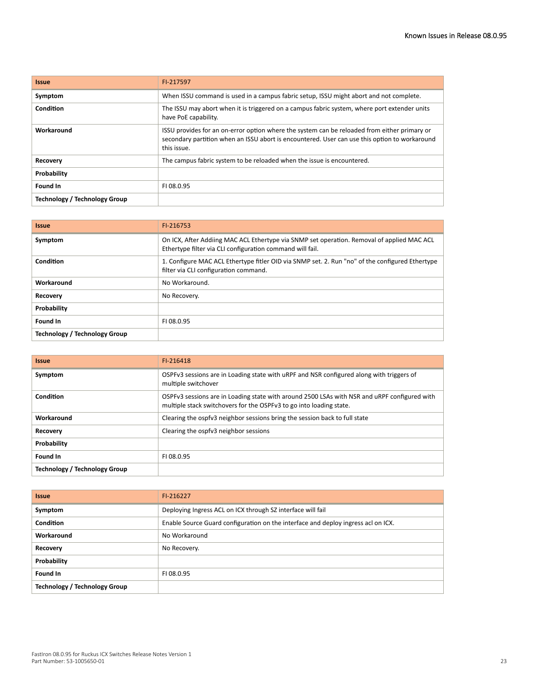| <b>Issue</b>                  | FI-217597                                                                                                                                                                                                    |
|-------------------------------|--------------------------------------------------------------------------------------------------------------------------------------------------------------------------------------------------------------|
| Symptom                       | When ISSU command is used in a campus fabric setup, ISSU might abort and not complete.                                                                                                                       |
| Condition                     | The ISSU may abort when it is triggered on a campus fabric system, where port extender units<br>have PoE capability.                                                                                         |
| Workaround                    | ISSU provides for an on-error option where the system can be reloaded from either primary or<br>secondary partition when an ISSU abort is encountered. User can use this option to workaround<br>this issue. |
| Recovery                      | The campus fabric system to be reloaded when the issue is encountered.                                                                                                                                       |
| Probability                   |                                                                                                                                                                                                              |
| Found In                      | FI08.0.95                                                                                                                                                                                                    |
| Technology / Technology Group |                                                                                                                                                                                                              |

| <b>Issue</b>                  | FI-216753                                                                                                                                               |
|-------------------------------|---------------------------------------------------------------------------------------------------------------------------------------------------------|
| Symptom                       | On ICX, After Addiing MAC ACL Ethertype via SNMP set operation. Removal of applied MAC ACL<br>Ethertype filter via CLI configuration command will fail. |
| Condition                     | 1. Configure MAC ACL Ethertype fitler OID via SNMP set. 2. Run "no" of the configured Ethertype<br>filter via CLI configuration command.                |
| Workaround                    | No Workaround.                                                                                                                                          |
| Recovery                      | No Recovery.                                                                                                                                            |
| Probability                   |                                                                                                                                                         |
| Found In                      | FI08.0.95                                                                                                                                               |
| Technology / Technology Group |                                                                                                                                                         |

| <b>Issue</b>                  | FI-216418                                                                                                                                                           |
|-------------------------------|---------------------------------------------------------------------------------------------------------------------------------------------------------------------|
| Symptom                       | OSPFv3 sessions are in Loading state with uRPF and NSR configured along with triggers of<br>multiple switchover                                                     |
| Condition                     | OSPFv3 sessions are in Loading state with around 2500 LSAs with NSR and uRPF configured with<br>multiple stack switchovers for the OSPFv3 to go into loading state. |
| Workaround                    | Clearing the ospfv3 neighbor sessions bring the session back to full state                                                                                          |
| Recovery                      | Clearing the ospfv3 neighbor sessions                                                                                                                               |
| Probability                   |                                                                                                                                                                     |
| Found In                      | FI 08.0.95                                                                                                                                                          |
| Technology / Technology Group |                                                                                                                                                                     |

| <b>Issue</b>                         | FI-216227                                                                         |
|--------------------------------------|-----------------------------------------------------------------------------------|
| Symptom                              | Deploying Ingress ACL on ICX through SZ interface will fail                       |
| <b>Condition</b>                     | Enable Source Guard configuration on the interface and deploy ingress acl on ICX. |
| Workaround                           | No Workaround                                                                     |
| <b>Recovery</b>                      | No Recovery.                                                                      |
| Probability                          |                                                                                   |
| Found In                             | FI 08.0.95                                                                        |
| <b>Technology / Technology Group</b> |                                                                                   |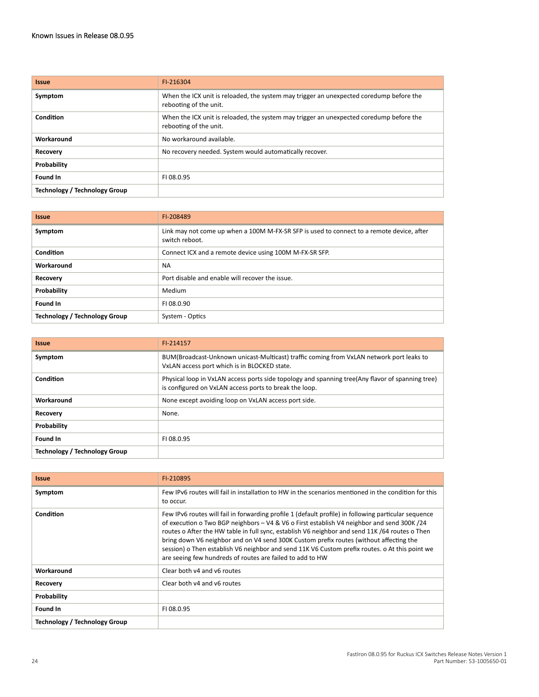| <b>Issue</b>                         | FI-216304                                                                                                         |
|--------------------------------------|-------------------------------------------------------------------------------------------------------------------|
| Symptom                              | When the ICX unit is reloaded, the system may trigger an unexpected coredump before the<br>rebooting of the unit. |
| Condition                            | When the ICX unit is reloaded, the system may trigger an unexpected coredump before the<br>rebooting of the unit. |
| Workaround                           | No workaround available.                                                                                          |
| Recovery                             | No recovery needed. System would automatically recover.                                                           |
| Probability                          |                                                                                                                   |
| Found In                             | FI 08.0.95                                                                                                        |
| <b>Technology / Technology Group</b> |                                                                                                                   |

| <b>Issue</b>                         | FI-208489                                                                                                   |
|--------------------------------------|-------------------------------------------------------------------------------------------------------------|
| Symptom                              | Link may not come up when a 100M M-FX-SR SFP is used to connect to a remote device, after<br>switch reboot. |
| Condition                            | Connect ICX and a remote device using 100M M-FX-SR SFP.                                                     |
| Workaround                           | <b>NA</b>                                                                                                   |
| Recovery                             | Port disable and enable will recover the issue.                                                             |
| Probability                          | Medium                                                                                                      |
| Found In                             | FI 08.0.90                                                                                                  |
| <b>Technology / Technology Group</b> | System - Optics                                                                                             |

| <b>Issue</b>                  | FI-214157                                                                                                                                                  |
|-------------------------------|------------------------------------------------------------------------------------------------------------------------------------------------------------|
| Symptom                       | BUM(Broadcast-Unknown unicast-Multicast) traffic coming from VxLAN network port leaks to<br>VxLAN access port which is in BLOCKED state.                   |
| Condition                     | Physical loop in VxLAN access ports side topology and spanning tree(Any flavor of spanning tree)<br>is configured on VxLAN access ports to break the loop. |
| Workaround                    | None except avoiding loop on VxLAN access port side.                                                                                                       |
| Recovery                      | None.                                                                                                                                                      |
| Probability                   |                                                                                                                                                            |
| Found In                      | FI 08.0.95                                                                                                                                                 |
| Technology / Technology Group |                                                                                                                                                            |

| <b>Issue</b>                  | FI-210895                                                                                                                                                                                                                                                                                                                                                                                                                                                                                                                                                     |
|-------------------------------|---------------------------------------------------------------------------------------------------------------------------------------------------------------------------------------------------------------------------------------------------------------------------------------------------------------------------------------------------------------------------------------------------------------------------------------------------------------------------------------------------------------------------------------------------------------|
| Symptom                       | Few IPv6 routes will fail in installation to HW in the scenarios mentioned in the condition for this<br>to occur.                                                                                                                                                                                                                                                                                                                                                                                                                                             |
| Condition                     | Few IPv6 routes will fail in forwarding profile 1 (default profile) in following particular sequence<br>of execution o Two BGP neighbors - V4 & V6 o First establish V4 neighbor and send 300K /24<br>routes o After the HW table in full sync, establish V6 neighbor and send 11K /64 routes o Then<br>bring down V6 neighbor and on V4 send 300K Custom prefix routes (without affecting the<br>session) o Then establish V6 neighbor and send 11K V6 Custom prefix routes. o At this point we<br>are seeing few hundreds of routes are failed to add to HW |
| Workaround                    | Clear both v4 and v6 routes                                                                                                                                                                                                                                                                                                                                                                                                                                                                                                                                   |
| Recovery                      | Clear both v4 and v6 routes                                                                                                                                                                                                                                                                                                                                                                                                                                                                                                                                   |
| Probability                   |                                                                                                                                                                                                                                                                                                                                                                                                                                                                                                                                                               |
| Found In                      | FI08.0.95                                                                                                                                                                                                                                                                                                                                                                                                                                                                                                                                                     |
| Technology / Technology Group |                                                                                                                                                                                                                                                                                                                                                                                                                                                                                                                                                               |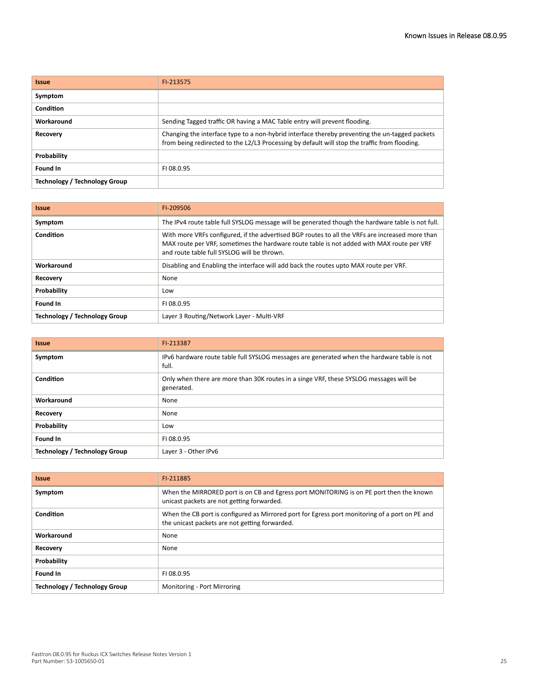| <b>Issue</b>                         | FI-213575                                                                                                                                                                                       |
|--------------------------------------|-------------------------------------------------------------------------------------------------------------------------------------------------------------------------------------------------|
| Symptom                              |                                                                                                                                                                                                 |
| Condition                            |                                                                                                                                                                                                 |
| Workaround                           | Sending Tagged traffic OR having a MAC Table entry will prevent flooding.                                                                                                                       |
| Recovery                             | Changing the interface type to a non-hybrid interface thereby preventing the un-tagged packets<br>from being redirected to the L2/L3 Processing by default will stop the traffic from flooding. |
| Probability                          |                                                                                                                                                                                                 |
| Found In                             | FI08.0.95                                                                                                                                                                                       |
| <b>Technology / Technology Group</b> |                                                                                                                                                                                                 |

| <b>Issue</b>                  | FI-209506                                                                                                                                                                                                                                   |
|-------------------------------|---------------------------------------------------------------------------------------------------------------------------------------------------------------------------------------------------------------------------------------------|
| Symptom                       | The IPv4 route table full SYSLOG message will be generated though the hardware table is not full.                                                                                                                                           |
| Condition                     | With more VRFs configured, if the advertised BGP routes to all the VRFs are increased more than<br>MAX route per VRF, sometimes the hardware route table is not added with MAX route per VRF<br>and route table full SYSLOG will be thrown. |
| Workaround                    | Disabling and Enabling the interface will add back the routes upto MAX route per VRF.                                                                                                                                                       |
| <b>Recovery</b>               | None                                                                                                                                                                                                                                        |
| Probability                   | Low                                                                                                                                                                                                                                         |
| Found In                      | FI 08.0.95                                                                                                                                                                                                                                  |
| Technology / Technology Group | Layer 3 Routing/Network Layer - Multi-VRF                                                                                                                                                                                                   |

| <b>Issue</b>                         | FI-213387                                                                                            |
|--------------------------------------|------------------------------------------------------------------------------------------------------|
| Symptom                              | IPv6 hardware route table full SYSLOG messages are generated when the hardware table is not<br>full. |
| Condition                            | Only when there are more than 30K routes in a singe VRF, these SYSLOG messages will be<br>generated. |
| Workaround                           | None                                                                                                 |
| Recovery                             | None                                                                                                 |
| Probability                          | Low                                                                                                  |
| Found In                             | FI 08.0.95                                                                                           |
| <b>Technology / Technology Group</b> | Layer 3 - Other IPv6                                                                                 |

| <b>Issue</b>                  | FI-211885                                                                                                                                        |
|-------------------------------|--------------------------------------------------------------------------------------------------------------------------------------------------|
| Symptom                       | When the MIRRORED port is on CB and Egress port MONITORING is on PE port then the known<br>unicast packets are not getting forwarded.            |
| Condition                     | When the CB port is configured as Mirrored port for Egress port monitoring of a port on PE and<br>the unicast packets are not getting forwarded. |
| Workaround                    | None                                                                                                                                             |
| Recovery                      | None                                                                                                                                             |
| Probability                   |                                                                                                                                                  |
| Found In                      | FI 08.0.95                                                                                                                                       |
| Technology / Technology Group | Monitoring - Port Mirroring                                                                                                                      |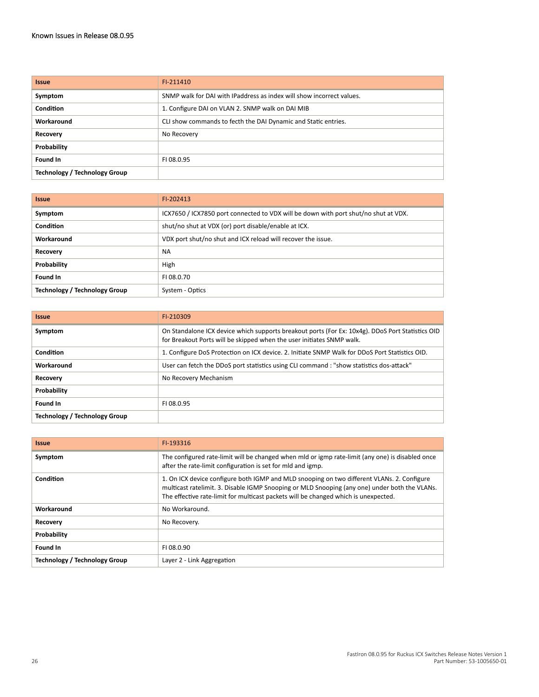| <b>Issue</b>                         | FI-211410                                                             |
|--------------------------------------|-----------------------------------------------------------------------|
| Symptom                              | SNMP walk for DAI with IPaddress as index will show incorrect values. |
| <b>Condition</b>                     | 1. Configure DAI on VLAN 2. SNMP walk on DAI MIB                      |
| Workaround                           | CLI show commands to fecth the DAI Dynamic and Static entries.        |
| Recovery                             | No Recovery                                                           |
| Probability                          |                                                                       |
| Found In                             | FI 08.0.95                                                            |
| <b>Technology / Technology Group</b> |                                                                       |

| <b>Issue</b>                  | FI-202413                                                                           |
|-------------------------------|-------------------------------------------------------------------------------------|
| Symptom                       | ICX7650 / ICX7850 port connected to VDX will be down with port shut/no shut at VDX. |
| Condition                     | shut/no shut at VDX (or) port disable/enable at ICX.                                |
| Workaround                    | VDX port shut/no shut and ICX reload will recover the issue.                        |
| Recovery                      | <b>NA</b>                                                                           |
| Probability                   | High                                                                                |
| Found In                      | FI 08.0.70                                                                          |
| Technology / Technology Group | System - Optics                                                                     |

| <b>Issue</b>                  | FI-210309                                                                                                                                                                 |
|-------------------------------|---------------------------------------------------------------------------------------------------------------------------------------------------------------------------|
| Symptom                       | On Standalone ICX device which supports breakout ports (For Ex: 10x4g). DDoS Port Statistics OID<br>for Breakout Ports will be skipped when the user initiates SNMP walk. |
| Condition                     | 1. Configure DoS Protection on ICX device. 2. Initiate SNMP Walk for DDoS Port Statistics OID.                                                                            |
| Workaround                    | User can fetch the DDoS port statistics using CLI command : "show statistics dos-attack"                                                                                  |
| Recovery                      | No Recovery Mechanism                                                                                                                                                     |
| Probability                   |                                                                                                                                                                           |
| Found In                      | FI08.0.95                                                                                                                                                                 |
| Technology / Technology Group |                                                                                                                                                                           |

| <b>Issue</b>                         | FI-193316                                                                                                                                                                                                                                                                          |
|--------------------------------------|------------------------------------------------------------------------------------------------------------------------------------------------------------------------------------------------------------------------------------------------------------------------------------|
| Symptom                              | The configured rate-limit will be changed when mld or igmp rate-limit (any one) is disabled once<br>after the rate-limit configuration is set for mld and igmp.                                                                                                                    |
| Condition                            | 1. On ICX device configure both IGMP and MLD snooping on two different VLANs. 2. Configure<br>multicast ratelimit. 3. Disable IGMP Snooping or MLD Snooping (any one) under both the VLANs.<br>The effective rate-limit for multicast packets will be changed which is unexpected. |
| Workaround                           | No Workaround.                                                                                                                                                                                                                                                                     |
| Recovery                             | No Recovery.                                                                                                                                                                                                                                                                       |
| Probability                          |                                                                                                                                                                                                                                                                                    |
| Found In                             | FI 08.0.90                                                                                                                                                                                                                                                                         |
| <b>Technology / Technology Group</b> | Layer 2 - Link Aggregation                                                                                                                                                                                                                                                         |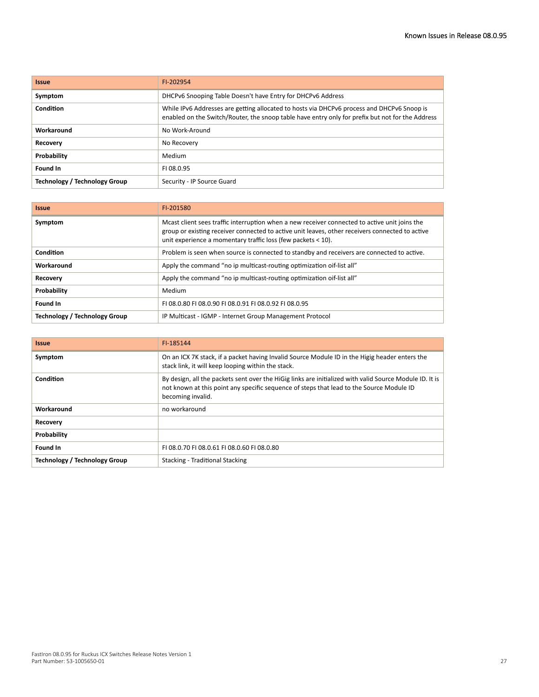| <b>Issue</b>                  | FI-202954                                                                                                                                                                                      |
|-------------------------------|------------------------------------------------------------------------------------------------------------------------------------------------------------------------------------------------|
| Symptom                       | DHCPv6 Snooping Table Doesn't have Entry for DHCPv6 Address                                                                                                                                    |
| <b>Condition</b>              | While IPv6 Addresses are getting allocated to hosts via DHCPv6 process and DHCPv6 Snoop is<br>enabled on the Switch/Router, the snoop table have entry only for prefix but not for the Address |
| Workaround                    | No Work-Around                                                                                                                                                                                 |
| Recovery                      | No Recovery                                                                                                                                                                                    |
| Probability                   | Medium                                                                                                                                                                                         |
| Found In                      | FI08.0.95                                                                                                                                                                                      |
| Technology / Technology Group | Security - IP Source Guard                                                                                                                                                                     |

| <b>Issue</b>                         | FI-201580                                                                                                                                                                                                                                                        |
|--------------------------------------|------------------------------------------------------------------------------------------------------------------------------------------------------------------------------------------------------------------------------------------------------------------|
| Symptom                              | Moast client sees traffic interruption when a new receiver connected to active unit joins the<br>group or existing receiver connected to active unit leaves, other receivers connected to active<br>unit experience a momentary traffic loss (few packets < 10). |
| Condition                            | Problem is seen when source is connected to standby and receivers are connected to active.                                                                                                                                                                       |
| Workaround                           | Apply the command "no ip multicast-routing optimization oif-list all"                                                                                                                                                                                            |
| Recovery                             | Apply the command "no ip multicast-routing optimization oif-list all"                                                                                                                                                                                            |
| Probability                          | Medium                                                                                                                                                                                                                                                           |
| Found In                             | FI 08.0.80 FI 08.0.90 FI 08.0.91 FI 08.0.92 FI 08.0.95                                                                                                                                                                                                           |
| <b>Technology / Technology Group</b> | IP Multicast - IGMP - Internet Group Management Protocol                                                                                                                                                                                                         |

| <b>Issue</b>                  | FI-185144                                                                                                                                                                                                                |
|-------------------------------|--------------------------------------------------------------------------------------------------------------------------------------------------------------------------------------------------------------------------|
| Symptom                       | On an ICX 7K stack, if a packet having Invalid Source Module ID in the Higig header enters the<br>stack link, it will keep looping within the stack.                                                                     |
| Condition                     | By design, all the packets sent over the HiGig links are initialized with valid Source Module ID. It is<br>not known at this point any specific sequence of steps that lead to the Source Module ID<br>becoming invalid. |
| Workaround                    | no workaround                                                                                                                                                                                                            |
| Recovery                      |                                                                                                                                                                                                                          |
| Probability                   |                                                                                                                                                                                                                          |
| Found In                      | FL08.0.70 FL08.0.61 FL08.0.60 FL08.0.80                                                                                                                                                                                  |
| Technology / Technology Group | <b>Stacking - Traditional Stacking</b>                                                                                                                                                                                   |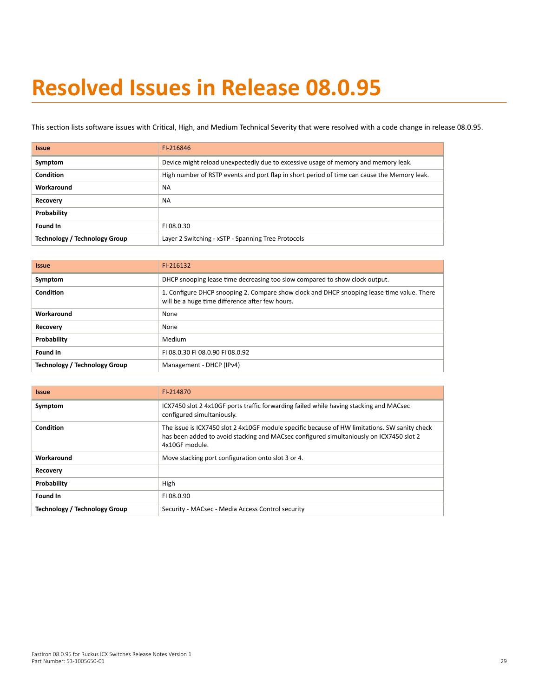# <span id="page-28-0"></span>**Resolved Issues in Release 08.0.95**

This section lists software issues with Critical, High, and Medium Technical Severity that were resolved with a code change in release 08.0.95.

| <b>Issue</b>                  | FI-216846                                                                                   |
|-------------------------------|---------------------------------------------------------------------------------------------|
| Symptom                       | Device might reload unexpectedly due to excessive usage of memory and memory leak.          |
| Condition                     | High number of RSTP events and port flap in short period of time can cause the Memory leak. |
| Workaround                    | <b>NA</b>                                                                                   |
| Recovery                      | <b>NA</b>                                                                                   |
| Probability                   |                                                                                             |
| Found In                      | FI 08.0.30                                                                                  |
| Technology / Technology Group | Layer 2 Switching - xSTP - Spanning Tree Protocols                                          |

| <b>Issue</b>                  | FI-216132                                                                                                                                     |
|-------------------------------|-----------------------------------------------------------------------------------------------------------------------------------------------|
| Symptom                       | DHCP snooping lease time decreasing too slow compared to show clock output.                                                                   |
| <b>Condition</b>              | 1. Configure DHCP snooping 2. Compare show clock and DHCP snooping lease time value. There<br>will be a huge time difference after few hours. |
| Workaround                    | None                                                                                                                                          |
| <b>Recovery</b>               | None                                                                                                                                          |
| Probability                   | Medium                                                                                                                                        |
| Found In                      | FL08.0.30 FL08.0.90 FL08.0.92                                                                                                                 |
| Technology / Technology Group | Management - DHCP (IPv4)                                                                                                                      |

| <b>Issue</b>                  | FI-214870                                                                                                                                                                                                  |
|-------------------------------|------------------------------------------------------------------------------------------------------------------------------------------------------------------------------------------------------------|
| Symptom                       | ICX7450 slot 2 4x10GF ports traffic forwarding failed while having stacking and MACsec<br>configured simultaniously.                                                                                       |
| Condition                     | The issue is ICX7450 slot 2 4x10GF module specific because of HW limitations. SW sanity check<br>has been added to avoid stacking and MACsec configured simultaniously on ICX7450 slot 2<br>4x10GF module. |
| Workaround                    | Move stacking port configuration onto slot 3 or 4.                                                                                                                                                         |
| Recovery                      |                                                                                                                                                                                                            |
| Probability                   | High                                                                                                                                                                                                       |
| Found In                      | FI 08.0.90                                                                                                                                                                                                 |
| Technology / Technology Group | Security - MACsec - Media Access Control security                                                                                                                                                          |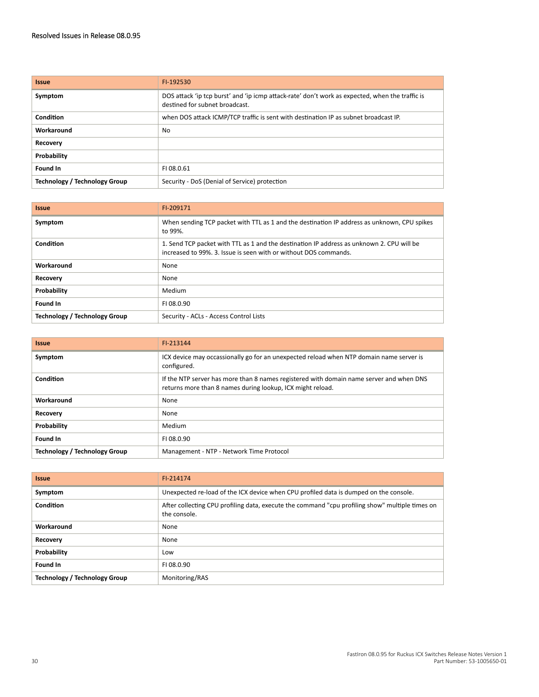| <b>Issue</b>                  | FI-192530                                                                                                                         |
|-------------------------------|-----------------------------------------------------------------------------------------------------------------------------------|
| Symptom                       | DOS attack 'ip tcp burst' and 'ip icmp attack-rate' don't work as expected, when the traffic is<br>destined for subnet broadcast. |
| Condition                     | when DOS attack ICMP/TCP traffic is sent with destination IP as subnet broadcast IP.                                              |
| Workaround                    | No                                                                                                                                |
| Recovery                      |                                                                                                                                   |
| Probability                   |                                                                                                                                   |
| Found In                      | FI 08.0.61                                                                                                                        |
| Technology / Technology Group | Security - DoS (Denial of Service) protection                                                                                     |

| <b>Issue</b>                         | FI-209171                                                                                                                                                     |
|--------------------------------------|---------------------------------------------------------------------------------------------------------------------------------------------------------------|
| Symptom                              | When sending TCP packet with TTL as 1 and the destination IP address as unknown, CPU spikes<br>to 99%.                                                        |
| Condition                            | 1. Send TCP packet with TTL as 1 and the destination IP address as unknown 2. CPU will be<br>increased to 99%. 3. Issue is seen with or without DOS commands. |
| Workaround                           | None                                                                                                                                                          |
| Recovery                             | None                                                                                                                                                          |
| Probability                          | Medium                                                                                                                                                        |
| Found In                             | FI 08.0.90                                                                                                                                                    |
| <b>Technology / Technology Group</b> | Security - ACLs - Access Control Lists                                                                                                                        |

| <b>Issue</b>                         | FI-213144                                                                                                                                             |
|--------------------------------------|-------------------------------------------------------------------------------------------------------------------------------------------------------|
| Symptom                              | ICX device may occassionally go for an unexpected reload when NTP domain name server is<br>configured.                                                |
| Condition                            | If the NTP server has more than 8 names registered with domain name server and when DNS<br>returns more than 8 names during lookup, ICX might reload. |
| Workaround                           | None                                                                                                                                                  |
| Recovery                             | None                                                                                                                                                  |
| Probability                          | Medium                                                                                                                                                |
| Found In                             | FI 08.0.90                                                                                                                                            |
| <b>Technology / Technology Group</b> | Management - NTP - Network Time Protocol                                                                                                              |

| <b>Issue</b>                         | FI-214174                                                                                                       |
|--------------------------------------|-----------------------------------------------------------------------------------------------------------------|
| Symptom                              | Unexpected re-load of the ICX device when CPU profiled data is dumped on the console.                           |
| <b>Condition</b>                     | After collecting CPU profiling data, execute the command "cpu profiling show" multiple times on<br>the console. |
| Workaround                           | None                                                                                                            |
| Recovery                             | None                                                                                                            |
| Probability                          | Low                                                                                                             |
| Found In                             | FI 08.0.90                                                                                                      |
| <b>Technology / Technology Group</b> | Monitoring/RAS                                                                                                  |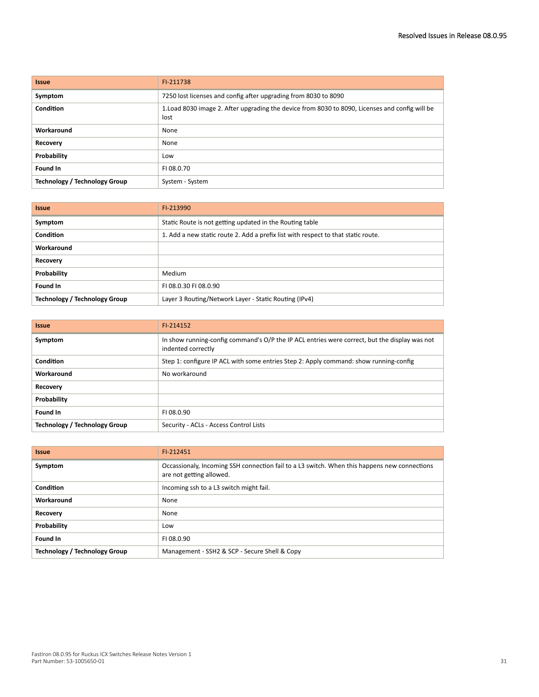| <b>Issue</b>                         | FI-211738                                                                                               |
|--------------------------------------|---------------------------------------------------------------------------------------------------------|
| Symptom                              | 7250 lost licenses and config after upgrading from 8030 to 8090                                         |
| <b>Condition</b>                     | 1. Load 8030 image 2. After upgrading the device from 8030 to 8090, Licenses and config will be<br>lost |
| Workaround                           | None                                                                                                    |
| <b>Recovery</b>                      | None                                                                                                    |
| Probability                          | Low                                                                                                     |
| Found In                             | FI 08.0.70                                                                                              |
| <b>Technology / Technology Group</b> | System - System                                                                                         |

| <b>Issue</b>                  | FI-213990                                                                         |
|-------------------------------|-----------------------------------------------------------------------------------|
| Symptom                       | Static Route is not getting updated in the Routing table                          |
| <b>Condition</b>              | 1. Add a new static route 2. Add a prefix list with respect to that static route. |
| Workaround                    |                                                                                   |
| Recovery                      |                                                                                   |
| Probability                   | Medium                                                                            |
| Found In                      | FL08.0.30 FL08.0.90                                                               |
| Technology / Technology Group | Layer 3 Routing/Network Layer - Static Routing (IPv4)                             |

| <b>Issue</b>                  | FI-214152                                                                                                           |
|-------------------------------|---------------------------------------------------------------------------------------------------------------------|
| Symptom                       | In show running-config command's O/P the IP ACL entries were correct, but the display was not<br>indented correctly |
| Condition                     | Step 1: configure IP ACL with some entries Step 2: Apply command: show running-config                               |
| Workaround                    | No workaround                                                                                                       |
| Recovery                      |                                                                                                                     |
| Probability                   |                                                                                                                     |
| Found In                      | FI 08.0.90                                                                                                          |
| Technology / Technology Group | Security - ACLs - Access Control Lists                                                                              |

| <b>Issue</b>                  | FI-212451                                                                                                                |
|-------------------------------|--------------------------------------------------------------------------------------------------------------------------|
| Symptom                       | Occassionaly, Incoming SSH connection fail to a L3 switch. When this happens new connections<br>are not getting allowed. |
| <b>Condition</b>              | Incoming ssh to a L3 switch might fail.                                                                                  |
| Workaround                    | None                                                                                                                     |
| <b>Recovery</b>               | None                                                                                                                     |
| Probability                   | Low                                                                                                                      |
| Found In                      | FI 08.0.90                                                                                                               |
| Technology / Technology Group | Management - SSH2 & SCP - Secure Shell & Copy                                                                            |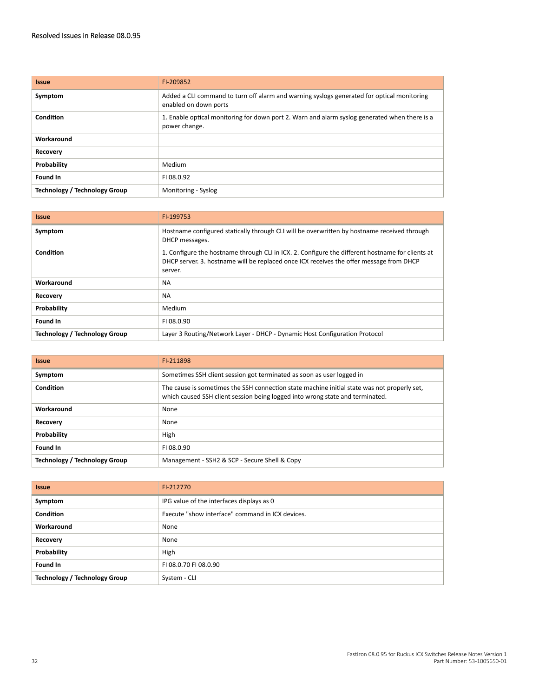| <b>Issue</b>                  | FI-209852                                                                                                           |
|-------------------------------|---------------------------------------------------------------------------------------------------------------------|
| Symptom                       | Added a CLI command to turn off alarm and warning syslogs generated for optical monitoring<br>enabled on down ports |
| Condition                     | 1. Enable optical monitoring for down port 2. Warn and alarm syslog generated when there is a<br>power change.      |
| Workaround                    |                                                                                                                     |
| Recovery                      |                                                                                                                     |
| Probability                   | Medium                                                                                                              |
| Found In                      | FI 08.0.92                                                                                                          |
| Technology / Technology Group | Monitoring - Syslog                                                                                                 |

| <b>Issue</b>                  | FI-199753                                                                                                                                                                                              |
|-------------------------------|--------------------------------------------------------------------------------------------------------------------------------------------------------------------------------------------------------|
| Symptom                       | Hostname configured statically through CLI will be overwritten by hostname received through<br>DHCP messages.                                                                                          |
| Condition                     | 1. Configure the hostname through CLI in ICX. 2. Configure the different hostname for clients at<br>DHCP server. 3. hostname will be replaced once ICX receives the offer message from DHCP<br>server. |
| Workaround                    | <b>NA</b>                                                                                                                                                                                              |
| <b>Recovery</b>               | <b>NA</b>                                                                                                                                                                                              |
| Probability                   | Medium                                                                                                                                                                                                 |
| Found In                      | FI08.0.90                                                                                                                                                                                              |
| Technology / Technology Group | Layer 3 Routing/Network Layer - DHCP - Dynamic Host Configuration Protocol                                                                                                                             |

| <b>Issue</b>                  | FI-211898                                                                                                                                                                    |
|-------------------------------|------------------------------------------------------------------------------------------------------------------------------------------------------------------------------|
| Symptom                       | Sometimes SSH client session got terminated as soon as user logged in                                                                                                        |
| Condition                     | The cause is sometimes the SSH connection state machine initial state was not properly set.<br>which caused SSH client session being logged into wrong state and terminated. |
| Workaround                    | None                                                                                                                                                                         |
| Recovery                      | None                                                                                                                                                                         |
| Probability                   | High                                                                                                                                                                         |
| Found In                      | FI 08.0.90                                                                                                                                                                   |
| Technology / Technology Group | Management - SSH2 & SCP - Secure Shell & Copy                                                                                                                                |

| <b>Issue</b>                         | FI-212770                                        |
|--------------------------------------|--------------------------------------------------|
| Symptom                              | IPG value of the interfaces displays as 0        |
| <b>Condition</b>                     | Execute "show interface" command in ICX devices. |
| Workaround                           | None                                             |
| Recovery                             | None                                             |
| Probability                          | High                                             |
| Found In                             | FI 08.0.70 FI 08.0.90                            |
| <b>Technology / Technology Group</b> | System - CLI                                     |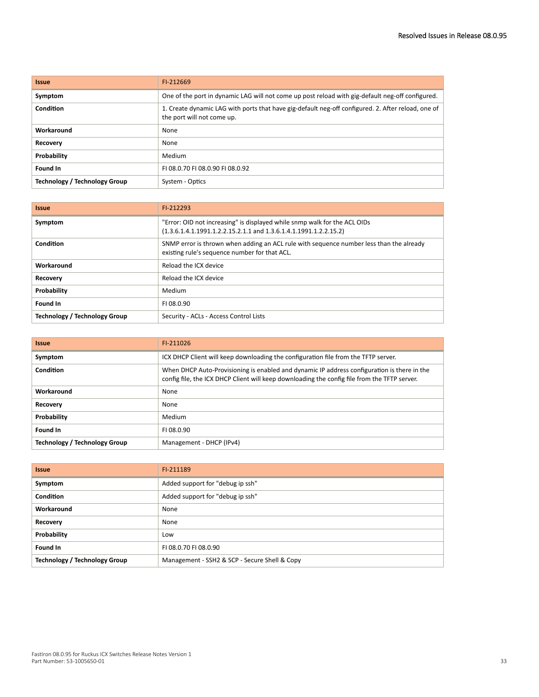| <b>Issue</b>                  | FI-212669                                                                                                                        |
|-------------------------------|----------------------------------------------------------------------------------------------------------------------------------|
| Symptom                       | One of the port in dynamic LAG will not come up post reload with gig-default neg-off configured.                                 |
| Condition                     | 1. Create dynamic LAG with ports that have gig-default neg-off configured. 2. After reload, one of<br>the port will not come up. |
| Workaround                    | None                                                                                                                             |
| Recovery                      | None                                                                                                                             |
| Probability                   | Medium                                                                                                                           |
| Found In                      | FL08.0.70 FL08.0.90 FL08.0.92                                                                                                    |
| Technology / Technology Group | System - Optics                                                                                                                  |

| <b>Issue</b>                         | FI-212293                                                                                                                                          |
|--------------------------------------|----------------------------------------------------------------------------------------------------------------------------------------------------|
| Symptom                              | "Error: OID not increasing" is displayed while snmp walk for the ACL OIDs<br>$(1.3.6.1.4.1.1991.1.2.2.15.2.1.1$ and $1.3.6.1.4.1.1991.1.2.2.15.2)$ |
| Condition                            | SNMP error is thrown when adding an ACL rule with sequence number less than the already<br>existing rule's sequence number for that ACL.           |
| Workaround                           | Reload the ICX device                                                                                                                              |
| Recovery                             | Reload the ICX device                                                                                                                              |
| Probability                          | Medium                                                                                                                                             |
| Found In                             | FI 08.0.90                                                                                                                                         |
| <b>Technology / Technology Group</b> | Security - ACLs - Access Control Lists                                                                                                             |

| <b>Issue</b>                         | FI-211026                                                                                                                                                                                   |
|--------------------------------------|---------------------------------------------------------------------------------------------------------------------------------------------------------------------------------------------|
| Symptom                              | ICX DHCP Client will keep downloading the configuration file from the TFTP server.                                                                                                          |
| Condition                            | When DHCP Auto-Provisioning is enabled and dynamic IP address configuration is there in the<br>config file, the ICX DHCP Client will keep downloading the config file from the TFTP server. |
| Workaround                           | None                                                                                                                                                                                        |
| <b>Recovery</b>                      | None                                                                                                                                                                                        |
| Probability                          | Medium                                                                                                                                                                                      |
| Found In                             | FI 08.0.90                                                                                                                                                                                  |
| <b>Technology / Technology Group</b> | Management - DHCP (IPv4)                                                                                                                                                                    |

| <b>Issue</b>                         | FI-211189                                     |
|--------------------------------------|-----------------------------------------------|
| Symptom                              | Added support for "debug ip ssh"              |
| <b>Condition</b>                     | Added support for "debug ip ssh"              |
| Workaround                           | None                                          |
| Recovery                             | None                                          |
| Probability                          | Low                                           |
| Found In                             | FI 08.0.70 FI 08.0.90                         |
| <b>Technology / Technology Group</b> | Management - SSH2 & SCP - Secure Shell & Copy |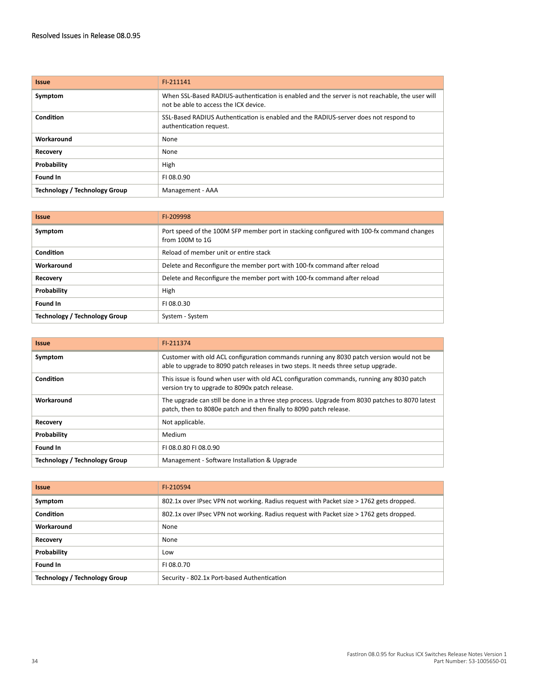| <b>Issue</b>                         | FI-211141                                                                                                                               |
|--------------------------------------|-----------------------------------------------------------------------------------------------------------------------------------------|
| Symptom                              | When SSL-Based RADIUS-authentication is enabled and the server is not reachable, the user will<br>not be able to access the ICX device. |
| Condition                            | SSL-Based RADIUS Authentication is enabled and the RADIUS-server does not respond to<br>authentication request.                         |
| Workaround                           | None                                                                                                                                    |
| Recovery                             | None                                                                                                                                    |
| Probability                          | High                                                                                                                                    |
| Found In                             | FI 08.0.90                                                                                                                              |
| <b>Technology / Technology Group</b> | Management - AAA                                                                                                                        |

| <b>Issue</b>                         | FI-209998                                                                                                        |
|--------------------------------------|------------------------------------------------------------------------------------------------------------------|
| Symptom                              | Port speed of the 100M SFP member port in stacking configured with 100-fx command changes<br>from $100M$ to $1G$ |
| Condition                            | Reload of member unit or entire stack                                                                            |
| Workaround                           | Delete and Reconfigure the member port with 100-fx command after reload                                          |
| Recovery                             | Delete and Reconfigure the member port with 100-fx command after reload                                          |
| Probability                          | High                                                                                                             |
| Found In                             | FI 08.0.30                                                                                                       |
| <b>Technology / Technology Group</b> | System - System                                                                                                  |

| <b>Issue</b>                  | FI-211374                                                                                                                                                                      |
|-------------------------------|--------------------------------------------------------------------------------------------------------------------------------------------------------------------------------|
| Symptom                       | Customer with old ACL configuration commands running any 8030 patch version would not be<br>able to upgrade to 8090 patch releases in two steps. It needs three setup upgrade. |
| Condition                     | This issue is found when user with old ACL configuration commands, running any 8030 patch<br>version try to upgrade to 8090x patch release.                                    |
| Workaround                    | The upgrade can still be done in a three step process. Upgrade from 8030 patches to 8070 latest<br>patch, then to 8080e patch and then finally to 8090 patch release.          |
| Recovery                      | Not applicable.                                                                                                                                                                |
| Probability                   | Medium                                                                                                                                                                         |
| Found In                      | FL08.0.80 FL08.0.90                                                                                                                                                            |
| Technology / Technology Group | Management - Software Installation & Upgrade                                                                                                                                   |

| <b>Issue</b>                  | FI-210594                                                                               |
|-------------------------------|-----------------------------------------------------------------------------------------|
| Symptom                       | 802.1x over IPsec VPN not working. Radius request with Packet size > 1762 gets dropped. |
| Condition                     | 802.1x over IPsec VPN not working. Radius request with Packet size > 1762 gets dropped. |
| Workaround                    | None                                                                                    |
| Recovery                      | None                                                                                    |
| Probability                   | Low                                                                                     |
| Found In                      | FI 08.0.70                                                                              |
| Technology / Technology Group | Security - 802.1x Port-based Authentication                                             |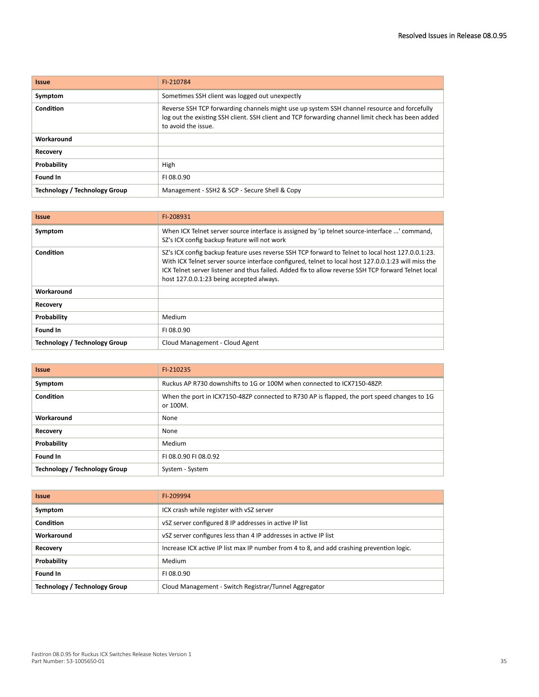| <b>Issue</b>                         | FI-210784                                                                                                                                                                                                               |
|--------------------------------------|-------------------------------------------------------------------------------------------------------------------------------------------------------------------------------------------------------------------------|
| Symptom                              | Sometimes SSH client was logged out unexpectly                                                                                                                                                                          |
| Condition                            | Reverse SSH TCP forwarding channels might use up system SSH channel resource and forcefully<br>log out the existing SSH client. SSH client and TCP forwarding channel limit check has been added<br>to avoid the issue. |
| Workaround                           |                                                                                                                                                                                                                         |
| Recovery                             |                                                                                                                                                                                                                         |
| Probability                          | High                                                                                                                                                                                                                    |
| Found In                             | FI 08.0.90                                                                                                                                                                                                              |
| <b>Technology / Technology Group</b> | Management - SSH2 & SCP - Secure Shell & Copy                                                                                                                                                                           |

| <b>Issue</b>                         | FI-208931                                                                                                                                                                                                                                                                                                                                                   |
|--------------------------------------|-------------------------------------------------------------------------------------------------------------------------------------------------------------------------------------------------------------------------------------------------------------------------------------------------------------------------------------------------------------|
| Symptom                              | When ICX Telnet server source interface is assigned by 'ip telnet source-interface ' command,<br>SZ's ICX config backup feature will not work                                                                                                                                                                                                               |
| Condition                            | SZ's ICX config backup feature uses reverse SSH TCP forward to Telnet to local host 127.0.0.1:23.<br>With ICX Telnet server source interface configured, telnet to local host 127.0.0.1:23 will miss the<br>ICX Telnet server listener and thus failed. Added fix to allow reverse SSH TCP forward Telnet local<br>host 127.0.0.1:23 being accepted always. |
| Workaround                           |                                                                                                                                                                                                                                                                                                                                                             |
| Recovery                             |                                                                                                                                                                                                                                                                                                                                                             |
| Probability                          | Medium                                                                                                                                                                                                                                                                                                                                                      |
| Found In                             | FI08.0.90                                                                                                                                                                                                                                                                                                                                                   |
| <b>Technology / Technology Group</b> | Cloud Management - Cloud Agent                                                                                                                                                                                                                                                                                                                              |

| <b>Issue</b>                         | FI-210235                                                                                               |
|--------------------------------------|---------------------------------------------------------------------------------------------------------|
| Symptom                              | Ruckus AP R730 downshifts to 1G or 100M when connected to ICX7150-48ZP.                                 |
| Condition                            | When the port in ICX7150-482P connected to R730 AP is flapped, the port speed changes to 1G<br>or 100M. |
| Workaround                           | None                                                                                                    |
| Recovery                             | None                                                                                                    |
| Probability                          | Medium                                                                                                  |
| Found In                             | FL08.0.90 FL08.0.92                                                                                     |
| <b>Technology / Technology Group</b> | System - System                                                                                         |

| <b>Issue</b>                  | FI-209994                                                                                 |
|-------------------------------|-------------------------------------------------------------------------------------------|
| Symptom                       | ICX crash while register with vSZ server                                                  |
| <b>Condition</b>              | vSZ server configured 8 IP addresses in active IP list                                    |
| Workaround                    | vSZ server configures less than 4 IP addresses in active IP list                          |
| Recovery                      | Increase ICX active IP list max IP number from 4 to 8, and add crashing prevention logic. |
| Probability                   | Medium                                                                                    |
| Found In                      | FI 08.0.90                                                                                |
| Technology / Technology Group | Cloud Management - Switch Registrar/Tunnel Aggregator                                     |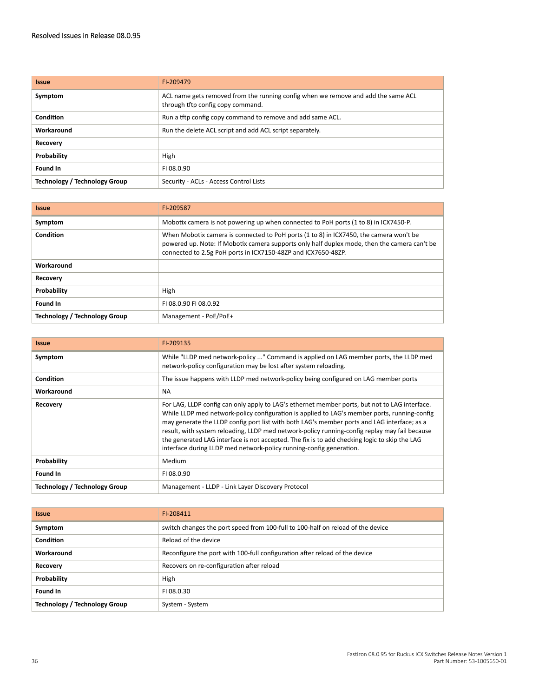| <b>Issue</b>                         | FI-209479                                                                                                              |
|--------------------------------------|------------------------------------------------------------------------------------------------------------------------|
| Symptom                              | ACL name gets removed from the running config when we remove and add the same ACL<br>through tftp config copy command. |
| Condition                            | Run a tftp config copy command to remove and add same ACL.                                                             |
| Workaround                           | Run the delete ACL script and add ACL script separately.                                                               |
| Recovery                             |                                                                                                                        |
| Probability                          | High                                                                                                                   |
| Found In                             | FI 08.0.90                                                                                                             |
| <b>Technology / Technology Group</b> | Security - ACLs - Access Control Lists                                                                                 |

| <b>Issue</b>                         | FI-209587                                                                                                                                                                                                                                               |
|--------------------------------------|---------------------------------------------------------------------------------------------------------------------------------------------------------------------------------------------------------------------------------------------------------|
| Symptom                              | Mobotix camera is not powering up when connected to PoH ports (1 to 8) in ICX7450-P.                                                                                                                                                                    |
| Condition                            | When Mobotix camera is connected to PoH ports (1 to 8) in ICX7450, the camera won't be<br>powered up. Note: If Mobotix camera supports only half duplex mode, then the camera can't be<br>connected to 2.5g PoH ports in ICX7150-48ZP and ICX7650-48ZP. |
| Workaround                           |                                                                                                                                                                                                                                                         |
| Recovery                             |                                                                                                                                                                                                                                                         |
| Probability                          | High                                                                                                                                                                                                                                                    |
| Found In                             | FL08.0.90 FL08.0.92                                                                                                                                                                                                                                     |
| <b>Technology / Technology Group</b> | Management - PoE/PoE+                                                                                                                                                                                                                                   |

| <b>Issue</b>                  | FI-209135                                                                                                                                                                                                                                                                                                                                                                                                                                                                                                                                                             |
|-------------------------------|-----------------------------------------------------------------------------------------------------------------------------------------------------------------------------------------------------------------------------------------------------------------------------------------------------------------------------------------------------------------------------------------------------------------------------------------------------------------------------------------------------------------------------------------------------------------------|
| Symptom                       | While "LLDP med network-policy " Command is applied on LAG member ports, the LLDP med<br>network-policy configuration may be lost after system reloading.                                                                                                                                                                                                                                                                                                                                                                                                             |
| Condition                     | The issue happens with LLDP med network-policy being configured on LAG member ports                                                                                                                                                                                                                                                                                                                                                                                                                                                                                   |
| Workaround                    | <b>NA</b>                                                                                                                                                                                                                                                                                                                                                                                                                                                                                                                                                             |
| Recovery                      | For LAG, LLDP config can only apply to LAG's ethernet member ports, but not to LAG interface.<br>While LLDP med network-policy configuration is applied to LAG's member ports, running-config<br>may generate the LLDP config port list with both LAG's member ports and LAG interface; as a<br>result, with system reloading, LLDP med network-policy running-config replay may fail because<br>the generated LAG interface is not accepted. The fix is to add checking logic to skip the LAG<br>interface during LLDP med network-policy running-config generation. |
| Probability                   | Medium                                                                                                                                                                                                                                                                                                                                                                                                                                                                                                                                                                |
| Found In                      | FI08.0.90                                                                                                                                                                                                                                                                                                                                                                                                                                                                                                                                                             |
| Technology / Technology Group | Management - LLDP - Link Layer Discovery Protocol                                                                                                                                                                                                                                                                                                                                                                                                                                                                                                                     |

| <b>Issue</b>                  | FI-208411                                                                       |
|-------------------------------|---------------------------------------------------------------------------------|
| Symptom                       | switch changes the port speed from 100-full to 100-half on reload of the device |
| Condition                     | Reload of the device                                                            |
| Workaround                    | Reconfigure the port with 100-full configuration after reload of the device     |
| Recovery                      | Recovers on re-configuration after reload                                       |
| Probability                   | High                                                                            |
| Found In                      | FI 08.0.30                                                                      |
| Technology / Technology Group | System - System                                                                 |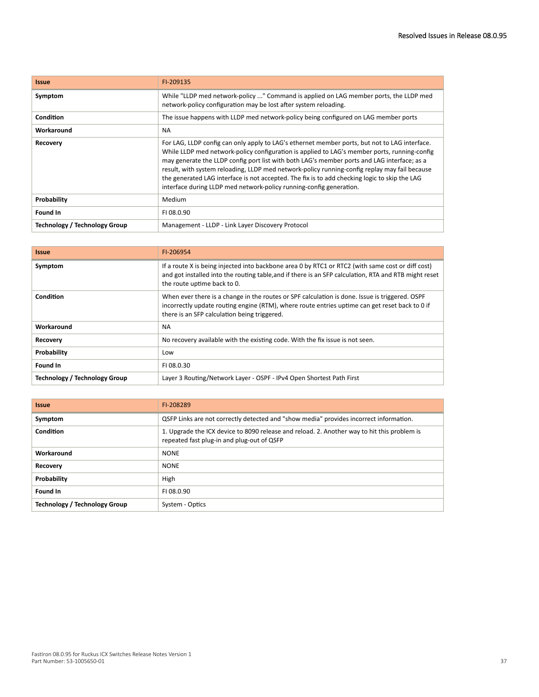| <b>Issue</b>                  | FI-209135                                                                                                                                                                                                                                                                                                                                                                                                                                                                                                                                                             |
|-------------------------------|-----------------------------------------------------------------------------------------------------------------------------------------------------------------------------------------------------------------------------------------------------------------------------------------------------------------------------------------------------------------------------------------------------------------------------------------------------------------------------------------------------------------------------------------------------------------------|
| Symptom                       | While "LLDP med network-policy " Command is applied on LAG member ports, the LLDP med<br>network-policy configuration may be lost after system reloading.                                                                                                                                                                                                                                                                                                                                                                                                             |
| Condition                     | The issue happens with LLDP med network-policy being configured on LAG member ports                                                                                                                                                                                                                                                                                                                                                                                                                                                                                   |
| Workaround                    | <b>NA</b>                                                                                                                                                                                                                                                                                                                                                                                                                                                                                                                                                             |
| Recovery                      | For LAG, LLDP config can only apply to LAG's ethernet member ports, but not to LAG interface.<br>While LLDP med network-policy configuration is applied to LAG's member ports, running-config<br>may generate the LLDP config port list with both LAG's member ports and LAG interface; as a<br>result, with system reloading, LLDP med network-policy running-config replay may fail because<br>the generated LAG interface is not accepted. The fix is to add checking logic to skip the LAG<br>interface during LLDP med network-policy running-config generation. |
| <b>Probability</b>            | Medium                                                                                                                                                                                                                                                                                                                                                                                                                                                                                                                                                                |
| Found In                      | FI08.0.90                                                                                                                                                                                                                                                                                                                                                                                                                                                                                                                                                             |
| Technology / Technology Group | Management - LLDP - Link Layer Discovery Protocol                                                                                                                                                                                                                                                                                                                                                                                                                                                                                                                     |

| <b>Issue</b>                  | FI-206954                                                                                                                                                                                                                                        |
|-------------------------------|--------------------------------------------------------------------------------------------------------------------------------------------------------------------------------------------------------------------------------------------------|
| Symptom                       | If a route X is being injected into backbone area 0 by RTC1 or RTC2 (with same cost or diff cost)<br>and got installed into the routing table, and if there is an SFP calculation, RTA and RTB might reset<br>the route uptime back to 0.        |
| Condition                     | When ever there is a change in the routes or SPF calculation is done. Issue is triggered. OSPF<br>incorrectly update routing engine (RTM), where route entries uptime can get reset back to 0 if<br>there is an SFP calculation being triggered. |
| Workaround                    | <b>NA</b>                                                                                                                                                                                                                                        |
| Recovery                      | No recovery available with the existing code. With the fix issue is not seen.                                                                                                                                                                    |
| Probability                   | Low                                                                                                                                                                                                                                              |
| Found In                      | FI 08.0.30                                                                                                                                                                                                                                       |
| Technology / Technology Group | Layer 3 Routing/Network Layer - OSPF - IPv4 Open Shortest Path First                                                                                                                                                                             |

| <b>Issue</b>                  | FI-208289                                                                                                                                 |
|-------------------------------|-------------------------------------------------------------------------------------------------------------------------------------------|
| Symptom                       | QSFP Links are not correctly detected and "show media" provides incorrect information.                                                    |
| <b>Condition</b>              | 1. Upgrade the ICX device to 8090 release and reload. 2. Another way to hit this problem is<br>repeated fast plug-in and plug-out of QSFP |
| Workaround                    | <b>NONE</b>                                                                                                                               |
| Recovery                      | <b>NONE</b>                                                                                                                               |
| Probability                   | High                                                                                                                                      |
| Found In                      | FI 08.0.90                                                                                                                                |
| Technology / Technology Group | System - Optics                                                                                                                           |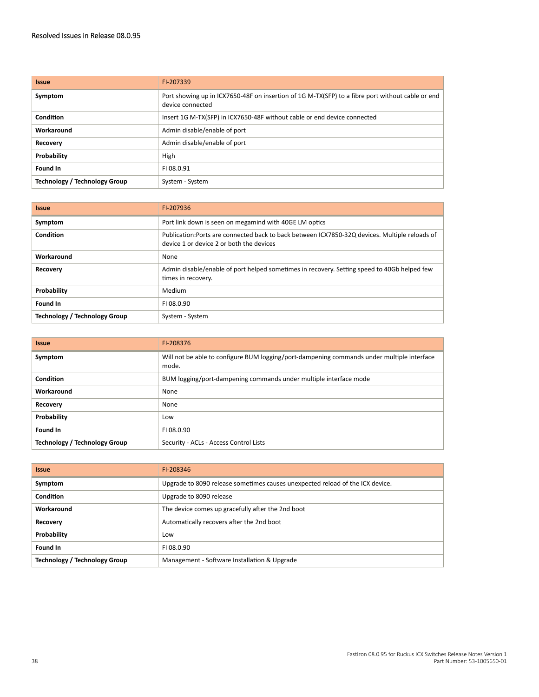| <b>Issue</b>                  | FI-207339                                                                                                            |
|-------------------------------|----------------------------------------------------------------------------------------------------------------------|
| Symptom                       | Port showing up in ICX7650-48F on insertion of 1G M-TX(SFP) to a fibre port without cable or end<br>device connected |
| <b>Condition</b>              | Insert 1G M-TX(SFP) in ICX7650-48F without cable or end device connected                                             |
| Workaround                    | Admin disable/enable of port                                                                                         |
| <b>Recovery</b>               | Admin disable/enable of port                                                                                         |
| Probability                   | High                                                                                                                 |
| Found In                      | FI 08.0.91                                                                                                           |
| Technology / Technology Group | System - System                                                                                                      |

| <b>Issue</b>                         | FI-207936                                                                                                                                  |
|--------------------------------------|--------------------------------------------------------------------------------------------------------------------------------------------|
| Symptom                              | Port link down is seen on megamind with 40GE LM optics                                                                                     |
| Condition                            | Publication: Ports are connected back to back between ICX7850-32Q devices. Multiple reloads of<br>device 1 or device 2 or both the devices |
| Workaround                           | None                                                                                                                                       |
| Recovery                             | Admin disable/enable of port helped sometimes in recovery. Setting speed to 40Gb helped few<br>times in recovery.                          |
| Probability                          | Medium                                                                                                                                     |
| Found In                             | FI 08.0.90                                                                                                                                 |
| <b>Technology / Technology Group</b> | System - System                                                                                                                            |

| <b>Issue</b>                         | FI-208376                                                                                           |
|--------------------------------------|-----------------------------------------------------------------------------------------------------|
| Symptom                              | Will not be able to configure BUM logging/port-dampening commands under multiple interface<br>mode. |
| Condition                            | BUM logging/port-dampening commands under multiple interface mode                                   |
| Workaround                           | None                                                                                                |
| <b>Recovery</b>                      | None                                                                                                |
| Probability                          | Low                                                                                                 |
| Found In                             | FI 08.0.90                                                                                          |
| <b>Technology / Technology Group</b> | Security - ACLs - Access Control Lists                                                              |

| <b>Issue</b>                         | FI-208346                                                                     |
|--------------------------------------|-------------------------------------------------------------------------------|
| Symptom                              | Upgrade to 8090 release sometimes causes unexpected reload of the ICX device. |
| <b>Condition</b>                     | Upgrade to 8090 release                                                       |
| Workaround                           | The device comes up gracefully after the 2nd boot                             |
| Recovery                             | Automatically recovers after the 2nd boot                                     |
| Probability                          | Low                                                                           |
| Found In                             | FI 08.0.90                                                                    |
| <b>Technology / Technology Group</b> | Management - Software Installation & Upgrade                                  |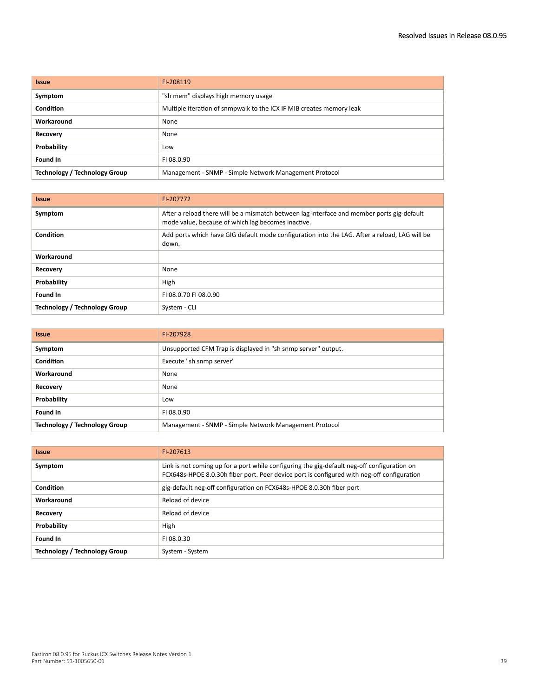| <b>Issue</b>                         | FI-208119                                                            |
|--------------------------------------|----------------------------------------------------------------------|
| Symptom                              | "sh mem" displays high memory usage                                  |
| Condition                            | Multiple iteration of snmpwalk to the ICX IF MIB creates memory leak |
| Workaround                           | None                                                                 |
| Recovery                             | None                                                                 |
| Probability                          | Low                                                                  |
| Found In                             | FI 08.0.90                                                           |
| <b>Technology / Technology Group</b> | Management - SNMP - Simple Network Management Protocol               |

| <b>Issue</b>                         | FI-207772                                                                                                                                        |
|--------------------------------------|--------------------------------------------------------------------------------------------------------------------------------------------------|
| Symptom                              | After a reload there will be a mismatch between lag interface and member ports gig-default<br>mode value, because of which lag becomes inactive. |
| Condition                            | Add ports which have GIG default mode configuration into the LAG. After a reload, LAG will be<br>down.                                           |
| Workaround                           |                                                                                                                                                  |
| Recovery                             | None                                                                                                                                             |
| Probability                          | High                                                                                                                                             |
| Found In                             | FL08.0.70 FL08.0.90                                                                                                                              |
| <b>Technology / Technology Group</b> | System - CLI                                                                                                                                     |

| <b>Issue</b>                         | FI-207928                                                     |
|--------------------------------------|---------------------------------------------------------------|
| Symptom                              | Unsupported CFM Trap is displayed in "sh snmp server" output. |
| <b>Condition</b>                     | Execute "sh snmp server"                                      |
| Workaround                           | None                                                          |
| Recovery                             | None                                                          |
| Probability                          | Low                                                           |
| Found In                             | FI 08.0.90                                                    |
| <b>Technology / Technology Group</b> | Management - SNMP - Simple Network Management Protocol        |

| <b>Issue</b>                  | FI-207613                                                                                                                                                                                 |
|-------------------------------|-------------------------------------------------------------------------------------------------------------------------------------------------------------------------------------------|
| Symptom                       | Link is not coming up for a port while configuring the gig-default neg-off configuration on<br>FCX648s-HPOE 8.0.30h fiber port. Peer device port is configured with neg-off configuration |
| Condition                     | gig-default neg-off configuration on FCX648s-HPOE 8.0.30h fiber port                                                                                                                      |
| Workaround                    | Reload of device                                                                                                                                                                          |
| Recovery                      | Reload of device                                                                                                                                                                          |
| Probability                   | High                                                                                                                                                                                      |
| Found In                      | FI 08.0.30                                                                                                                                                                                |
| Technology / Technology Group | System - System                                                                                                                                                                           |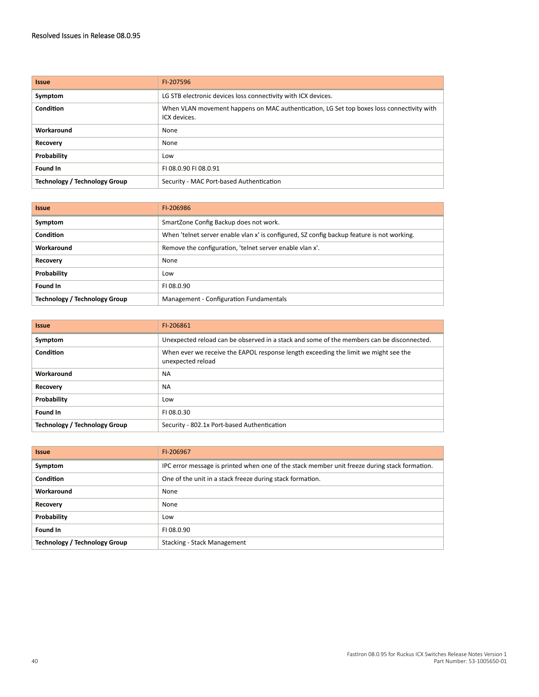| <b>Issue</b>                         | FI-207596                                                                                                 |
|--------------------------------------|-----------------------------------------------------------------------------------------------------------|
| Symptom                              | LG STB electronic devices loss connectivity with ICX devices.                                             |
| Condition                            | When VLAN movement happens on MAC authentication, LG Set top boxes loss connectivity with<br>ICX devices. |
| Workaround                           | None                                                                                                      |
| <b>Recovery</b>                      | None                                                                                                      |
| Probability                          | Low                                                                                                       |
| Found In                             | FL08.0.90 FL08.0.91                                                                                       |
| <b>Technology / Technology Group</b> | Security - MAC Port-based Authentication                                                                  |

| <b>Issue</b>                  | FI-206986                                                                                  |
|-------------------------------|--------------------------------------------------------------------------------------------|
| Symptom                       | SmartZone Config Backup does not work.                                                     |
| <b>Condition</b>              | When 'telnet server enable vlan x' is configured, SZ config backup feature is not working. |
| Workaround                    | Remove the configuration, 'telnet server enable vlan x'.                                   |
| <b>Recovery</b>               | None                                                                                       |
| Probability                   | Low                                                                                        |
| Found In                      | FI 08.0.90                                                                                 |
| Technology / Technology Group | Management - Configuration Fundamentals                                                    |

| <b>Issue</b>                         | FI-206861                                                                                                |
|--------------------------------------|----------------------------------------------------------------------------------------------------------|
| Symptom                              | Unexpected reload can be observed in a stack and some of the members can be disconnected.                |
| Condition                            | When ever we receive the EAPOL response length exceeding the limit we might see the<br>unexpected reload |
| Workaround                           | <b>NA</b>                                                                                                |
| <b>Recovery</b>                      | <b>NA</b>                                                                                                |
| Probability                          | Low                                                                                                      |
| Found In                             | FI 08.0.30                                                                                               |
| <b>Technology / Technology Group</b> | Security - 802.1x Port-based Authentication                                                              |

| <b>Issue</b>                  | FI-206967                                                                                     |
|-------------------------------|-----------------------------------------------------------------------------------------------|
| Symptom                       | IPC error message is printed when one of the stack member unit freeze during stack formation. |
| <b>Condition</b>              | One of the unit in a stack freeze during stack formation.                                     |
| Workaround                    | None                                                                                          |
| <b>Recovery</b>               | None                                                                                          |
| Probability                   | Low                                                                                           |
| Found In                      | FI 08.0.90                                                                                    |
| Technology / Technology Group | Stacking - Stack Management                                                                   |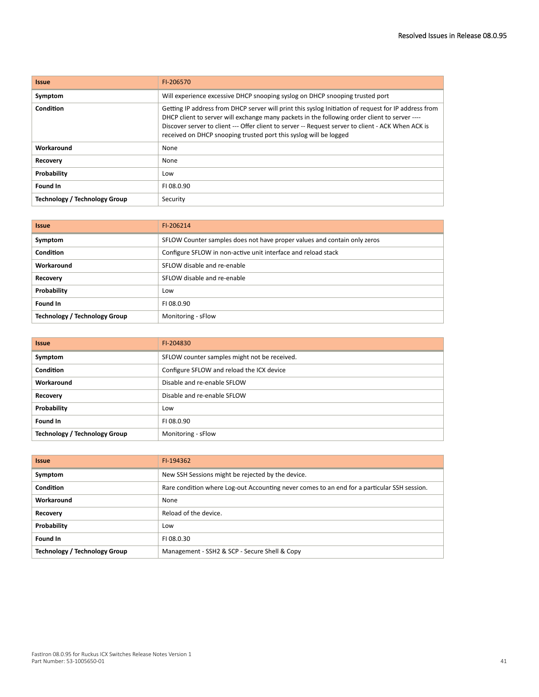| <b>Issue</b>                  | FI-206570                                                                                                                                                                                                                                                                                                                                                                        |
|-------------------------------|----------------------------------------------------------------------------------------------------------------------------------------------------------------------------------------------------------------------------------------------------------------------------------------------------------------------------------------------------------------------------------|
| Symptom                       | Will experience excessive DHCP snooping syslog on DHCP snooping trusted port                                                                                                                                                                                                                                                                                                     |
| Condition                     | Getting IP address from DHCP server will print this syslog Initiation of request for IP address from<br>DHCP client to server will exchange many packets in the following order client to server ----<br>Discover server to client --- Offer client to server -- Request server to client - ACK When ACK is<br>received on DHCP snooping trusted port this syslog will be logged |
| Workaround                    | None                                                                                                                                                                                                                                                                                                                                                                             |
| Recovery                      | None                                                                                                                                                                                                                                                                                                                                                                             |
| Probability                   | Low                                                                                                                                                                                                                                                                                                                                                                              |
| Found In                      | FI08.0.90                                                                                                                                                                                                                                                                                                                                                                        |
| Technology / Technology Group | Security                                                                                                                                                                                                                                                                                                                                                                         |

| <b>Issue</b>                         | FI-206214                                                                |
|--------------------------------------|--------------------------------------------------------------------------|
| Symptom                              | SFLOW Counter samples does not have proper values and contain only zeros |
| Condition                            | Configure SFLOW in non-active unit interface and reload stack            |
| Workaround                           | SFLOW disable and re-enable                                              |
| Recovery                             | SFLOW disable and re-enable                                              |
| Probability                          | Low                                                                      |
| Found In                             | FI 08.0.90                                                               |
| <b>Technology / Technology Group</b> | Monitoring - sFlow                                                       |

| <b>Issue</b>                         | FI-204830                                    |
|--------------------------------------|----------------------------------------------|
| Symptom                              | SFLOW counter samples might not be received. |
| Condition                            | Configure SFLOW and reload the ICX device    |
| Workaround                           | Disable and re-enable SFLOW                  |
| Recovery                             | Disable and re-enable SFLOW                  |
| Probability                          | Low                                          |
| Found In                             | FI 08.0.90                                   |
| <b>Technology / Technology Group</b> | Monitoring - sFlow                           |

| <b>Issue</b>                  | FI-194362                                                                                   |
|-------------------------------|---------------------------------------------------------------------------------------------|
| Symptom                       | New SSH Sessions might be rejected by the device.                                           |
| Condition                     | Rare condition where Log-out Accounting never comes to an end for a particular SSH session. |
| Workaround                    | None                                                                                        |
| <b>Recovery</b>               | Reload of the device.                                                                       |
| Probability                   | Low                                                                                         |
| Found In                      | FI 08.0.30                                                                                  |
| Technology / Technology Group | Management - SSH2 & SCP - Secure Shell & Copy                                               |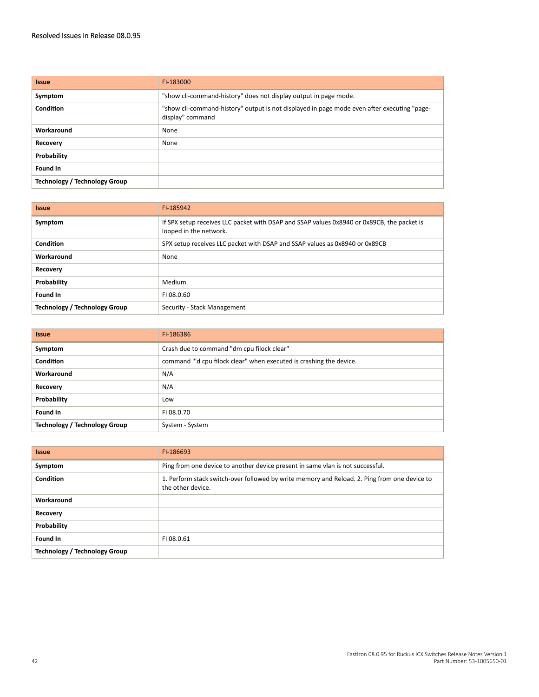| <b>Issue</b>                         | FI-183000                                                                                                       |
|--------------------------------------|-----------------------------------------------------------------------------------------------------------------|
| Symptom                              | "show cli-command-history" does not display output in page mode.                                                |
| Condition                            | "show cli-command-history" output is not displayed in page mode even after executing "page-<br>display" command |
| Workaround                           | None                                                                                                            |
| Recovery                             | None                                                                                                            |
| Probability                          |                                                                                                                 |
| Found In                             |                                                                                                                 |
| <b>Technology / Technology Group</b> |                                                                                                                 |

| <b>Issue</b>                         | FI-185942                                                                                                            |
|--------------------------------------|----------------------------------------------------------------------------------------------------------------------|
| Symptom                              | If SPX setup receives LLC packet with DSAP and SSAP values 0x8940 or 0x89CB, the packet is<br>looped in the network. |
| Condition                            | SPX setup receives LLC packet with DSAP and SSAP values as 0x8940 or 0x89CB                                          |
| Workaround                           | None                                                                                                                 |
| Recovery                             |                                                                                                                      |
| Probability                          | Medium                                                                                                               |
| Found In                             | FI 08.0.60                                                                                                           |
| <b>Technology / Technology Group</b> | Security - Stack Management                                                                                          |

| <b>Issue</b>                         | FI-186386                                                           |
|--------------------------------------|---------------------------------------------------------------------|
| Symptom                              | Crash due to command "dm cpu filock clear"                          |
| <b>Condition</b>                     | command "'d cpu filock clear" when executed is crashing the device. |
| Workaround                           | N/A                                                                 |
| Recovery                             | N/A                                                                 |
| Probability                          | Low                                                                 |
| Found In                             | FI 08.0.70                                                          |
| <b>Technology / Technology Group</b> | System - System                                                     |

| <b>Issue</b>                         | FI-186693                                                                                                         |
|--------------------------------------|-------------------------------------------------------------------------------------------------------------------|
| Symptom                              | Ping from one device to another device present in same vlan is not successful.                                    |
| Condition                            | 1. Perform stack switch-over followed by write memory and Reload. 2. Ping from one device to<br>the other device. |
| Workaround                           |                                                                                                                   |
| <b>Recovery</b>                      |                                                                                                                   |
| Probability                          |                                                                                                                   |
| Found In                             | FI 08.0.61                                                                                                        |
| <b>Technology / Technology Group</b> |                                                                                                                   |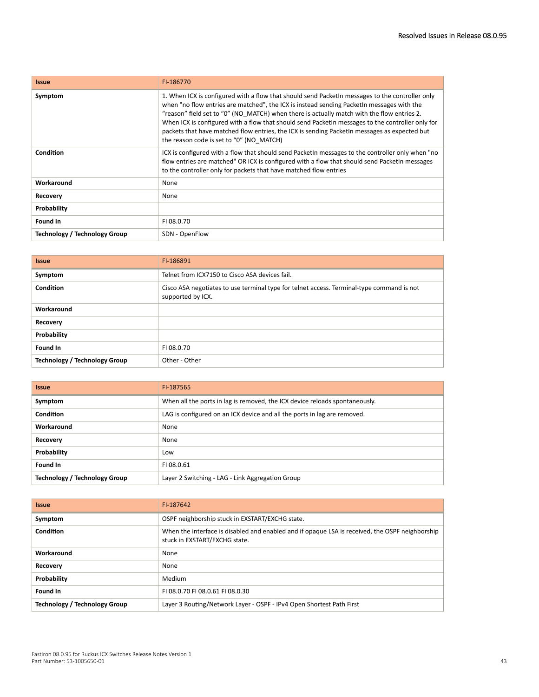| <b>Issue</b>                  | FI-186770                                                                                                                                                                                                                                                                                                                                                                                                                                                                                                                                  |
|-------------------------------|--------------------------------------------------------------------------------------------------------------------------------------------------------------------------------------------------------------------------------------------------------------------------------------------------------------------------------------------------------------------------------------------------------------------------------------------------------------------------------------------------------------------------------------------|
| Symptom                       | 1. When ICX is configured with a flow that should send PacketIn messages to the controller only<br>when "no flow entries are matched", the ICX is instead sending PacketIn messages with the<br>"reason" field set to "0" (NO MATCH) when there is actually match with the flow entries 2.<br>When ICX is configured with a flow that should send Packet n messages to the controller only for<br>packets that have matched flow entries, the ICX is sending PacketIn messages as expected but<br>the reason code is set to "0" (NO MATCH) |
| Condition                     | ICX is configured with a flow that should send PacketIn messages to the controller only when "no<br>flow entries are matched" OR ICX is configured with a flow that should send PacketIn messages<br>to the controller only for packets that have matched flow entries                                                                                                                                                                                                                                                                     |
| Workaround                    | None                                                                                                                                                                                                                                                                                                                                                                                                                                                                                                                                       |
| Recovery                      | None                                                                                                                                                                                                                                                                                                                                                                                                                                                                                                                                       |
| Probability                   |                                                                                                                                                                                                                                                                                                                                                                                                                                                                                                                                            |
| Found In                      | FI08.0.70                                                                                                                                                                                                                                                                                                                                                                                                                                                                                                                                  |
| Technology / Technology Group | SDN - OpenFlow                                                                                                                                                                                                                                                                                                                                                                                                                                                                                                                             |

| <b>Issue</b>                         | FI-186891                                                                                                      |
|--------------------------------------|----------------------------------------------------------------------------------------------------------------|
| Symptom                              | Telnet from ICX7150 to Cisco ASA devices fail.                                                                 |
| Condition                            | Cisco ASA negotiates to use terminal type for telnet access. Terminal-type command is not<br>supported by ICX. |
| Workaround                           |                                                                                                                |
| <b>Recovery</b>                      |                                                                                                                |
| Probability                          |                                                                                                                |
| Found In                             | FI 08.0.70                                                                                                     |
| <b>Technology / Technology Group</b> | Other - Other                                                                                                  |

| <b>Issue</b>                  | FI-187565                                                                   |
|-------------------------------|-----------------------------------------------------------------------------|
| Symptom                       | When all the ports in lag is removed, the ICX device reloads spontaneously. |
| <b>Condition</b>              | LAG is configured on an ICX device and all the ports in lag are removed.    |
| Workaround                    | None                                                                        |
| Recovery                      | None                                                                        |
| Probability                   | Low                                                                         |
| Found In                      | FI08.0.61                                                                   |
| Technology / Technology Group | Layer 2 Switching - LAG - Link Aggregation Group                            |

| <b>Issue</b>                  | FI-187642                                                                                                                        |
|-------------------------------|----------------------------------------------------------------------------------------------------------------------------------|
| Symptom                       | OSPF neighborship stuck in EXSTART/EXCHG state.                                                                                  |
| Condition                     | When the interface is disabled and enabled and if opaque LSA is received, the OSPF neighborship<br>stuck in EXSTART/EXCHG state. |
| Workaround                    | None                                                                                                                             |
| Recovery                      | None                                                                                                                             |
| Probability                   | Medium                                                                                                                           |
| Found In                      | FL08.0.70 FL08.0.61 FL08.0.30                                                                                                    |
| Technology / Technology Group | Layer 3 Routing/Network Layer - OSPF - IPv4 Open Shortest Path First                                                             |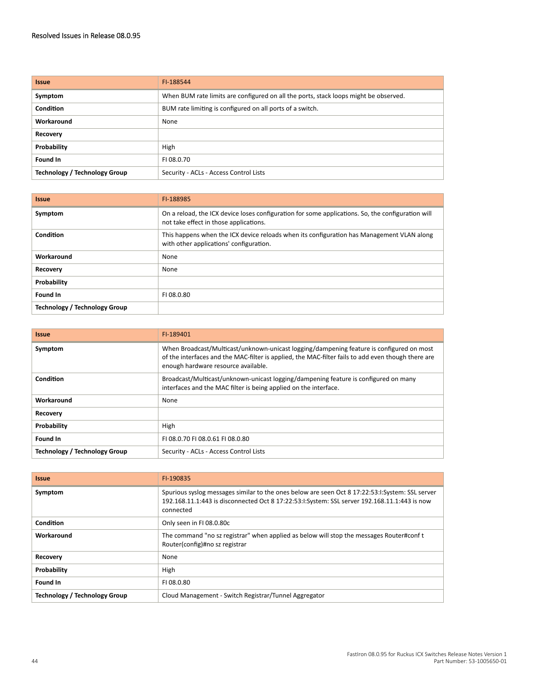| <b>Issue</b>                  | FI-188544                                                                            |
|-------------------------------|--------------------------------------------------------------------------------------|
| Symptom                       | When BUM rate limits are configured on all the ports, stack loops might be observed. |
| <b>Condition</b>              | BUM rate limiting is configured on all ports of a switch.                            |
| Workaround                    | None                                                                                 |
| <b>Recovery</b>               |                                                                                      |
| Probability                   | High                                                                                 |
| Found In                      | FI 08.0.70                                                                           |
| Technology / Technology Group | Security - ACLs - Access Control Lists                                               |

| <b>Issue</b>                  | FI-188985                                                                                                                                   |
|-------------------------------|---------------------------------------------------------------------------------------------------------------------------------------------|
| Symptom                       | On a reload, the ICX device loses configuration for some applications. So, the configuration will<br>not take effect in those applications. |
| Condition                     | This happens when the ICX device reloads when its configuration has Management VLAN along<br>with other applications' configuration.        |
| Workaround                    | None                                                                                                                                        |
| Recovery                      | None                                                                                                                                        |
| Probability                   |                                                                                                                                             |
| Found In                      | FI 08.0.80                                                                                                                                  |
| Technology / Technology Group |                                                                                                                                             |

| <b>Issue</b>                  | FI-189401                                                                                                                                                                                                                             |
|-------------------------------|---------------------------------------------------------------------------------------------------------------------------------------------------------------------------------------------------------------------------------------|
| Symptom                       | When Broadcast/Multicast/unknown-unicast logging/dampening feature is configured on most<br>of the interfaces and the MAC-filter is applied, the MAC-filter fails to add even though there are<br>enough hardware resource available. |
| Condition                     | Broadcast/Multicast/unknown-unicast logging/dampening feature is configured on many<br>interfaces and the MAC filter is being applied on the interface.                                                                               |
| Workaround                    | None                                                                                                                                                                                                                                  |
| Recovery                      |                                                                                                                                                                                                                                       |
| Probability                   | High                                                                                                                                                                                                                                  |
| Found In                      | FL08.0.70 FL08.0.61 FL08.0.80                                                                                                                                                                                                         |
| Technology / Technology Group | Security - ACLs - Access Control Lists                                                                                                                                                                                                |

| <b>Issue</b>                  | FI-190835                                                                                                                                                                                                    |
|-------------------------------|--------------------------------------------------------------------------------------------------------------------------------------------------------------------------------------------------------------|
| Symptom                       | Spurious syslog messages similar to the ones below are seen Oct 8 17:22:53:I:System: SSL server<br>192.168.11.1:443 is disconnected Oct 8 17:22:53:I:System: SSL server 192.168.11.1:443 is now<br>connected |
| <b>Condition</b>              | Only seen in FI 08.0.80c                                                                                                                                                                                     |
| Workaround                    | The command "no sz registrar" when applied as below will stop the messages Router#conf t<br>Router(config)#no sz registrar                                                                                   |
| Recovery                      | None                                                                                                                                                                                                         |
| Probability                   | High                                                                                                                                                                                                         |
| Found In                      | FI 08.0.80                                                                                                                                                                                                   |
| Technology / Technology Group | Cloud Management - Switch Registrar/Tunnel Aggregator                                                                                                                                                        |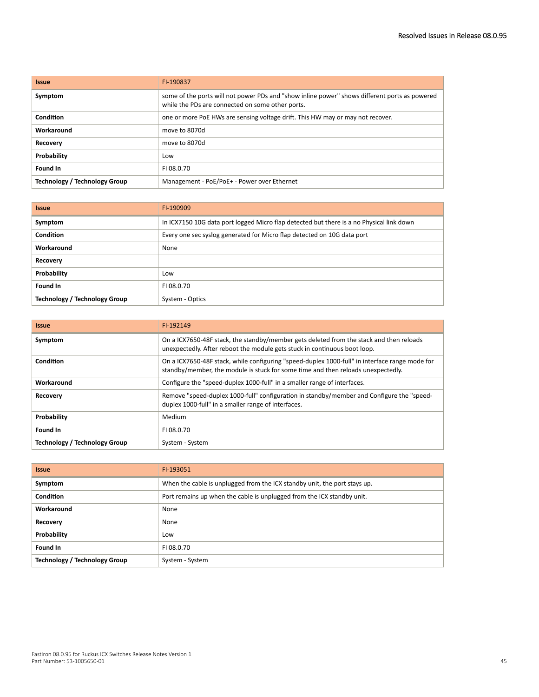| <b>Issue</b>                         | FI-190837                                                                                                                                         |
|--------------------------------------|---------------------------------------------------------------------------------------------------------------------------------------------------|
| Symptom                              | some of the ports will not power PDs and "show inline power" shows different ports as powered<br>while the PDs are connected on some other ports. |
| Condition                            | one or more PoE HWs are sensing voltage drift. This HW may or may not recover.                                                                    |
| Workaround                           | move to 8070d                                                                                                                                     |
| Recovery                             | move to 8070d                                                                                                                                     |
| Probability                          | Low                                                                                                                                               |
| Found In                             | FI08.0.70                                                                                                                                         |
| <b>Technology / Technology Group</b> | Management - PoE/PoE+ - Power over Ethernet                                                                                                       |

| <b>Issue</b>                         | FI-190909                                                                                |
|--------------------------------------|------------------------------------------------------------------------------------------|
| Symptom                              | In ICX7150 10G data port logged Micro flap detected but there is a no Physical link down |
| Condition                            | Every one sec syslog generated for Micro flap detected on 10G data port                  |
| Workaround                           | None                                                                                     |
| Recovery                             |                                                                                          |
| Probability                          | Low                                                                                      |
| Found In                             | FI 08.0.70                                                                               |
| <b>Technology / Technology Group</b> | System - Optics                                                                          |

| <b>Issue</b>                  | FI-192149                                                                                                                                                                          |
|-------------------------------|------------------------------------------------------------------------------------------------------------------------------------------------------------------------------------|
| Symptom                       | On a ICX7650-48F stack, the standby/member gets deleted from the stack and then reloads<br>unexpectedly. After reboot the module gets stuck in continuous boot loop.               |
| Condition                     | On a ICX7650-48F stack, while configuring "speed-duplex 1000-full" in interface range mode for<br>standby/member, the module is stuck for some time and then reloads unexpectedly. |
| Workaround                    | Configure the "speed-duplex 1000-full" in a smaller range of interfaces.                                                                                                           |
| <b>Recovery</b>               | Remove "speed-duplex 1000-full" configuration in standby/member and Configure the "speed-<br>duplex 1000-full" in a smaller range of interfaces.                                   |
| Probability                   | Medium                                                                                                                                                                             |
| Found In                      | FI08.0.70                                                                                                                                                                          |
| Technology / Technology Group | System - System                                                                                                                                                                    |

| <b>Issue</b>                         | FI-193051                                                                 |
|--------------------------------------|---------------------------------------------------------------------------|
| Symptom                              | When the cable is unplugged from the ICX standby unit, the port stays up. |
| <b>Condition</b>                     | Port remains up when the cable is unplugged from the ICX standby unit.    |
| Workaround                           | None                                                                      |
| Recovery                             | None                                                                      |
| Probability                          | Low                                                                       |
| Found In                             | FI 08.0.70                                                                |
| <b>Technology / Technology Group</b> | System - System                                                           |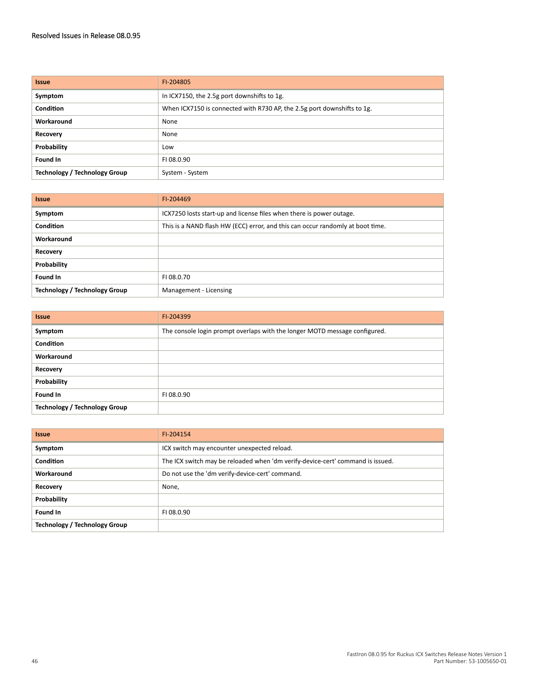#### Resolved Issues in Release 08.0.95

| <b>Issue</b>                         | FI-204805                                                               |
|--------------------------------------|-------------------------------------------------------------------------|
| Symptom                              | In ICX7150, the 2.5g port downshifts to 1g.                             |
| <b>Condition</b>                     | When ICX7150 is connected with R730 AP, the 2.5g port downshifts to 1g. |
| Workaround                           | None                                                                    |
| Recovery                             | None                                                                    |
| Probability                          | Low                                                                     |
| Found In                             | FI 08.0.90                                                              |
| <b>Technology / Technology Group</b> | System - System                                                         |

| <b>Issue</b>                         | FI-204469                                                                      |
|--------------------------------------|--------------------------------------------------------------------------------|
| Symptom                              | ICX7250 losts start-up and license files when there is power outage.           |
| <b>Condition</b>                     | This is a NAND flash HW (ECC) error, and this can occur randomly at boot time. |
| Workaround                           |                                                                                |
| Recovery                             |                                                                                |
| Probability                          |                                                                                |
| Found In                             | FI 08.0.70                                                                     |
| <b>Technology / Technology Group</b> | Management - Licensing                                                         |

| <b>Issue</b>                         | FI-204399                                                                  |
|--------------------------------------|----------------------------------------------------------------------------|
| Symptom                              | The console login prompt overlaps with the longer MOTD message configured. |
| Condition                            |                                                                            |
| Workaround                           |                                                                            |
| Recovery                             |                                                                            |
| Probability                          |                                                                            |
| Found In                             | FI 08.0.90                                                                 |
| <b>Technology / Technology Group</b> |                                                                            |

| <b>Issue</b>                         | FI-204154                                                                      |
|--------------------------------------|--------------------------------------------------------------------------------|
| Symptom                              | ICX switch may encounter unexpected reload.                                    |
| Condition                            | The ICX switch may be reloaded when 'dm verify-device-cert' command is issued. |
| Workaround                           | Do not use the 'dm verify-device-cert' command.                                |
| <b>Recovery</b>                      | None,                                                                          |
| Probability                          |                                                                                |
| Found In                             | FI 08.0.90                                                                     |
| <b>Technology / Technology Group</b> |                                                                                |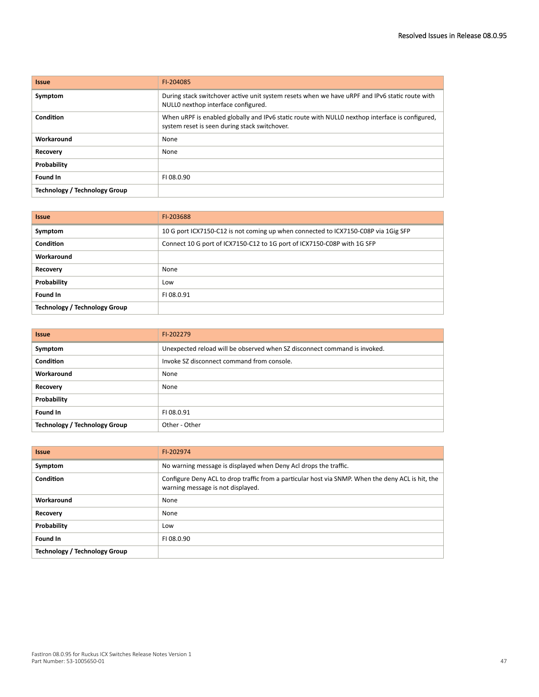| <b>Issue</b>                  | FI-204085                                                                                                                                        |
|-------------------------------|--------------------------------------------------------------------------------------------------------------------------------------------------|
| Symptom                       | During stack switchover active unit system resets when we have uRPF and IPv6 static route with<br>NULLO nexthop interface configured.            |
| Condition                     | When uRPF is enabled globally and IPv6 static route with NULLO nexthop interface is configured,<br>system reset is seen during stack switchover. |
| Workaround                    | None                                                                                                                                             |
| <b>Recovery</b>               | None                                                                                                                                             |
| Probability                   |                                                                                                                                                  |
| Found In                      | FI 08.0.90                                                                                                                                       |
| Technology / Technology Group |                                                                                                                                                  |

| <b>Issue</b>                         | FI-203688                                                                          |
|--------------------------------------|------------------------------------------------------------------------------------|
| Symptom                              | 10 G port ICX7150-C12 is not coming up when connected to ICX7150-C08P via 1Gig SFP |
| <b>Condition</b>                     | Connect 10 G port of ICX7150-C12 to 1G port of ICX7150-C08P with 1G SFP            |
| Workaround                           |                                                                                    |
| <b>Recovery</b>                      | None                                                                               |
| Probability                          | Low                                                                                |
| Found In                             | FI 08.0.91                                                                         |
| <b>Technology / Technology Group</b> |                                                                                    |

| <b>Issue</b>                         | FI-202279                                                                 |
|--------------------------------------|---------------------------------------------------------------------------|
| Symptom                              | Unexpected reload will be observed when SZ disconnect command is invoked. |
| Condition                            | Invoke SZ disconnect command from console.                                |
| Workaround                           | None                                                                      |
| <b>Recovery</b>                      | None                                                                      |
| Probability                          |                                                                           |
| Found In                             | FI 08.0.91                                                                |
| <b>Technology / Technology Group</b> | Other - Other                                                             |

| <b>Issue</b>                         | FI-202974                                                                                                                              |
|--------------------------------------|----------------------------------------------------------------------------------------------------------------------------------------|
| Symptom                              | No warning message is displayed when Deny Acl drops the traffic.                                                                       |
| <b>Condition</b>                     | Configure Deny ACL to drop traffic from a particular host via SNMP. When the deny ACL is hit, the<br>warning message is not displayed. |
| Workaround                           | None                                                                                                                                   |
| <b>Recovery</b>                      | None                                                                                                                                   |
| Probability                          | Low                                                                                                                                    |
| Found In                             | FI 08.0.90                                                                                                                             |
| <b>Technology / Technology Group</b> |                                                                                                                                        |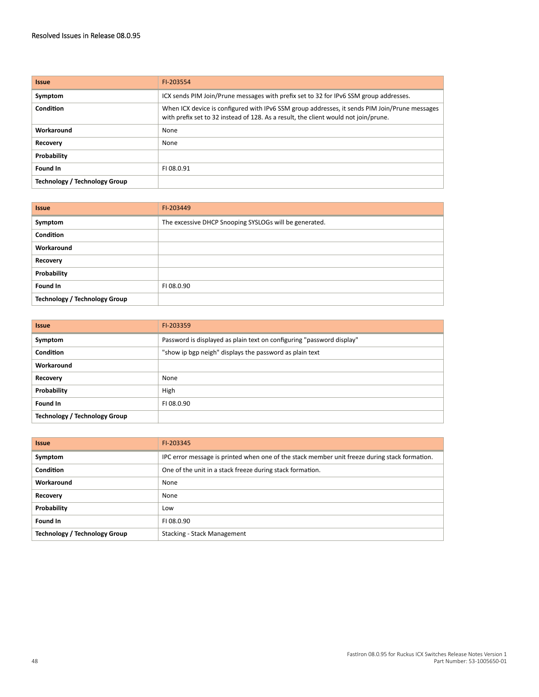#### Resolved Issues in Release 08.0.95

| <b>Issue</b>                  | FI-203554                                                                                                                                                                            |
|-------------------------------|--------------------------------------------------------------------------------------------------------------------------------------------------------------------------------------|
| Symptom                       | ICX sends PIM Join/Prune messages with prefix set to 32 for IPv6 SSM group addresses.                                                                                                |
| Condition                     | When ICX device is configured with IPv6 SSM group addresses, it sends PIM Join/Prune messages<br>with prefix set to 32 instead of 128. As a result, the client would not join/prune. |
| Workaround                    | None                                                                                                                                                                                 |
| Recovery                      | None                                                                                                                                                                                 |
| Probability                   |                                                                                                                                                                                      |
| Found In                      | FI 08.0.91                                                                                                                                                                           |
| Technology / Technology Group |                                                                                                                                                                                      |

| <b>Issue</b>                         | FI-203449                                              |
|--------------------------------------|--------------------------------------------------------|
| Symptom                              | The excessive DHCP Snooping SYSLOGs will be generated. |
| <b>Condition</b>                     |                                                        |
| Workaround                           |                                                        |
| Recovery                             |                                                        |
| Probability                          |                                                        |
| Found In                             | FI 08.0.90                                             |
| <b>Technology / Technology Group</b> |                                                        |

| <b>Issue</b>                         | FI-203359                                                             |
|--------------------------------------|-----------------------------------------------------------------------|
| Symptom                              | Password is displayed as plain text on configuring "password display" |
| <b>Condition</b>                     | "show ip bgp neigh" displays the password as plain text               |
| Workaround                           |                                                                       |
| Recovery                             | None                                                                  |
| Probability                          | High                                                                  |
| Found In                             | FI 08.0.90                                                            |
| <b>Technology / Technology Group</b> |                                                                       |

| <b>Issue</b>                         | FI-203345                                                                                     |
|--------------------------------------|-----------------------------------------------------------------------------------------------|
| Symptom                              | IPC error message is printed when one of the stack member unit freeze during stack formation. |
| <b>Condition</b>                     | One of the unit in a stack freeze during stack formation.                                     |
| Workaround                           | None                                                                                          |
| <b>Recovery</b>                      | None                                                                                          |
| Probability                          | Low                                                                                           |
| Found In                             | FI 08.0.90                                                                                    |
| <b>Technology / Technology Group</b> | Stacking - Stack Management                                                                   |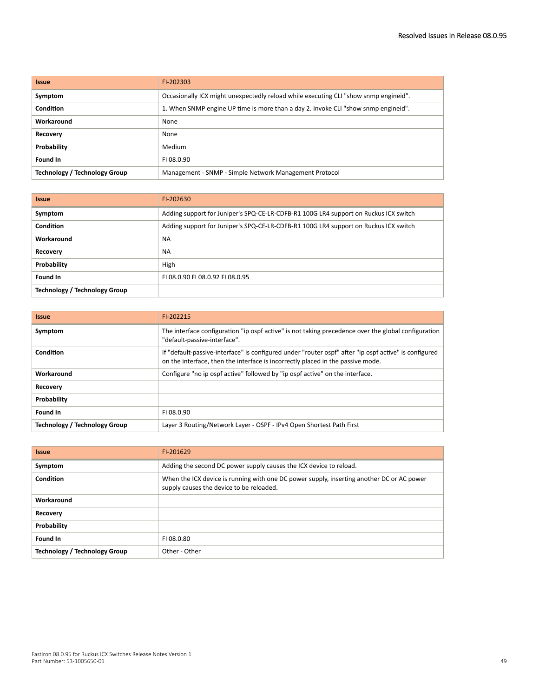| <b>Issue</b>                  | FI-202303                                                                            |
|-------------------------------|--------------------------------------------------------------------------------------|
| Symptom                       | Occasionally ICX might unexpectedly reload while executing CLI "show snmp engineid". |
| Condition                     | 1. When SNMP engine UP time is more than a day 2. Invoke CLI "show snmp engineid".   |
| Workaround                    | None                                                                                 |
| <b>Recovery</b>               | None                                                                                 |
| Probability                   | Medium                                                                               |
| Found In                      | FL08.0.90                                                                            |
| Technology / Technology Group | Management - SNMP - Simple Network Management Protocol                               |

| <b>Issue</b>                         | FI-202630                                                                            |
|--------------------------------------|--------------------------------------------------------------------------------------|
| Symptom                              | Adding support for Juniper's SPQ-CE-LR-CDFB-R1 100G LR4 support on Ruckus ICX switch |
| Condition                            | Adding support for Juniper's SPQ-CE-LR-CDFB-R1 100G LR4 support on Ruckus ICX switch |
| Workaround                           | <b>NA</b>                                                                            |
| <b>Recovery</b>                      | <b>NA</b>                                                                            |
| Probability                          | High                                                                                 |
| Found In                             | FI 08.0.90 FI 08.0.92 FI 08.0.95                                                     |
| <b>Technology / Technology Group</b> |                                                                                      |

| <b>Issue</b>                  | FI-202215                                                                                                                                                                                |
|-------------------------------|------------------------------------------------------------------------------------------------------------------------------------------------------------------------------------------|
| Symptom                       | The interface configuration "ip ospf active" is not taking precedence over the global configuration<br>"default-passive-interface".                                                      |
| Condition                     | If "default-passive-interface" is configured under "router ospf" after "ip ospf active" is configured<br>on the interface, then the interface is incorrectly placed in the passive mode. |
| Workaround                    | Configure "no ip ospf active" followed by "ip ospf active" on the interface.                                                                                                             |
| Recovery                      |                                                                                                                                                                                          |
| Probability                   |                                                                                                                                                                                          |
| Found In                      | FI 08.0.90                                                                                                                                                                               |
| Technology / Technology Group | Layer 3 Routing/Network Layer - OSPF - IPv4 Open Shortest Path First                                                                                                                     |

| <b>Issue</b>                         | FI-201629                                                                                                                             |
|--------------------------------------|---------------------------------------------------------------------------------------------------------------------------------------|
| Symptom                              | Adding the second DC power supply causes the ICX device to reload.                                                                    |
| Condition                            | When the ICX device is running with one DC power supply, inserting another DC or AC power<br>supply causes the device to be reloaded. |
| Workaround                           |                                                                                                                                       |
| Recovery                             |                                                                                                                                       |
| Probability                          |                                                                                                                                       |
| Found In                             | FI 08.0.80                                                                                                                            |
| <b>Technology / Technology Group</b> | Other - Other                                                                                                                         |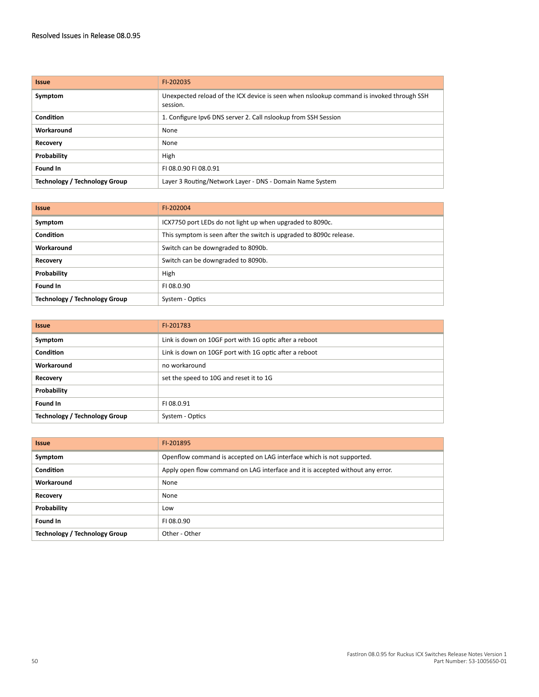| <b>Issue</b>                  | FI-202035                                                                                            |
|-------------------------------|------------------------------------------------------------------------------------------------------|
| Symptom                       | Unexpected reload of the ICX device is seen when nslookup command is invoked through SSH<br>session. |
| <b>Condition</b>              | 1. Configure Ipv6 DNS server 2. Call nslookup from SSH Session                                       |
| Workaround                    | None                                                                                                 |
| Recovery                      | None                                                                                                 |
| Probability                   | High                                                                                                 |
| Found In                      | FL08.0.90 FL08.0.91                                                                                  |
| Technology / Technology Group | Layer 3 Routing/Network Layer - DNS - Domain Name System                                             |

| <b>Issue</b>                  | FI-202004                                                           |
|-------------------------------|---------------------------------------------------------------------|
| Symptom                       | ICX7750 port LEDs do not light up when upgraded to 8090c.           |
| Condition                     | This symptom is seen after the switch is upgraded to 8090c release. |
| Workaround                    | Switch can be downgraded to 8090b.                                  |
| <b>Recovery</b>               | Switch can be downgraded to 8090b.                                  |
| Probability                   | High                                                                |
| Found In                      | FI 08.0.90                                                          |
| Technology / Technology Group | System - Optics                                                     |

| <b>Issue</b>                         | FI-201783                                              |
|--------------------------------------|--------------------------------------------------------|
| Symptom                              | Link is down on 10GF port with 1G optic after a reboot |
| Condition                            | Link is down on 10GF port with 1G optic after a reboot |
| Workaround                           | no workaround                                          |
| Recovery                             | set the speed to 10G and reset it to 1G                |
| Probability                          |                                                        |
| Found In                             | FI 08.0.91                                             |
| <b>Technology / Technology Group</b> | System - Optics                                        |

| <b>Issue</b>                         | FI-201895                                                                      |
|--------------------------------------|--------------------------------------------------------------------------------|
| Symptom                              | Openflow command is accepted on LAG interface which is not supported.          |
| Condition                            | Apply open flow command on LAG interface and it is accepted without any error. |
| Workaround                           | None                                                                           |
| <b>Recovery</b>                      | None                                                                           |
| Probability                          | Low                                                                            |
| Found In                             | FI 08.0.90                                                                     |
| <b>Technology / Technology Group</b> | Other - Other                                                                  |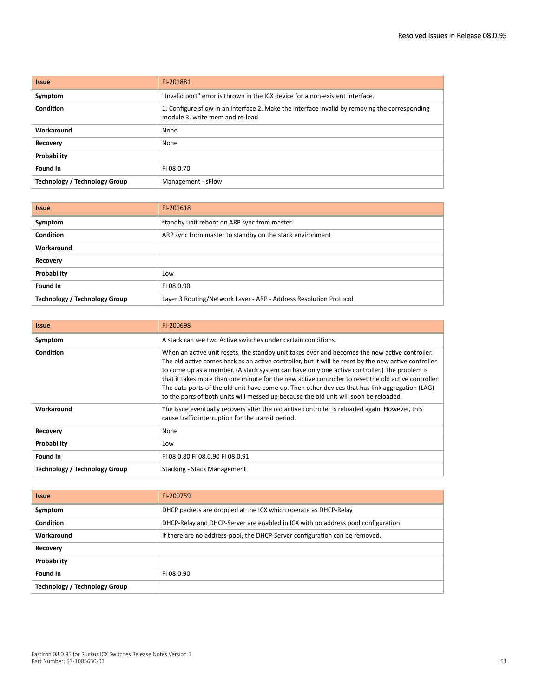| <b>Issue</b>                         | FI-201881                                                                                                                         |
|--------------------------------------|-----------------------------------------------------------------------------------------------------------------------------------|
| Symptom                              | "Invalid port" error is thrown in the ICX device for a non-existent interface.                                                    |
| <b>Condition</b>                     | 1. Configure sflow in an interface 2. Make the interface invalid by removing the corresponding<br>module 3, write mem and re-load |
| Workaround                           | None                                                                                                                              |
| <b>Recovery</b>                      | None                                                                                                                              |
| Probability                          |                                                                                                                                   |
| Found In                             | FI 08.0.70                                                                                                                        |
| <b>Technology / Technology Group</b> | Management - sFlow                                                                                                                |

| <b>Issue</b>                         | FI-201618                                                         |
|--------------------------------------|-------------------------------------------------------------------|
| Symptom                              | standby unit reboot on ARP sync from master                       |
| Condition                            | ARP sync from master to standby on the stack environment          |
| Workaround                           |                                                                   |
| Recovery                             |                                                                   |
| Probability                          | Low                                                               |
| Found In                             | FI 08.0.90                                                        |
| <b>Technology / Technology Group</b> | Layer 3 Routing/Network Layer - ARP - Address Resolution Protocol |

| <b>Issue</b>                  | FI-200698                                                                                                                                                                                                                                                                                                                                                                                                                                                                                                                                                                                                  |
|-------------------------------|------------------------------------------------------------------------------------------------------------------------------------------------------------------------------------------------------------------------------------------------------------------------------------------------------------------------------------------------------------------------------------------------------------------------------------------------------------------------------------------------------------------------------------------------------------------------------------------------------------|
| Symptom                       | A stack can see two Active switches under certain conditions.                                                                                                                                                                                                                                                                                                                                                                                                                                                                                                                                              |
| Condition                     | When an active unit resets, the standby unit takes over and becomes the new active controller.<br>The old active comes back as an active controller, but it will be reset by the new active controller<br>to come up as a member. (A stack system can have only one active controller.) The problem is<br>that it takes more than one minute for the new active controller to reset the old active controller.<br>The data ports of the old unit have come up. Then other devices that has link aggregation (LAG)<br>to the ports of both units will messed up because the old unit will soon be reloaded. |
| Workaround                    | The issue eventually recovers after the old active controller is reloaded again. However, this<br>cause traffic interruption for the transit period.                                                                                                                                                                                                                                                                                                                                                                                                                                                       |
| Recovery                      | None                                                                                                                                                                                                                                                                                                                                                                                                                                                                                                                                                                                                       |
| Probability                   | Low                                                                                                                                                                                                                                                                                                                                                                                                                                                                                                                                                                                                        |
| Found In                      | FL08.0.80 FL08.0.90 FL08.0.91                                                                                                                                                                                                                                                                                                                                                                                                                                                                                                                                                                              |
| Technology / Technology Group | Stacking - Stack Management                                                                                                                                                                                                                                                                                                                                                                                                                                                                                                                                                                                |

| <b>Issue</b>                  | FI-200759                                                                         |
|-------------------------------|-----------------------------------------------------------------------------------|
| Symptom                       | DHCP packets are dropped at the ICX which operate as DHCP-Relay                   |
| Condition                     | DHCP-Relay and DHCP-Server are enabled in ICX with no address pool configuration. |
| Workaround                    | If there are no address-pool, the DHCP-Server configuration can be removed.       |
| Recovery                      |                                                                                   |
| Probability                   |                                                                                   |
| Found In                      | FI 08.0.90                                                                        |
| Technology / Technology Group |                                                                                   |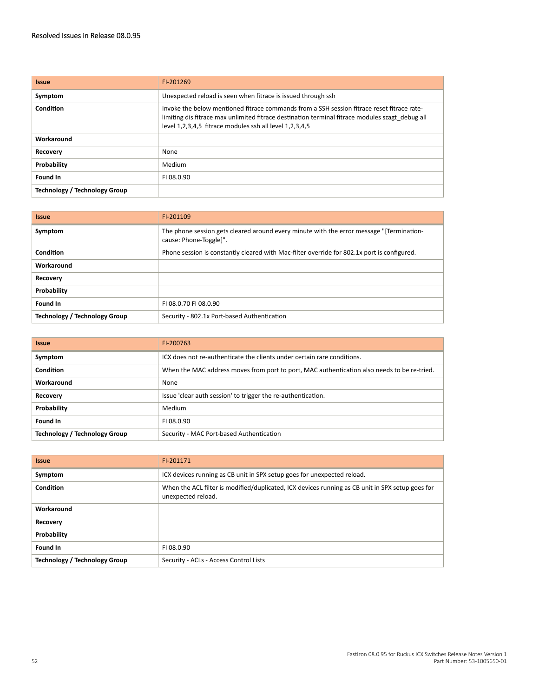| <b>Issue</b>                  | FI-201269                                                                                                                                                                                                                                                |
|-------------------------------|----------------------------------------------------------------------------------------------------------------------------------------------------------------------------------------------------------------------------------------------------------|
| Symptom                       | Unexpected reload is seen when fitrace is issued through ssh                                                                                                                                                                                             |
| Condition                     | Invoke the below mentioned fitrace commands from a SSH session fitrace reset fitrace rate-<br>limiting dis fitrace max unlimited fitrace destination terminal fitrace modules szagt debug all<br>level 1,2,3,4,5 fitrace modules ssh all level 1,2,3,4,5 |
| Workaround                    |                                                                                                                                                                                                                                                          |
| <b>Recovery</b>               | None                                                                                                                                                                                                                                                     |
| Probability                   | Medium                                                                                                                                                                                                                                                   |
| Found In                      | FI 08.0.90                                                                                                                                                                                                                                               |
| Technology / Technology Group |                                                                                                                                                                                                                                                          |

| <b>Issue</b>                         | FI-201109                                                                                                          |
|--------------------------------------|--------------------------------------------------------------------------------------------------------------------|
| Symptom                              | The phone session gets cleared around every minute with the error message "[Termination-<br>cause: Phone-Toggle]". |
| Condition                            | Phone session is constantly cleared with Mac-filter override for 802.1x port is configured.                        |
| Workaround                           |                                                                                                                    |
| Recovery                             |                                                                                                                    |
| Probability                          |                                                                                                                    |
| Found In                             | FL08.0.70 FL08.0.90                                                                                                |
| <b>Technology / Technology Group</b> | Security - 802.1x Port-based Authentication                                                                        |

| <b>Issue</b>                         | FI-200763                                                                                   |
|--------------------------------------|---------------------------------------------------------------------------------------------|
| Symptom                              | ICX does not re-authenticate the clients under certain rare conditions.                     |
| Condition                            | When the MAC address moves from port to port, MAC authentication also needs to be re-tried. |
| Workaround                           | None                                                                                        |
| <b>Recovery</b>                      | Issue 'clear auth session' to trigger the re-authentication.                                |
| Probability                          | Medium                                                                                      |
| Found In                             | FI 08.0.90                                                                                  |
| <b>Technology / Technology Group</b> | Security - MAC Port-based Authentication                                                    |

| <b>Issue</b>                         | FI-201171                                                                                                              |
|--------------------------------------|------------------------------------------------------------------------------------------------------------------------|
| Symptom                              | ICX devices running as CB unit in SPX setup goes for unexpected reload.                                                |
| Condition                            | When the ACL filter is modified/duplicated, ICX devices running as CB unit in SPX setup goes for<br>unexpected reload. |
| Workaround                           |                                                                                                                        |
| <b>Recovery</b>                      |                                                                                                                        |
| Probability                          |                                                                                                                        |
| Found In                             | FI 08.0.90                                                                                                             |
| <b>Technology / Technology Group</b> | Security - ACLs - Access Control Lists                                                                                 |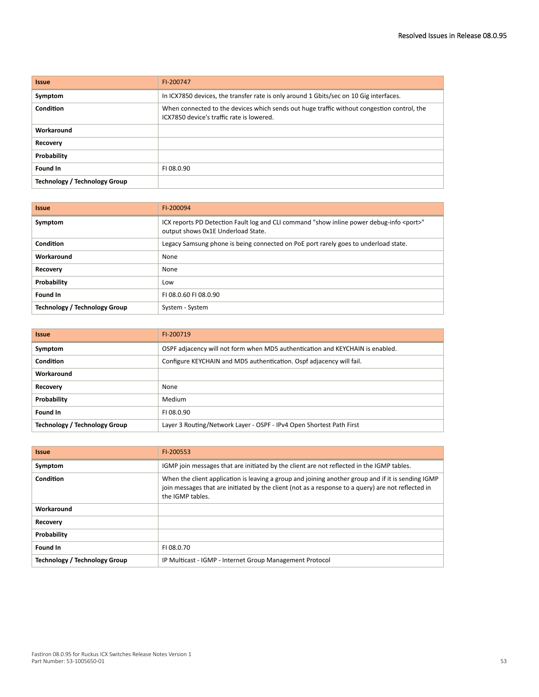| <b>Issue</b>                         | FI-200747                                                                                                                               |
|--------------------------------------|-----------------------------------------------------------------------------------------------------------------------------------------|
| Symptom                              | In ICX7850 devices, the transfer rate is only around 1 Gbits/sec on 10 Gig interfaces.                                                  |
| Condition                            | When connected to the devices which sends out huge traffic without congestion control, the<br>ICX7850 device's traffic rate is lowered. |
| Workaround                           |                                                                                                                                         |
| Recovery                             |                                                                                                                                         |
| Probability                          |                                                                                                                                         |
| Found In                             | FI 08.0.90                                                                                                                              |
| <b>Technology / Technology Group</b> |                                                                                                                                         |

| <b>Issue</b>                         | FI-200094                                                                                                                              |
|--------------------------------------|----------------------------------------------------------------------------------------------------------------------------------------|
| Symptom                              | ICX reports PD Detection Fault log and CLI command "show inline power debug-info <port>"<br/>output shows 0x1E Underload State.</port> |
| Condition                            | Legacy Samsung phone is being connected on PoE port rarely goes to underload state.                                                    |
| Workaround                           | None                                                                                                                                   |
| Recovery                             | None                                                                                                                                   |
| Probability                          | Low                                                                                                                                    |
| Found In                             | FL08.0.60 FL08.0.90                                                                                                                    |
| <b>Technology / Technology Group</b> | System - System                                                                                                                        |

| <b>Issue</b>                         | FI-200719                                                                     |
|--------------------------------------|-------------------------------------------------------------------------------|
| Symptom                              | OSPF adjacency will not form when MD5 authentication and KEYCHAIN is enabled. |
| Condition                            | Configure KEYCHAIN and MD5 authentication. Ospf adjacency will fail.          |
| Workaround                           |                                                                               |
| Recovery                             | None                                                                          |
| Probability                          | Medium                                                                        |
| Found In                             | FI 08.0.90                                                                    |
| <b>Technology / Technology Group</b> | Layer 3 Routing/Network Layer - OSPF - IPv4 Open Shortest Path First          |

| <b>Issue</b>                  | FI-200553                                                                                                                                                                                                                    |
|-------------------------------|------------------------------------------------------------------------------------------------------------------------------------------------------------------------------------------------------------------------------|
| Symptom                       | IGMP join messages that are initiated by the client are not reflected in the IGMP tables.                                                                                                                                    |
| Condition                     | When the client application is leaving a group and joining another group and if it is sending IGMP<br>join messages that are initiated by the client (not as a response to a query) are not reflected in<br>the IGMP tables. |
| Workaround                    |                                                                                                                                                                                                                              |
| Recovery                      |                                                                                                                                                                                                                              |
| Probability                   |                                                                                                                                                                                                                              |
| Found In                      | FI 08.0.70                                                                                                                                                                                                                   |
| Technology / Technology Group | IP Multicast - IGMP - Internet Group Management Protocol                                                                                                                                                                     |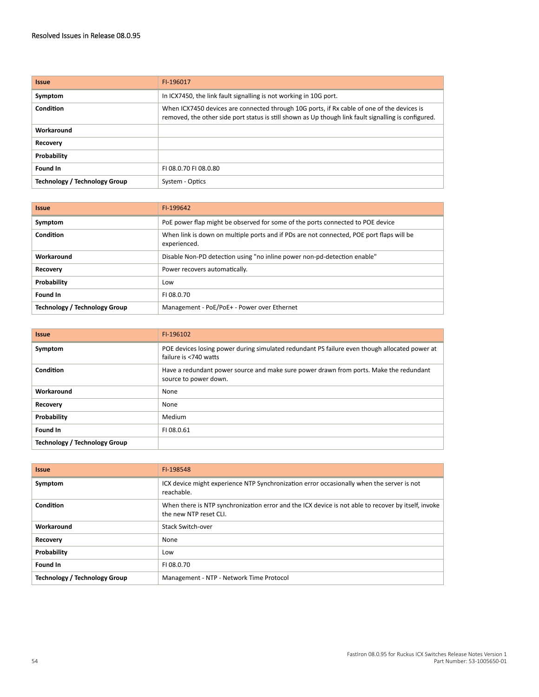| <b>Issue</b>                  | FI-196017                                                                                                                                                                                          |
|-------------------------------|----------------------------------------------------------------------------------------------------------------------------------------------------------------------------------------------------|
| Symptom                       | In ICX7450, the link fault signalling is not working in 10G port.                                                                                                                                  |
| Condition                     | When ICX7450 devices are connected through 10G ports, if Rx cable of one of the devices is<br>removed, the other side port status is still shown as Up though link fault signalling is configured. |
| Workaround                    |                                                                                                                                                                                                    |
| Recovery                      |                                                                                                                                                                                                    |
| Probability                   |                                                                                                                                                                                                    |
| Found In                      | FI 08.0.70 FI 08.0.80                                                                                                                                                                              |
| Technology / Technology Group | System - Optics                                                                                                                                                                                    |

| <b>Issue</b>                  | FI-199642                                                                                                |
|-------------------------------|----------------------------------------------------------------------------------------------------------|
| Symptom                       | PoE power flap might be observed for some of the ports connected to POE device                           |
| Condition                     | When link is down on multiple ports and if PDs are not connected, POE port flaps will be<br>experienced. |
| Workaround                    | Disable Non-PD detection using "no inline power non-pd-detection enable"                                 |
| Recovery                      | Power recovers automatically.                                                                            |
| Probability                   | Low                                                                                                      |
| Found In                      | FI08.0.70                                                                                                |
| Technology / Technology Group | Management - PoE/PoE+ - Power over Ethernet                                                              |

| <b>Issue</b>                         | FI-196102                                                                                                              |
|--------------------------------------|------------------------------------------------------------------------------------------------------------------------|
| Symptom                              | POE devices losing power during simulated redundant PS failure even though allocated power at<br>failure is <740 watts |
| Condition                            | Have a redundant power source and make sure power drawn from ports. Make the redundant<br>source to power down.        |
| Workaround                           | None                                                                                                                   |
| Recovery                             | None                                                                                                                   |
| Probability                          | Medium                                                                                                                 |
| Found In                             | FI 08.0.61                                                                                                             |
| <b>Technology / Technology Group</b> |                                                                                                                        |

| <b>Issue</b>                  | FI-198548                                                                                                                     |
|-------------------------------|-------------------------------------------------------------------------------------------------------------------------------|
| Symptom                       | ICX device might experience NTP Synchronization error occasionally when the server is not<br>reachable.                       |
| Condition                     | When there is NTP synchronization error and the ICX device is not able to recover by itself, invoke<br>the new NTP reset CLI. |
| Workaround                    | <b>Stack Switch-over</b>                                                                                                      |
| Recovery                      | None                                                                                                                          |
| Probability                   | Low                                                                                                                           |
| Found In                      | FI 08.0.70                                                                                                                    |
| Technology / Technology Group | Management - NTP - Network Time Protocol                                                                                      |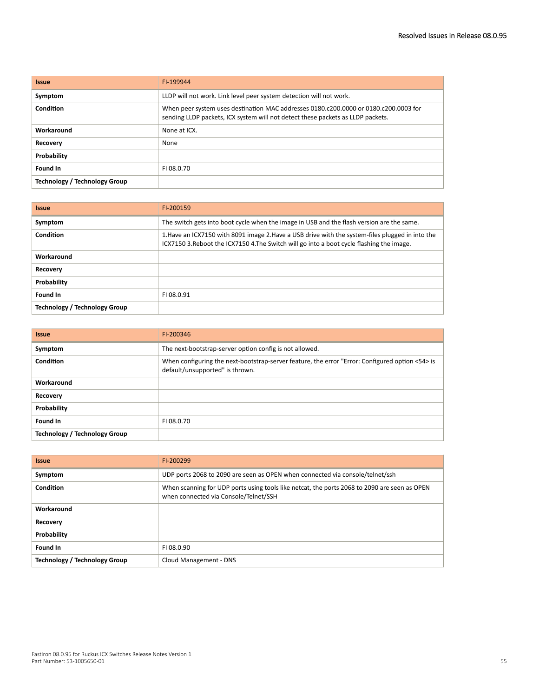| <b>Issue</b>                         | FI-199944                                                                                                                                                               |
|--------------------------------------|-------------------------------------------------------------------------------------------------------------------------------------------------------------------------|
| Symptom                              | LLDP will not work. Link level peer system detection will not work.                                                                                                     |
| Condition                            | When peer system uses destination MAC addresses 0180.c200.0000 or 0180.c200.0003 for<br>sending LLDP packets, ICX system will not detect these packets as LLDP packets. |
| Workaround                           | None at ICX.                                                                                                                                                            |
| Recovery                             | None                                                                                                                                                                    |
| Probability                          |                                                                                                                                                                         |
| Found In                             | FI08.0.70                                                                                                                                                               |
| <b>Technology / Technology Group</b> |                                                                                                                                                                         |

| <b>Issue</b>                         | FI-200159                                                                                                                                                                                     |
|--------------------------------------|-----------------------------------------------------------------------------------------------------------------------------------------------------------------------------------------------|
| Symptom                              | The switch gets into boot cycle when the image in USB and the flash version are the same.                                                                                                     |
| Condition                            | 1. Have an ICX7150 with 8091 image 2. Have a USB drive with the system-files plugged in into the<br>ICX7150 3. Reboot the ICX7150 4. The Switch will go into a boot cycle flashing the image. |
| Workaround                           |                                                                                                                                                                                               |
| Recovery                             |                                                                                                                                                                                               |
| Probability                          |                                                                                                                                                                                               |
| Found In                             | FI08.0.91                                                                                                                                                                                     |
| <b>Technology / Technology Group</b> |                                                                                                                                                                                               |

| <b>Issue</b>                         | FI-200346                                                                                                                          |
|--------------------------------------|------------------------------------------------------------------------------------------------------------------------------------|
| Symptom                              | The next-bootstrap-server option config is not allowed.                                                                            |
| Condition                            | When configuring the next-bootstrap-server feature, the error "Error: Configured option <54> is<br>default/unsupported" is thrown. |
| Workaround                           |                                                                                                                                    |
| Recovery                             |                                                                                                                                    |
| Probability                          |                                                                                                                                    |
| Found In                             | FI 08.0.70                                                                                                                         |
| <b>Technology / Technology Group</b> |                                                                                                                                    |

| <b>Issue</b>                  | FI-200299                                                                                                                             |
|-------------------------------|---------------------------------------------------------------------------------------------------------------------------------------|
| Symptom                       | UDP ports 2068 to 2090 are seen as OPEN when connected via console/telnet/ssh                                                         |
| Condition                     | When scanning for UDP ports using tools like netcat, the ports 2068 to 2090 are seen as OPEN<br>when connected via Console/Telnet/SSH |
| Workaround                    |                                                                                                                                       |
| Recovery                      |                                                                                                                                       |
| Probability                   |                                                                                                                                       |
| Found In                      | FI 08.0.90                                                                                                                            |
| Technology / Technology Group | Cloud Management - DNS                                                                                                                |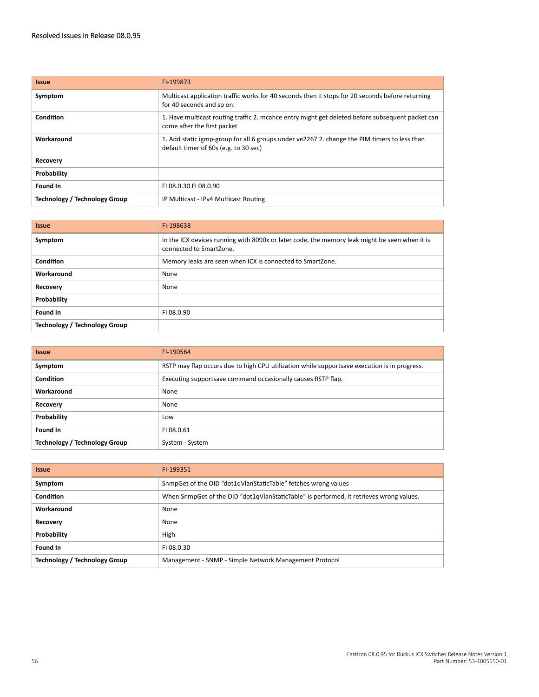| <b>Issue</b>                  | FI-199873                                                                                                                             |
|-------------------------------|---------------------------------------------------------------------------------------------------------------------------------------|
| Symptom                       | Multicast application traffic works for 40 seconds then it stops for 20 seconds before returning<br>for 40 seconds and so on.         |
| Condition                     | 1. Have multicast routing traffic 2. mcahce entry might get deleted before subsequent packet can<br>come after the first packet       |
| Workaround                    | 1. Add static igmp-group for all 6 groups under ye2267 2, change the PIM timers to less than<br>default timer of 60s (e.g. to 30 sec) |
| Recovery                      |                                                                                                                                       |
| Probability                   |                                                                                                                                       |
| Found In                      | FL08.0.30 FL08.0.90                                                                                                                   |
| Technology / Technology Group | IP Multicast - IPv4 Multicast Routing                                                                                                 |

| <b>Issue</b>                         | FI-198638                                                                                                                |
|--------------------------------------|--------------------------------------------------------------------------------------------------------------------------|
| Symptom                              | In the ICX devices running with 8090x or later code, the memory leak might be seen when it is<br>connected to SmartZone. |
| Condition                            | Memory leaks are seen when ICX is connected to SmartZone.                                                                |
| Workaround                           | None                                                                                                                     |
| <b>Recovery</b>                      | None                                                                                                                     |
| Probability                          |                                                                                                                          |
| Found In                             | FI 08.0.90                                                                                                               |
| <b>Technology / Technology Group</b> |                                                                                                                          |

| <b>Issue</b>                         | FI-190564                                                                                    |
|--------------------------------------|----------------------------------------------------------------------------------------------|
| Symptom                              | RSTP may flap occurs due to high CPU utilization while supportsave execution is in progress. |
| <b>Condition</b>                     | Executing supportsave command occasionally causes RSTP flap.                                 |
| Workaround                           | None                                                                                         |
| Recovery                             | None                                                                                         |
| Probability                          | Low                                                                                          |
| Found In                             | FI 08.0.61                                                                                   |
| <b>Technology / Technology Group</b> | System - System                                                                              |

| <b>Issue</b>                         | FI-199351                                                                               |
|--------------------------------------|-----------------------------------------------------------------------------------------|
| Symptom                              | SnmpGet of the OID "dot1qVlanStaticTable" fetches wrong values                          |
| Condition                            | When SnmpGet of the OID "dot1qVlanStaticTable" is performed, it retrieves wrong values. |
| Workaround                           | None                                                                                    |
| Recovery                             | None                                                                                    |
| Probability                          | High                                                                                    |
| Found In                             | FI 08.0.30                                                                              |
| <b>Technology / Technology Group</b> | Management - SNMP - Simple Network Management Protocol                                  |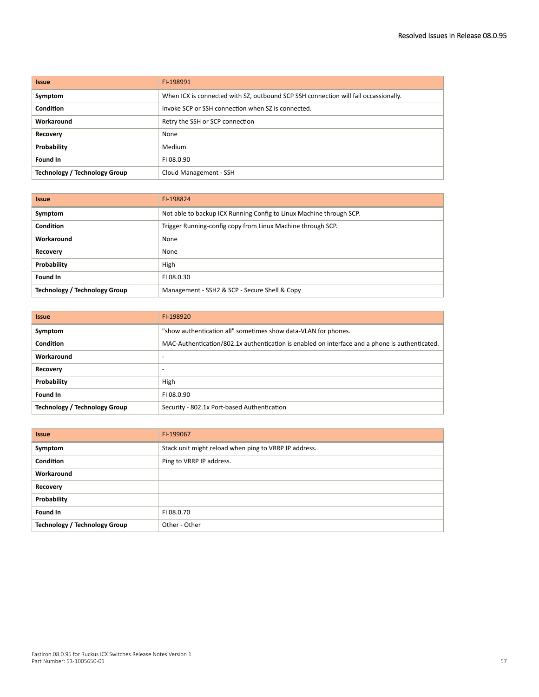| <b>Issue</b>                         | FI-198991                                                                           |
|--------------------------------------|-------------------------------------------------------------------------------------|
| Symptom                              | When ICX is connected with SZ, outbound SCP SSH connection will fail occassionally. |
| <b>Condition</b>                     | Invoke SCP or SSH connection when SZ is connected.                                  |
| Workaround                           | Retry the SSH or SCP connection                                                     |
| Recovery                             | None                                                                                |
| Probability                          | Medium                                                                              |
| Found In                             | FI 08.0.90                                                                          |
| <b>Technology / Technology Group</b> | Cloud Management - SSH                                                              |

| <b>Issue</b>                  | FI-198824                                                           |
|-------------------------------|---------------------------------------------------------------------|
| Symptom                       | Not able to backup ICX Running Config to Linux Machine through SCP. |
| Condition                     | Trigger Running-config copy from Linux Machine through SCP.         |
| Workaround                    | None                                                                |
| <b>Recovery</b>               | None                                                                |
| Probability                   | High                                                                |
| Found In                      | FI 08.0.30                                                          |
| Technology / Technology Group | Management - SSH2 & SCP - Secure Shell & Copy                       |

| <b>Issue</b>                         | FI-198920                                                                                      |
|--------------------------------------|------------------------------------------------------------------------------------------------|
| Symptom                              | "show authentication all" sometimes show data-VLAN for phones.                                 |
| <b>Condition</b>                     | MAC-Authentication/802.1x authentication is enabled on interface and a phone is authenticated. |
| Workaround                           | -                                                                                              |
| <b>Recovery</b>                      | -                                                                                              |
| Probability                          | High                                                                                           |
| Found In                             | FI 08.0.90                                                                                     |
| <b>Technology / Technology Group</b> | Security - 802.1x Port-based Authentication                                                    |

| <b>Issue</b>                         | FI-199067                                             |
|--------------------------------------|-------------------------------------------------------|
| Symptom                              | Stack unit might reload when ping to VRRP IP address. |
| <b>Condition</b>                     | Ping to VRRP IP address.                              |
| Workaround                           |                                                       |
| Recovery                             |                                                       |
| Probability                          |                                                       |
| Found In                             | FI 08.0.70                                            |
| <b>Technology / Technology Group</b> | Other - Other                                         |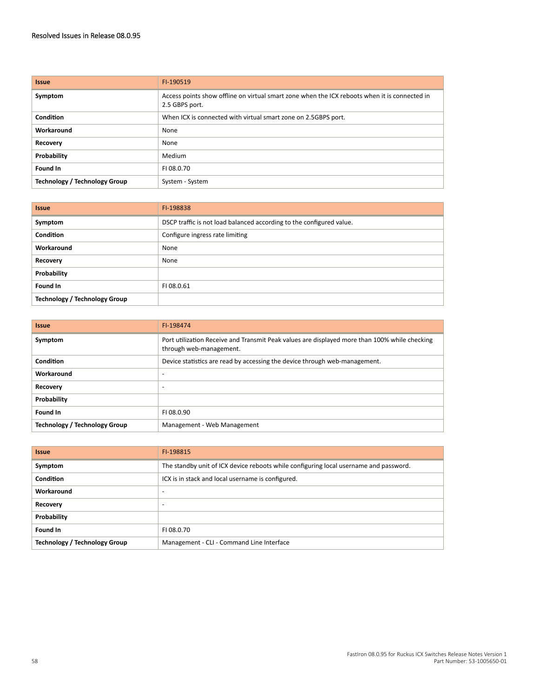| <b>Issue</b>                         | FI-190519                                                                                                       |
|--------------------------------------|-----------------------------------------------------------------------------------------------------------------|
| Symptom                              | Access points show offline on virtual smart zone when the ICX reboots when it is connected in<br>2.5 GBPS port. |
| <b>Condition</b>                     | When ICX is connected with virtual smart zone on 2.5GBPS port.                                                  |
| Workaround                           | None                                                                                                            |
| <b>Recovery</b>                      | None                                                                                                            |
| Probability                          | Medium                                                                                                          |
| Found In                             | FI 08.0.70                                                                                                      |
| <b>Technology / Technology Group</b> | System - System                                                                                                 |

| <b>Issue</b>                         | FI-198838                                                            |
|--------------------------------------|----------------------------------------------------------------------|
| Symptom                              | DSCP traffic is not load balanced according to the configured value. |
| <b>Condition</b>                     | Configure ingress rate limiting                                      |
| Workaround                           | None                                                                 |
| Recovery                             | None                                                                 |
| Probability                          |                                                                      |
| Found In                             | FI 08.0.61                                                           |
| <b>Technology / Technology Group</b> |                                                                      |

| <b>Issue</b>                         | FI-198474                                                                                                                |
|--------------------------------------|--------------------------------------------------------------------------------------------------------------------------|
| Symptom                              | Port utilization Receive and Transmit Peak values are displayed more than 100% while checking<br>through web-management. |
| Condition                            | Device statistics are read by accessing the device through web-management.                                               |
| Workaround                           | $\overline{\phantom{0}}$                                                                                                 |
| Recovery                             | $\overline{\phantom{0}}$                                                                                                 |
| Probability                          |                                                                                                                          |
| Found In                             | FI 08.0.90                                                                                                               |
| <b>Technology / Technology Group</b> | Management - Web Management                                                                                              |

| <b>Issue</b>                         | FI-198815                                                                             |
|--------------------------------------|---------------------------------------------------------------------------------------|
| Symptom                              | The standby unit of ICX device reboots while configuring local username and password. |
| <b>Condition</b>                     | ICX is in stack and local username is configured.                                     |
| Workaround                           | $\overline{\phantom{a}}$                                                              |
| Recovery                             | $\overline{\phantom{a}}$                                                              |
| Probability                          |                                                                                       |
| Found In                             | FI 08.0.70                                                                            |
| <b>Technology / Technology Group</b> | Management - CLI - Command Line Interface                                             |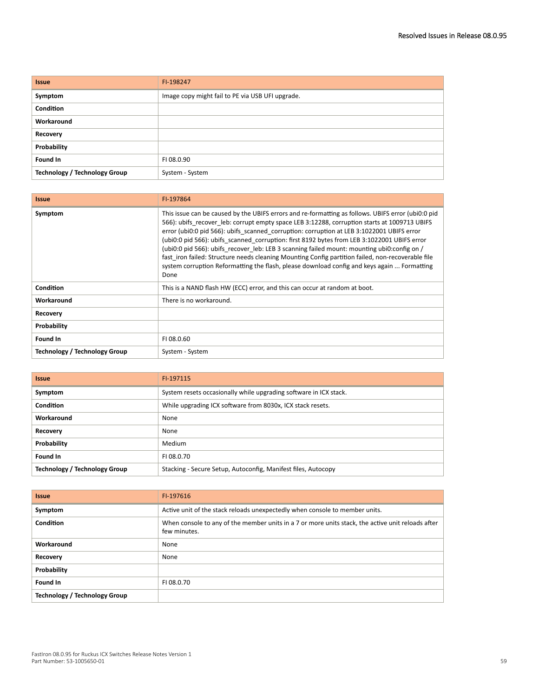| <b>Issue</b>                         | FI-198247                                        |
|--------------------------------------|--------------------------------------------------|
| Symptom                              | Image copy might fail to PE via USB UFI upgrade. |
| <b>Condition</b>                     |                                                  |
| Workaround                           |                                                  |
| Recovery                             |                                                  |
| Probability                          |                                                  |
| Found In                             | FI 08.0.90                                       |
| <b>Technology / Technology Group</b> | System - System                                  |

| <b>Issue</b>                  | FI-197864                                                                                                                                                                                                                                                                                                                                                                                                                                                                                                                                                                                                                                                                                                 |
|-------------------------------|-----------------------------------------------------------------------------------------------------------------------------------------------------------------------------------------------------------------------------------------------------------------------------------------------------------------------------------------------------------------------------------------------------------------------------------------------------------------------------------------------------------------------------------------------------------------------------------------------------------------------------------------------------------------------------------------------------------|
| Symptom                       | This issue can be caused by the UBIFS errors and re-formatting as follows. UBIFS error (ubi0:0 pid<br>566): ubifs_recover_leb: corrupt empty space LEB 3:12288, corruption starts at 1009713 UBIFS<br>error (ubi0:0 pid 566): ubifs scanned corruption: corruption at LEB 3:1022001 UBIFS error<br>(ubi0:0 pid 566): ubifs scanned corruption: first 8192 bytes from LEB 3:1022001 UBIFS error<br>(ubi0:0 pid 566): ubifs recover leb: LEB 3 scanning failed mount: mounting ubi0:config on /<br>fast iron failed: Structure needs cleaning Mounting Config partition failed, non-recoverable file<br>system corruption Reformatting the flash, please download config and keys again  Formatting<br>Done |
| Condition                     | This is a NAND flash HW (ECC) error, and this can occur at random at boot.                                                                                                                                                                                                                                                                                                                                                                                                                                                                                                                                                                                                                                |
| Workaround                    | There is no workaround.                                                                                                                                                                                                                                                                                                                                                                                                                                                                                                                                                                                                                                                                                   |
| Recovery                      |                                                                                                                                                                                                                                                                                                                                                                                                                                                                                                                                                                                                                                                                                                           |
| <b>Probability</b>            |                                                                                                                                                                                                                                                                                                                                                                                                                                                                                                                                                                                                                                                                                                           |
| Found In                      | FI 08.0.60                                                                                                                                                                                                                                                                                                                                                                                                                                                                                                                                                                                                                                                                                                |
| Technology / Technology Group | System - System                                                                                                                                                                                                                                                                                                                                                                                                                                                                                                                                                                                                                                                                                           |

| <b>Issue</b>                  | FI-197115                                                         |
|-------------------------------|-------------------------------------------------------------------|
| Symptom                       | System resets occasionally while upgrading software in ICX stack. |
| Condition                     | While upgrading ICX software from 8030x, ICX stack resets.        |
| Workaround                    | None                                                              |
| Recovery                      | None                                                              |
| Probability                   | Medium                                                            |
| Found In                      | FI 08.0.70                                                        |
| Technology / Technology Group | Stacking - Secure Setup, Autoconfig, Manifest files, Autocopy     |

| <b>Issue</b>                         | FI-197616                                                                                                         |
|--------------------------------------|-------------------------------------------------------------------------------------------------------------------|
| Symptom                              | Active unit of the stack reloads unexpectedly when console to member units.                                       |
| Condition                            | When console to any of the member units in a 7 or more units stack, the active unit reloads after<br>few minutes. |
| Workaround                           | None                                                                                                              |
| <b>Recovery</b>                      | None                                                                                                              |
| Probability                          |                                                                                                                   |
| Found In                             | FI 08.0.70                                                                                                        |
| <b>Technology / Technology Group</b> |                                                                                                                   |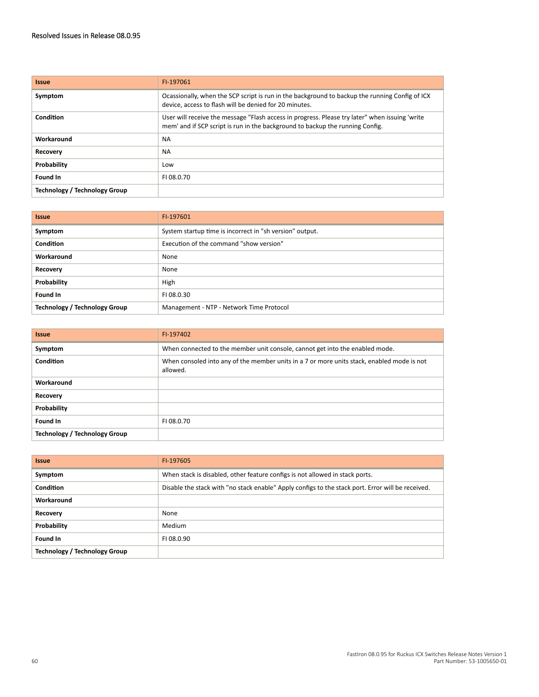| <b>Issue</b>                  | FI-197061                                                                                                                                                                       |
|-------------------------------|---------------------------------------------------------------------------------------------------------------------------------------------------------------------------------|
| Symptom                       | Ocassionally, when the SCP script is run in the background to backup the running Config of ICX<br>device, access to flash will be denied for 20 minutes.                        |
| Condition                     | User will receive the message "Flash access in progress. Please try later" when issuing 'write<br>mem' and if SCP script is run in the background to backup the running Config. |
| Workaround                    | <b>NA</b>                                                                                                                                                                       |
| Recovery                      | <b>NA</b>                                                                                                                                                                       |
| Probability                   | Low                                                                                                                                                                             |
| Found In                      | FI 08.0.70                                                                                                                                                                      |
| Technology / Technology Group |                                                                                                                                                                                 |

| <b>Issue</b>                         | FI-197601                                                |
|--------------------------------------|----------------------------------------------------------|
| Symptom                              | System startup time is incorrect in "sh version" output. |
| <b>Condition</b>                     | Execution of the command "show version"                  |
| Workaround                           | None                                                     |
| Recovery                             | None                                                     |
| Probability                          | High                                                     |
| Found In                             | FI 08.0.30                                               |
| <b>Technology / Technology Group</b> | Management - NTP - Network Time Protocol                 |

| <b>Issue</b>                         | FI-197402                                                                                              |
|--------------------------------------|--------------------------------------------------------------------------------------------------------|
| Symptom                              | When connected to the member unit console, cannot get into the enabled mode.                           |
| Condition                            | When consoled into any of the member units in a 7 or more units stack, enabled mode is not<br>allowed. |
| Workaround                           |                                                                                                        |
| Recovery                             |                                                                                                        |
| Probability                          |                                                                                                        |
| Found In                             | FI 08.0.70                                                                                             |
| <b>Technology / Technology Group</b> |                                                                                                        |

| <b>Issue</b>                         | FI-197605                                                                                         |
|--------------------------------------|---------------------------------------------------------------------------------------------------|
| Symptom                              | When stack is disabled, other feature configs is not allowed in stack ports.                      |
| Condition                            | Disable the stack with "no stack enable" Apply configs to the stack port. Error will be received. |
| Workaround                           |                                                                                                   |
| Recovery                             | None                                                                                              |
| Probability                          | Medium                                                                                            |
| Found In                             | FI 08.0.90                                                                                        |
| <b>Technology / Technology Group</b> |                                                                                                   |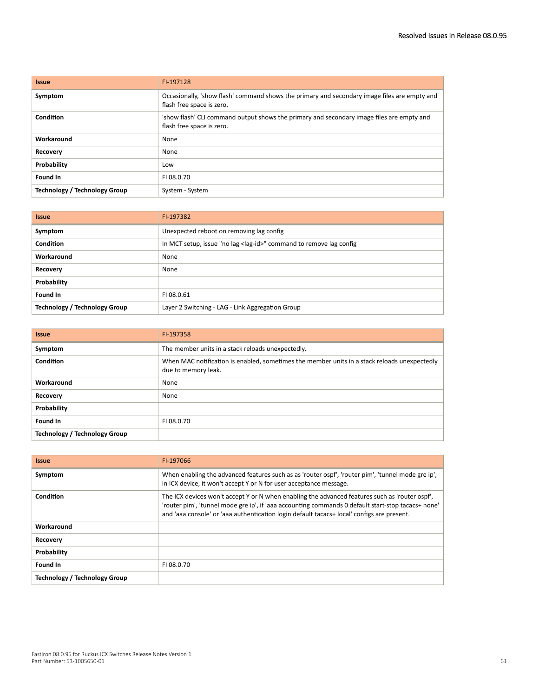| <b>Issue</b>                         | FI-197128                                                                                                                 |
|--------------------------------------|---------------------------------------------------------------------------------------------------------------------------|
| Symptom                              | Occasionally, 'show flash' command shows the primary and secondary image files are empty and<br>flash free space is zero. |
| Condition                            | 'show flash' CLI command output shows the primary and secondary image files are empty and<br>flash free space is zero.    |
| Workaround                           | None                                                                                                                      |
| Recovery                             | None                                                                                                                      |
| Probability                          | Low                                                                                                                       |
| Found In                             | FI 08.0.70                                                                                                                |
| <b>Technology / Technology Group</b> | System - System                                                                                                           |

| <b>Issue</b>                         | FI-197382                                                                   |
|--------------------------------------|-----------------------------------------------------------------------------|
| Symptom                              | Unexpected reboot on removing lag config                                    |
| <b>Condition</b>                     | In MCT setup, issue "no lag <lag-id>" command to remove lag config</lag-id> |
| Workaround                           | None                                                                        |
| Recovery                             | None                                                                        |
| Probability                          |                                                                             |
| Found In                             | FI 08.0.61                                                                  |
| <b>Technology / Technology Group</b> | Layer 2 Switching - LAG - Link Aggregation Group                            |

| <b>Issue</b>                         | FI-197358                                                                                                           |
|--------------------------------------|---------------------------------------------------------------------------------------------------------------------|
| Symptom                              | The member units in a stack reloads unexpectedly.                                                                   |
| Condition                            | When MAC notification is enabled, sometimes the member units in a stack reloads unexpectedly<br>due to memory leak. |
| Workaround                           | None                                                                                                                |
| Recovery                             | None                                                                                                                |
| Probability                          |                                                                                                                     |
| Found In                             | FI 08.0.70                                                                                                          |
| <b>Technology / Technology Group</b> |                                                                                                                     |

| <b>Issue</b>                  | FI-197066                                                                                                                                                                                                                                                                                          |
|-------------------------------|----------------------------------------------------------------------------------------------------------------------------------------------------------------------------------------------------------------------------------------------------------------------------------------------------|
| Symptom                       | When enabling the advanced features such as as 'router ospf', 'router pim', 'tunnel mode gre ip',<br>in ICX device, it won't accept Y or N for user acceptance message.                                                                                                                            |
| Condition                     | The ICX devices won't accept Y or N when enabling the advanced features such as 'router ospf',<br>'router pim', 'tunnel mode gre ip', if 'aaa accounting commands 0 default start-stop tacacs+ none'<br>and 'aaa console' or 'aaa authentication login default tacacs+ local' configs are present. |
| Workaround                    |                                                                                                                                                                                                                                                                                                    |
| Recovery                      |                                                                                                                                                                                                                                                                                                    |
| Probability                   |                                                                                                                                                                                                                                                                                                    |
| Found In                      | FI08.0.70                                                                                                                                                                                                                                                                                          |
| Technology / Technology Group |                                                                                                                                                                                                                                                                                                    |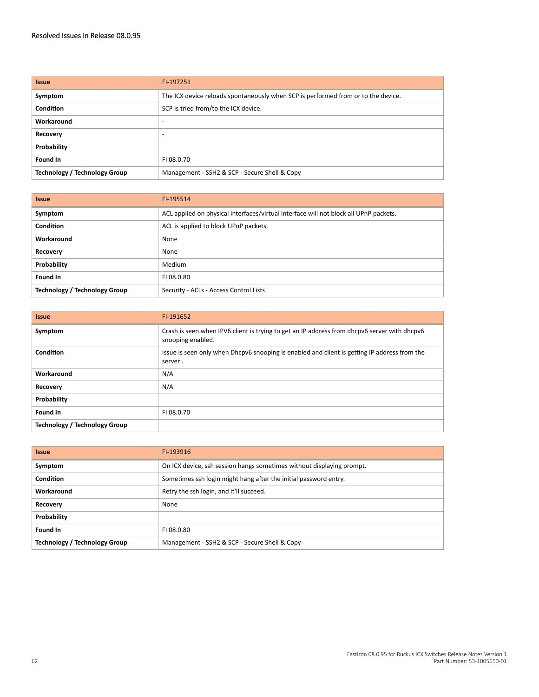| <b>Issue</b>                         | FI-197251                                                                         |
|--------------------------------------|-----------------------------------------------------------------------------------|
| Symptom                              | The ICX device reloads spontaneously when SCP is performed from or to the device. |
| Condition                            | SCP is tried from/to the ICX device.                                              |
| Workaround                           | $\overline{\phantom{0}}$                                                          |
| Recovery                             | $\overline{\phantom{0}}$                                                          |
| Probability                          |                                                                                   |
| Found In                             | FI 08.0.70                                                                        |
| <b>Technology / Technology Group</b> | Management - SSH2 & SCP - Secure Shell & Copy                                     |

| <b>Issue</b>                         | FI-195514                                                                             |
|--------------------------------------|---------------------------------------------------------------------------------------|
| Symptom                              | ACL applied on physical interfaces/virtual interface will not block all UPnP packets. |
| Condition                            | ACL is applied to block UPnP packets.                                                 |
| Workaround                           | None                                                                                  |
| Recovery                             | None                                                                                  |
| Probability                          | Medium                                                                                |
| Found In                             | FI 08.0.80                                                                            |
| <b>Technology / Technology Group</b> | Security - ACLs - Access Control Lists                                                |

| <b>Issue</b>                         | FI-191652                                                                                                         |
|--------------------------------------|-------------------------------------------------------------------------------------------------------------------|
| Symptom                              | Crash is seen when IPV6 client is trying to get an IP address from dhcpv6 server with dhcpv6<br>snooping enabled. |
| Condition                            | Issue is seen only when Dhcpv6 snooping is enabled and client is getting IP address from the<br>server.           |
| Workaround                           | N/A                                                                                                               |
| Recovery                             | N/A                                                                                                               |
| Probability                          |                                                                                                                   |
| Found In                             | FI 08.0.70                                                                                                        |
| <b>Technology / Technology Group</b> |                                                                                                                   |

| <b>Issue</b>                  | FI-193916                                                             |
|-------------------------------|-----------------------------------------------------------------------|
| Symptom                       | On ICX device, ssh session hangs sometimes without displaying prompt. |
| <b>Condition</b>              | Sometimes ssh login might hang after the initial password entry.      |
| Workaround                    | Retry the ssh login, and it'll succeed.                               |
| Recovery                      | None                                                                  |
| Probability                   |                                                                       |
| Found In                      | FI 08.0.80                                                            |
| Technology / Technology Group | Management - SSH2 & SCP - Secure Shell & Copy                         |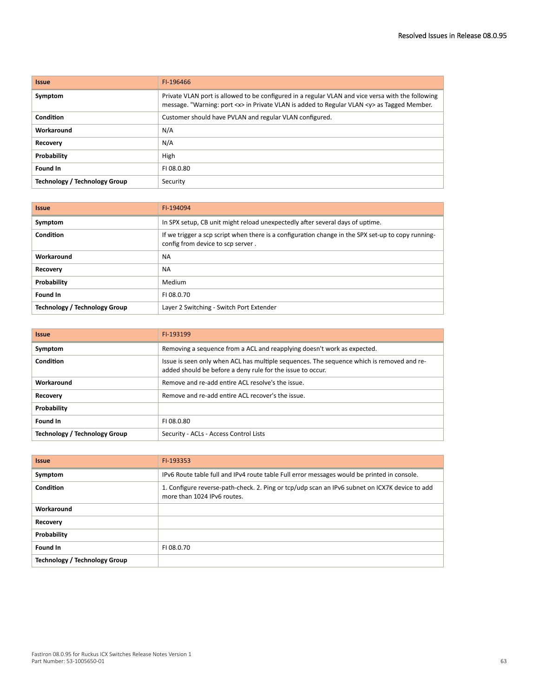| <b>Issue</b>                         | FI-196466                                                                                                                                                                                               |
|--------------------------------------|---------------------------------------------------------------------------------------------------------------------------------------------------------------------------------------------------------|
| Symptom                              | Private VLAN port is allowed to be configured in a regular VLAN and vice versa with the following<br>message. "Warning: port <x> in Private VLAN is added to Regular VLAN <y> as Tagged Member.</y></x> |
| <b>Condition</b>                     | Customer should have PVLAN and regular VLAN configured.                                                                                                                                                 |
| Workaround                           | N/A                                                                                                                                                                                                     |
| Recovery                             | N/A                                                                                                                                                                                                     |
| Probability                          | High                                                                                                                                                                                                    |
| Found In                             | FI 08.0.80                                                                                                                                                                                              |
| <b>Technology / Technology Group</b> | Security                                                                                                                                                                                                |

| <b>Issue</b>                         | FI-194094                                                                                                                               |
|--------------------------------------|-----------------------------------------------------------------------------------------------------------------------------------------|
| Symptom                              | In SPX setup, CB unit might reload unexpectedly after several days of uptime.                                                           |
| Condition                            | If we trigger a scp script when there is a configuration change in the SPX set-up to copy running-<br>config from device to scp server. |
| Workaround                           | <b>NA</b>                                                                                                                               |
| Recovery                             | <b>NA</b>                                                                                                                               |
| Probability                          | Medium                                                                                                                                  |
| Found In                             | FI08.0.70                                                                                                                               |
| <b>Technology / Technology Group</b> | Layer 2 Switching - Switch Port Extender                                                                                                |

| <b>Issue</b>                  | FI-193199                                                                                                                                               |
|-------------------------------|---------------------------------------------------------------------------------------------------------------------------------------------------------|
| Symptom                       | Removing a sequence from a ACL and reapplying doesn't work as expected.                                                                                 |
| Condition                     | Issue is seen only when ACL has multiple sequences. The sequence which is removed and re-<br>added should be before a deny rule for the issue to occur. |
| Workaround                    | Remove and re-add entire ACL resolve's the issue.                                                                                                       |
| Recovery                      | Remove and re-add entire ACL recover's the issue.                                                                                                       |
| Probability                   |                                                                                                                                                         |
| Found In                      | FI 08.0.80                                                                                                                                              |
| Technology / Technology Group | Security - ACLs - Access Control Lists                                                                                                                  |

| <b>Issue</b>                         | FI-193353                                                                                                                     |
|--------------------------------------|-------------------------------------------------------------------------------------------------------------------------------|
| Symptom                              | IPv6 Route table full and IPv4 route table Full error messages would be printed in console.                                   |
| Condition                            | 1. Configure reverse-path-check. 2. Ping or tcp/udp scan an IPv6 subnet on ICX7K device to add<br>more than 1024 IPv6 routes. |
| Workaround                           |                                                                                                                               |
| Recovery                             |                                                                                                                               |
| Probability                          |                                                                                                                               |
| Found In                             | FI 08.0.70                                                                                                                    |
| <b>Technology / Technology Group</b> |                                                                                                                               |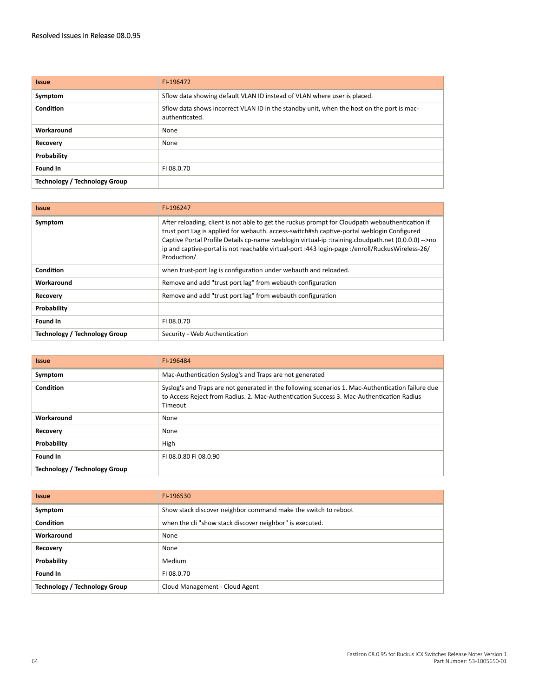| <b>Issue</b>                         | FI-196472                                                                                                   |
|--------------------------------------|-------------------------------------------------------------------------------------------------------------|
| Symptom                              | Sflow data showing default VLAN ID instead of VLAN where user is placed.                                    |
| Condition                            | Sflow data shows incorrect VLAN ID in the standby unit, when the host on the port is mac-<br>authenticated. |
| Workaround                           | None                                                                                                        |
| <b>Recovery</b>                      | None                                                                                                        |
| Probability                          |                                                                                                             |
| Found In                             | FI 08.0.70                                                                                                  |
| <b>Technology / Technology Group</b> |                                                                                                             |

| <b>Issue</b>                  | FI-196247                                                                                                                                                                                                                                                                                                                                                                                                                |
|-------------------------------|--------------------------------------------------------------------------------------------------------------------------------------------------------------------------------------------------------------------------------------------------------------------------------------------------------------------------------------------------------------------------------------------------------------------------|
| Symptom                       | After reloading, client is not able to get the ruckus prompt for Cloudpath webauthentication if<br>trust port Lag is applied for webauth. access-switch#sh captive-portal weblogin Configured<br>Captive Portal Profile Details cp-name : weblogin virtual-ip : training.cloudpath.net (0.0.0.0) -->no<br>ip and captive-portal is not reachable virtual-port :443 login-page :/enroll/RuckusWireless-26/<br>Production/ |
| Condition                     | when trust-port lag is configuration under webauth and reloaded.                                                                                                                                                                                                                                                                                                                                                         |
| Workaround                    | Remove and add "trust port lag" from webauth configuration                                                                                                                                                                                                                                                                                                                                                               |
| Recovery                      | Remove and add "trust port lag" from webauth configuration                                                                                                                                                                                                                                                                                                                                                               |
| Probability                   |                                                                                                                                                                                                                                                                                                                                                                                                                          |
| Found In                      | FI 08.0.70                                                                                                                                                                                                                                                                                                                                                                                                               |
| Technology / Technology Group | Security - Web Authentication                                                                                                                                                                                                                                                                                                                                                                                            |

| <b>Issue</b>                  | FI-196484                                                                                                                                                                                                |
|-------------------------------|----------------------------------------------------------------------------------------------------------------------------------------------------------------------------------------------------------|
| Symptom                       | Mac-Authentication Syslog's and Traps are not generated                                                                                                                                                  |
| <b>Condition</b>              | Syslog's and Traps are not generated in the following scenarios 1. Mac-Authentication failure due<br>to Access Reject from Radius. 2. Mac-Authentication Success 3. Mac-Authentication Radius<br>Timeout |
| Workaround                    | None                                                                                                                                                                                                     |
| Recovery                      | None                                                                                                                                                                                                     |
| Probability                   | High                                                                                                                                                                                                     |
| Found In                      | FL08.0.80 FL08.0.90                                                                                                                                                                                      |
| Technology / Technology Group |                                                                                                                                                                                                          |

| <b>Issue</b>                         | FI-196530                                                      |
|--------------------------------------|----------------------------------------------------------------|
| Symptom                              | Show stack discover neighbor command make the switch to reboot |
| <b>Condition</b>                     | when the cli "show stack discover neighbor" is executed.       |
| Workaround                           | None                                                           |
| Recovery                             | None                                                           |
| Probability                          | Medium                                                         |
| Found In                             | FI 08.0.70                                                     |
| <b>Technology / Technology Group</b> | Cloud Management - Cloud Agent                                 |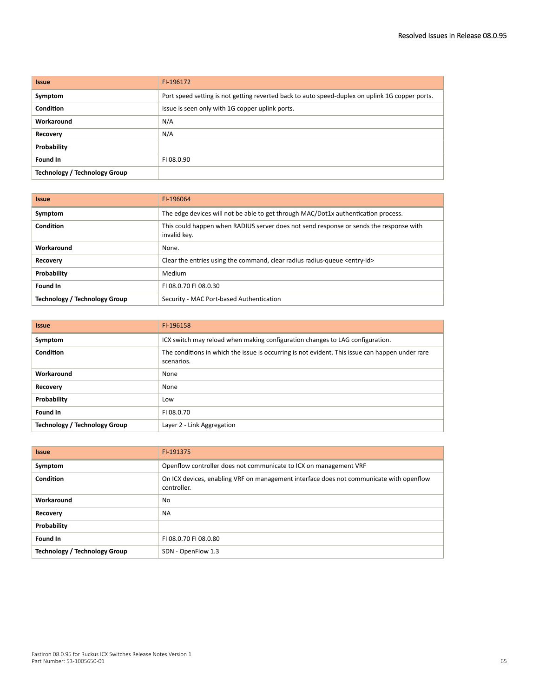| <b>Issue</b>                  | FI-196172                                                                                       |
|-------------------------------|-------------------------------------------------------------------------------------------------|
| Symptom                       | Port speed setting is not getting reverted back to auto speed-duplex on uplink 1G copper ports. |
| <b>Condition</b>              | Issue is seen only with 1G copper uplink ports.                                                 |
| Workaround                    | N/A                                                                                             |
| <b>Recovery</b>               | N/A                                                                                             |
| Probability                   |                                                                                                 |
| Found In                      | FI 08.0.90                                                                                      |
| Technology / Technology Group |                                                                                                 |

| <b>Issue</b>                  | FI-196064                                                                                              |
|-------------------------------|--------------------------------------------------------------------------------------------------------|
| Symptom                       | The edge devices will not be able to get through MAC/Dot1x authentication process.                     |
| Condition                     | This could happen when RADIUS server does not send response or sends the response with<br>invalid key. |
| Workaround                    | None.                                                                                                  |
| Recovery                      | Clear the entries using the command, clear radius radius-queue <entry-id></entry-id>                   |
| Probability                   | Medium                                                                                                 |
| Found In                      | FL08.0.70 FL08.0.30                                                                                    |
| Technology / Technology Group | Security - MAC Port-based Authentication                                                               |

| <b>Issue</b>                  | FI-196158                                                                                                     |
|-------------------------------|---------------------------------------------------------------------------------------------------------------|
| Symptom                       | ICX switch may reload when making configuration changes to LAG configuration.                                 |
| Condition                     | The conditions in which the issue is occurring is not evident. This issue can happen under rare<br>scenarios. |
| Workaround                    | None                                                                                                          |
| <b>Recovery</b>               | None                                                                                                          |
| Probability                   | Low                                                                                                           |
| Found In                      | FI 08.0.70                                                                                                    |
| Technology / Technology Group | Layer 2 - Link Aggregation                                                                                    |

| <b>Issue</b>                         | FI-191375                                                                                              |
|--------------------------------------|--------------------------------------------------------------------------------------------------------|
| Symptom                              | Openflow controller does not communicate to ICX on management VRF                                      |
| Condition                            | On ICX devices, enabling VRF on management interface does not communicate with openflow<br>controller. |
| Workaround                           | No                                                                                                     |
| <b>Recovery</b>                      | <b>NA</b>                                                                                              |
| Probability                          |                                                                                                        |
| Found In                             | FI 08.0.70 FI 08.0.80                                                                                  |
| <b>Technology / Technology Group</b> | SDN - OpenFlow 1.3                                                                                     |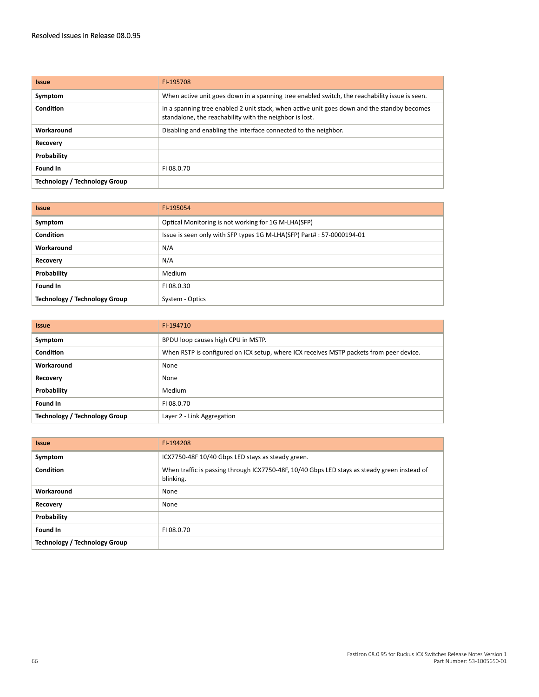| <b>Issue</b>                         | FI-195708                                                                                                                                              |
|--------------------------------------|--------------------------------------------------------------------------------------------------------------------------------------------------------|
| Symptom                              | When active unit goes down in a spanning tree enabled switch, the reachability issue is seen.                                                          |
| Condition                            | In a spanning tree enabled 2 unit stack, when active unit goes down and the standby becomes<br>standalone, the reachability with the neighbor is lost. |
| Workaround                           | Disabling and enabling the interface connected to the neighbor.                                                                                        |
| Recovery                             |                                                                                                                                                        |
| Probability                          |                                                                                                                                                        |
| Found In                             | FI08.0.70                                                                                                                                              |
| <b>Technology / Technology Group</b> |                                                                                                                                                        |

| <b>Issue</b>                         | FI-195054                                                            |
|--------------------------------------|----------------------------------------------------------------------|
| Symptom                              | Optical Monitoring is not working for 1G M-LHA(SFP)                  |
| <b>Condition</b>                     | Issue is seen only with SFP types 1G M-LHA(SFP) Part#: 57-0000194-01 |
| Workaround                           | N/A                                                                  |
| Recovery                             | N/A                                                                  |
| Probability                          | Medium                                                               |
| Found In                             | FI 08.0.30                                                           |
| <b>Technology / Technology Group</b> | System - Optics                                                      |

| <b>Issue</b>                         | FI-194710                                                                               |
|--------------------------------------|-----------------------------------------------------------------------------------------|
| Symptom                              | BPDU loop causes high CPU in MSTP.                                                      |
| <b>Condition</b>                     | When RSTP is configured on ICX setup, where ICX receives MSTP packets from peer device. |
| Workaround                           | None                                                                                    |
| Recovery                             | None                                                                                    |
| Probability                          | Medium                                                                                  |
| Found In                             | FI 08.0.70                                                                              |
| <b>Technology / Technology Group</b> | Layer 2 - Link Aggregation                                                              |

| <b>Issue</b>                         | FI-194208                                                                                                 |
|--------------------------------------|-----------------------------------------------------------------------------------------------------------|
| Symptom                              | ICX7750-48F 10/40 Gbps LED stays as steady green.                                                         |
| <b>Condition</b>                     | When traffic is passing through ICX7750-48F, 10/40 Gbps LED stays as steady green instead of<br>blinking. |
| Workaround                           | None                                                                                                      |
| Recovery                             | None                                                                                                      |
| Probability                          |                                                                                                           |
| Found In                             | FI 08.0.70                                                                                                |
| <b>Technology / Technology Group</b> |                                                                                                           |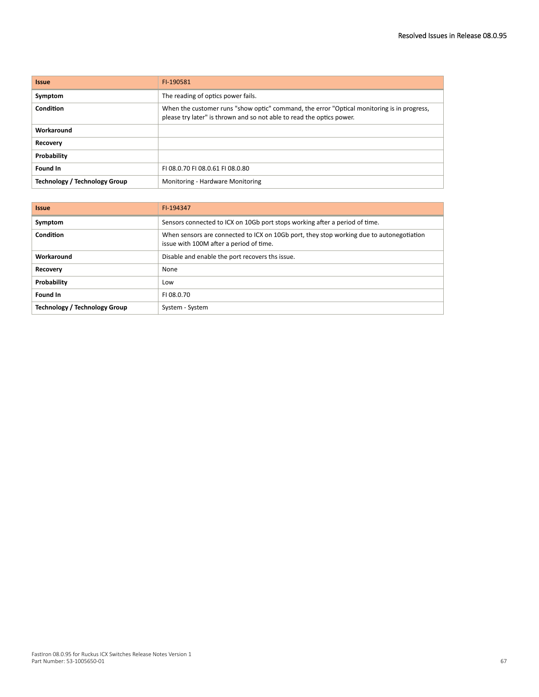| <b>Issue</b>                  | FI-190581                                                                                                                                                           |
|-------------------------------|---------------------------------------------------------------------------------------------------------------------------------------------------------------------|
| Symptom                       | The reading of optics power fails.                                                                                                                                  |
| Condition                     | When the customer runs "show optic" command, the error "Optical monitoring is in progress,<br>please try later" is thrown and so not able to read the optics power. |
| Workaround                    |                                                                                                                                                                     |
| Recovery                      |                                                                                                                                                                     |
| Probability                   |                                                                                                                                                                     |
| Found In                      | FL08.0.70 FL08.0.61 FL08.0.80                                                                                                                                       |
| Technology / Technology Group | Monitoring - Hardware Monitoring                                                                                                                                    |

| <b>Issue</b>                         | FI-194347                                                                                                                           |
|--------------------------------------|-------------------------------------------------------------------------------------------------------------------------------------|
| Symptom                              | Sensors connected to ICX on 10Gb port stops working after a period of time.                                                         |
| Condition                            | When sensors are connected to ICX on 10Gb port, they stop working due to autonegotiation<br>issue with 100M after a period of time. |
| Workaround                           | Disable and enable the port recovers ths issue.                                                                                     |
| <b>Recovery</b>                      | None                                                                                                                                |
| Probability                          | Low                                                                                                                                 |
| Found In                             | FI 08.0.70                                                                                                                          |
| <b>Technology / Technology Group</b> | System - System                                                                                                                     |